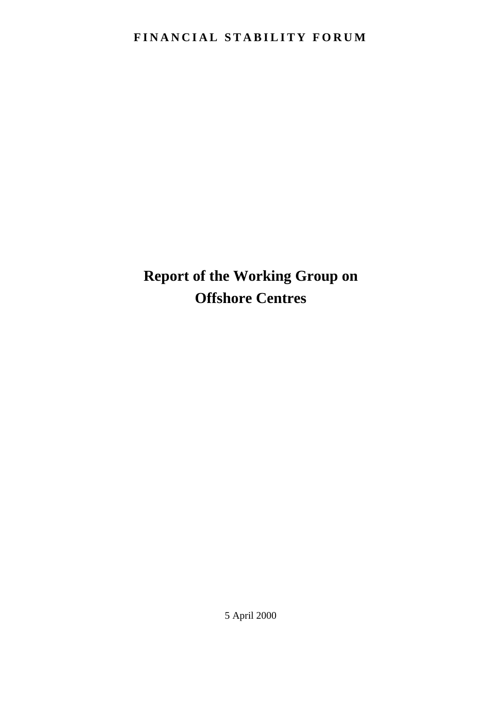**Report of the Working Group on Offshore Centres** 

5 April 2000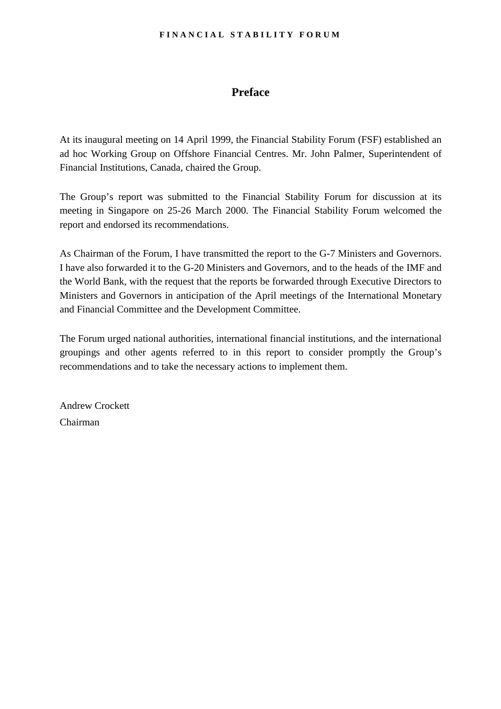# **Preface**

At its inaugural meeting on 14 April 1999, the Financial Stability Forum (FSF) established an ad hoc Working Group on Offshore Financial Centres. Mr. John Palmer, Superintendent of Financial Institutions, Canada, chaired the Group.

The Group's report was submitted to the Financial Stability Forum for discussion at its meeting in Singapore on 25-26 March 2000. The Financial Stability Forum welcomed the report and endorsed its recommendations.

As Chairman of the Forum, I have transmitted the report to the G-7 Ministers and Governors. I have also forwarded it to the G-20 Ministers and Governors, and to the heads of the IMF and the World Bank, with the request that the reports be forwarded through Executive Directors to Ministers and Governors in anticipation of the April meetings of the International Monetary and Financial Committee and the Development Committee.

The Forum urged national authorities, international financial institutions, and the international groupings and other agents referred to in this report to consider promptly the Group's recommendations and to take the necessary actions to implement them.

Andrew Crockett Chairman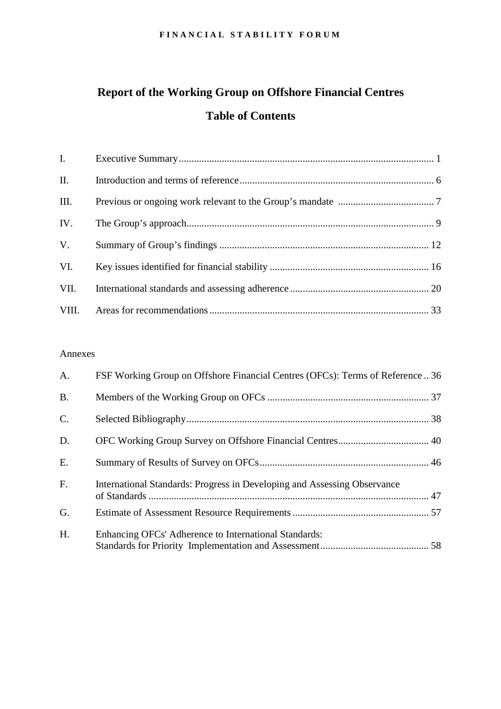# **Report of the Working Group on Offshore Financial Centres Table of Contents**

| I.   |  |
|------|--|
| II.  |  |
| Ш.   |  |
| IV.  |  |
| V.   |  |
| VI.  |  |
| VII. |  |
|      |  |

# Annexes

| A.              | FSF Working Group on Offshore Financial Centres (OFCs): Terms of Reference36 |  |
|-----------------|------------------------------------------------------------------------------|--|
| <b>B.</b>       |                                                                              |  |
| $\mathcal{C}$ . |                                                                              |  |
| D.              |                                                                              |  |
| E.              |                                                                              |  |
| F.              | International Standards: Progress in Developing and Assessing Observance     |  |
| G.              |                                                                              |  |
| H.              | Enhancing OFCs' Adherence to International Standards:                        |  |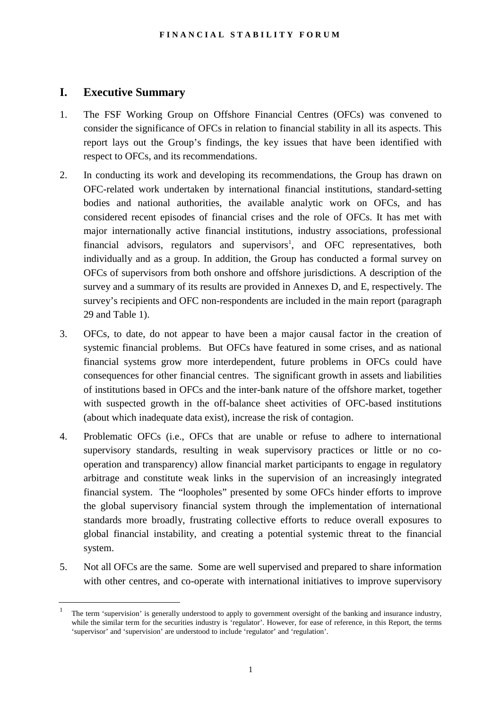# **I. Executive Summary**

- 1. The FSF Working Group on Offshore Financial Centres (OFCs) was convened to consider the significance of OFCs in relation to financial stability in all its aspects. This report lays out the Group's findings, the key issues that have been identified with respect to OFCs, and its recommendations.
- 2. In conducting its work and developing its recommendations, the Group has drawn on OFC-related work undertaken by international financial institutions, standard-setting bodies and national authorities, the available analytic work on OFCs, and has considered recent episodes of financial crises and the role of OFCs. It has met with major internationally active financial institutions, industry associations, professional financial advisors, regulators and supervisors<sup>1</sup>, and OFC representatives, both individually and as a group. In addition, the Group has conducted a formal survey on OFCs of supervisors from both onshore and offshore jurisdictions. A description of the survey and a summary of its results are provided in Annexes D, and E, respectively. The survey's recipients and OFC non-respondents are included in the main report (paragraph 29 and Table 1).
- 3. OFCs, to date, do not appear to have been a major causal factor in the creation of systemic financial problems. But OFCs have featured in some crises, and as national financial systems grow more interdependent, future problems in OFCs could have consequences for other financial centres. The significant growth in assets and liabilities of institutions based in OFCs and the inter-bank nature of the offshore market, together with suspected growth in the off-balance sheet activities of OFC-based institutions (about which inadequate data exist), increase the risk of contagion.
- 4. Problematic OFCs (i.e., OFCs that are unable or refuse to adhere to international supervisory standards, resulting in weak supervisory practices or little or no cooperation and transparency) allow financial market participants to engage in regulatory arbitrage and constitute weak links in the supervision of an increasingly integrated financial system. The "loopholes" presented by some OFCs hinder efforts to improve the global supervisory financial system through the implementation of international standards more broadly, frustrating collective efforts to reduce overall exposures to global financial instability, and creating a potential systemic threat to the financial system.
- 5. Not all OFCs are the same. Some are well supervised and prepared to share information with other centres, and co-operate with international initiatives to improve supervisory

<sup>1</sup> The term 'supervision' is generally understood to apply to government oversight of the banking and insurance industry, while the similar term for the securities industry is 'regulator'. However, for ease of reference, in this Report, the terms 'supervisor' and 'supervision' are understood to include 'regulator' and 'regulation'.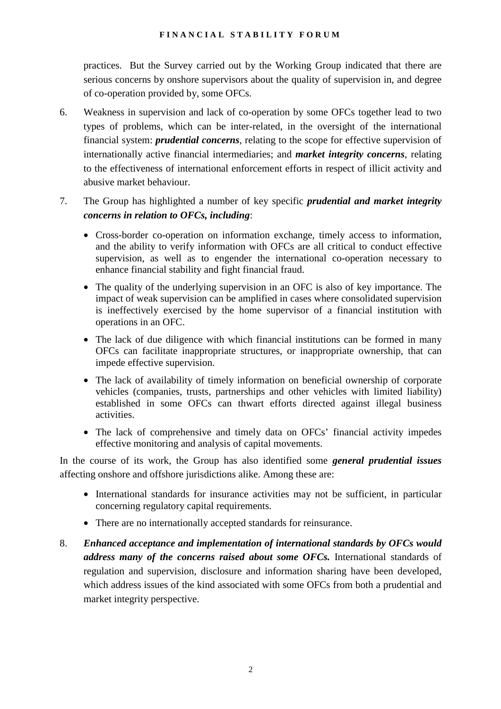practices. But the Survey carried out by the Working Group indicated that there are serious concerns by onshore supervisors about the quality of supervision in, and degree of co-operation provided by, some OFCs.

- 6. Weakness in supervision and lack of co-operation by some OFCs together lead to two types of problems, which can be inter-related, in the oversight of the international financial system: *prudential concerns,* relating to the scope for effective supervision of internationally active financial intermediaries; and *market integrity concerns*, relating to the effectiveness of international enforcement efforts in respect of illicit activity and abusive market behaviour.
- 7. The Group has highlighted a number of key specific *prudential and market integrity concerns in relation to OFCs, including*:
	- Cross-border co-operation on information exchange, timely access to information, and the ability to verify information with OFCs are all critical to conduct effective supervision, as well as to engender the international co-operation necessary to enhance financial stability and fight financial fraud.
	- The quality of the underlying supervision in an OFC is also of key importance. The impact of weak supervision can be amplified in cases where consolidated supervision is ineffectively exercised by the home supervisor of a financial institution with operations in an OFC.
	- The lack of due diligence with which financial institutions can be formed in many OFCs can facilitate inappropriate structures, or inappropriate ownership, that can impede effective supervision.
	- The lack of availability of timely information on beneficial ownership of corporate vehicles (companies, trusts, partnerships and other vehicles with limited liability) established in some OFCs can thwart efforts directed against illegal business activities.
	- The lack of comprehensive and timely data on OFCs' financial activity impedes effective monitoring and analysis of capital movements.

In the course of its work, the Group has also identified some *general prudential issues* affecting onshore and offshore jurisdictions alike. Among these are:

- International standards for insurance activities may not be sufficient, in particular concerning regulatory capital requirements.
- There are no internationally accepted standards for reinsurance.
- 8. *Enhanced acceptance and implementation of international standards by OFCs would address many of the concerns raised about some OFCs.* International standards of regulation and supervision, disclosure and information sharing have been developed, which address issues of the kind associated with some OFCs from both a prudential and market integrity perspective.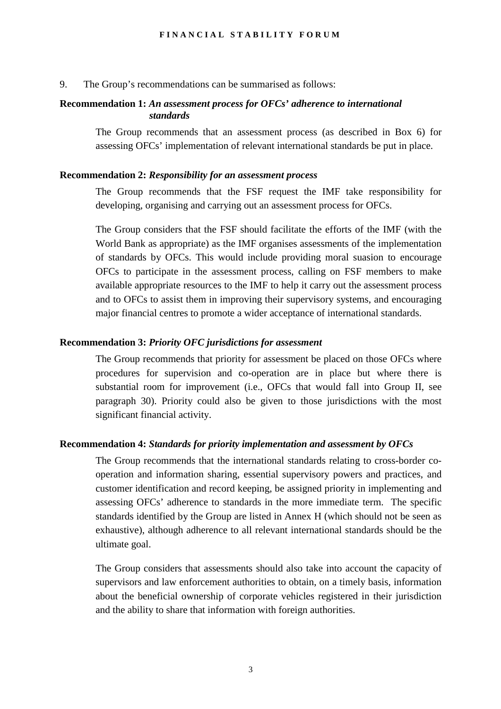## 9. The Group's recommendations can be summarised as follows:

# **Recommendation 1:** *An assessment process for OFCs' adherence to international standards*

The Group recommends that an assessment process (as described in Box 6) for assessing OFCs' implementation of relevant international standards be put in place.

# **Recommendation 2:** *Responsibility for an assessment process*

The Group recommends that the FSF request the IMF take responsibility for developing, organising and carrying out an assessment process for OFCs.

The Group considers that the FSF should facilitate the efforts of the IMF (with the World Bank as appropriate) as the IMF organises assessments of the implementation of standards by OFCs. This would include providing moral suasion to encourage OFCs to participate in the assessment process, calling on FSF members to make available appropriate resources to the IMF to help it carry out the assessment process and to OFCs to assist them in improving their supervisory systems, and encouraging major financial centres to promote a wider acceptance of international standards.

# **Recommendation 3:** *Priority OFC jurisdictions for assessment*

The Group recommends that priority for assessment be placed on those OFCs where procedures for supervision and co-operation are in place but where there is substantial room for improvement (i.e., OFCs that would fall into Group II, see paragraph 30). Priority could also be given to those jurisdictions with the most significant financial activity.

# **Recommendation 4:** *Standards for priority implementation and assessment by OFCs*

The Group recommends that the international standards relating to cross-border cooperation and information sharing, essential supervisory powers and practices, and customer identification and record keeping, be assigned priority in implementing and assessing OFCs' adherence to standards in the more immediate term. The specific standards identified by the Group are listed in Annex H (which should not be seen as exhaustive), although adherence to all relevant international standards should be the ultimate goal.

The Group considers that assessments should also take into account the capacity of supervisors and law enforcement authorities to obtain, on a timely basis, information about the beneficial ownership of corporate vehicles registered in their jurisdiction and the ability to share that information with foreign authorities.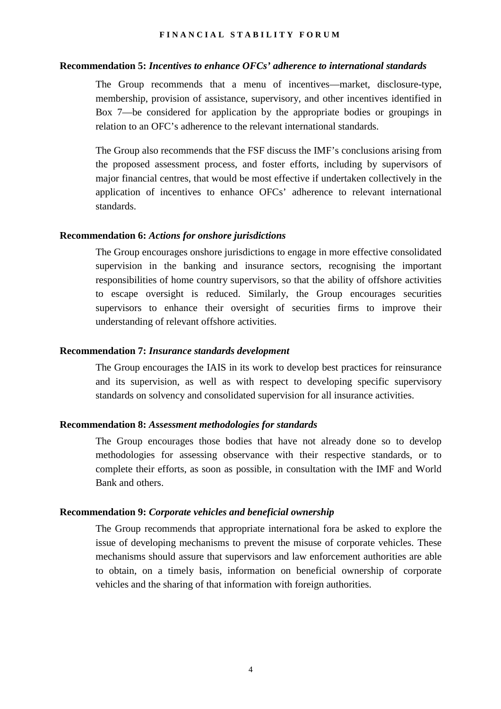# **Recommendation 5:** *Incentives to enhance OFCs' adherence to international standards*

The Group recommends that a menu of incentives—market, disclosure-type, membership, provision of assistance, supervisory, and other incentives identified in Box 7—be considered for application by the appropriate bodies or groupings in relation to an OFC's adherence to the relevant international standards.

The Group also recommends that the FSF discuss the IMF's conclusions arising from the proposed assessment process, and foster efforts, including by supervisors of major financial centres, that would be most effective if undertaken collectively in the application of incentives to enhance OFCs' adherence to relevant international standards.

# **Recommendation 6:** *Actions for onshore jurisdictions*

The Group encourages onshore jurisdictions to engage in more effective consolidated supervision in the banking and insurance sectors, recognising the important responsibilities of home country supervisors, so that the ability of offshore activities to escape oversight is reduced. Similarly, the Group encourages securities supervisors to enhance their oversight of securities firms to improve their understanding of relevant offshore activities.

# **Recommendation 7:** *Insurance standards development*

The Group encourages the IAIS in its work to develop best practices for reinsurance and its supervision, as well as with respect to developing specific supervisory standards on solvency and consolidated supervision for all insurance activities.

# **Recommendation 8:** *Assessment methodologies for standards*

The Group encourages those bodies that have not already done so to develop methodologies for assessing observance with their respective standards, or to complete their efforts, as soon as possible, in consultation with the IMF and World Bank and others.

# **Recommendation 9:** *Corporate vehicles and beneficial ownership*

The Group recommends that appropriate international fora be asked to explore the issue of developing mechanisms to prevent the misuse of corporate vehicles. These mechanisms should assure that supervisors and law enforcement authorities are able to obtain, on a timely basis, information on beneficial ownership of corporate vehicles and the sharing of that information with foreign authorities.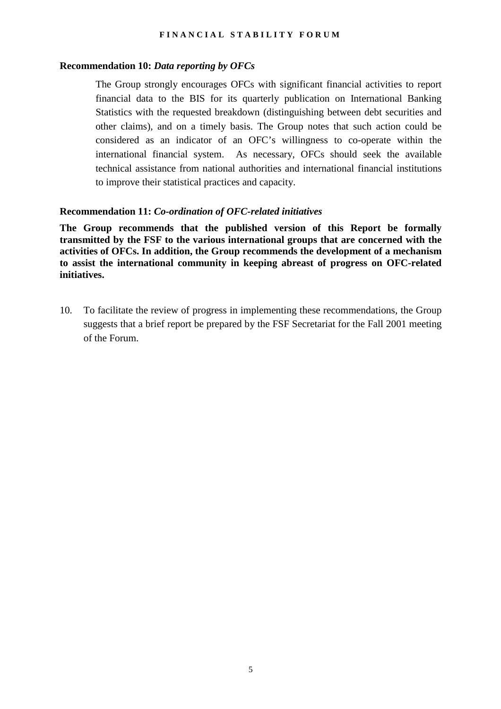# **Recommendation 10:** *Data reporting by OFCs*

The Group strongly encourages OFCs with significant financial activities to report financial data to the BIS for its quarterly publication on International Banking Statistics with the requested breakdown (distinguishing between debt securities and other claims), and on a timely basis. The Group notes that such action could be considered as an indicator of an OFC's willingness to co-operate within the international financial system. As necessary, OFCs should seek the available technical assistance from national authorities and international financial institutions to improve their statistical practices and capacity.

# **Recommendation 11:** *Co-ordination of OFC-related initiatives*

**The Group recommends that the published version of this Report be formally transmitted by the FSF to the various international groups that are concerned with the activities of OFCs. In addition, the Group recommends the development of a mechanism to assist the international community in keeping abreast of progress on OFC-related initiatives.**

10. To facilitate the review of progress in implementing these recommendations, the Group suggests that a brief report be prepared by the FSF Secretariat for the Fall 2001 meeting of the Forum.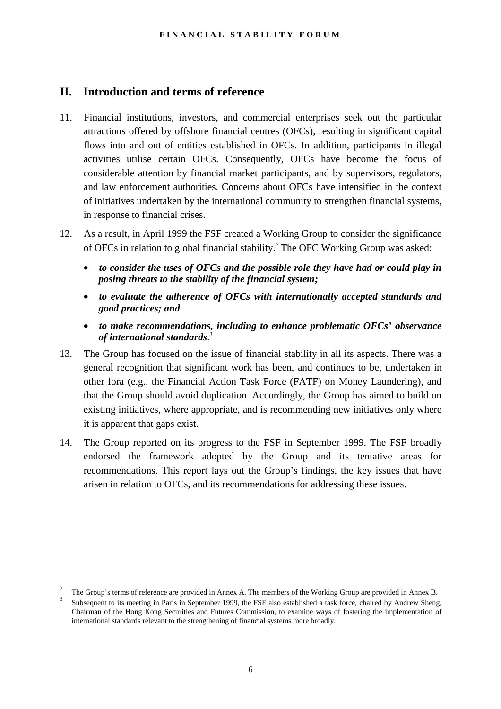# **II. Introduction and terms of reference**

- 11. Financial institutions, investors, and commercial enterprises seek out the particular attractions offered by offshore financial centres (OFCs), resulting in significant capital flows into and out of entities established in OFCs. In addition, participants in illegal activities utilise certain OFCs. Consequently, OFCs have become the focus of considerable attention by financial market participants, and by supervisors, regulators, and law enforcement authorities. Concerns about OFCs have intensified in the context of initiatives undertaken by the international community to strengthen financial systems, in response to financial crises.
- 12. As a result, in April 1999 the FSF created a Working Group to consider the significance of OFCs in relation to global financial stability.<sup>2</sup> The OFC Working Group was asked:
	- *to consider the uses of OFCs and the possible role they have had or could play in posing threats to the stability of the financial system;*
	- *to evaluate the adherence of OFCs with internationally accepted standards and good practices; and*
	- *to make recommendations, including to enhance problematic OFCs' observance of international standards*. 3
- 13. The Group has focused on the issue of financial stability in all its aspects. There was a general recognition that significant work has been, and continues to be, undertaken in other fora (e.g., the Financial Action Task Force (FATF) on Money Laundering), and that the Group should avoid duplication. Accordingly, the Group has aimed to build on existing initiatives, where appropriate, and is recommending new initiatives only where it is apparent that gaps exist.
- 14. The Group reported on its progress to the FSF in September 1999. The FSF broadly endorsed the framework adopted by the Group and its tentative areas for recommendations. This report lays out the Group's findings, the key issues that have arisen in relation to OFCs, and its recommendations for addressing these issues.

<sup>2</sup> The Group's terms of reference are provided in Annex A. The members of the Working Group are provided in Annex B.

<sup>3</sup> Subsequent to its meeting in Paris in September 1999, the FSF also established a task force, chaired by Andrew Sheng, Chairman of the Hong Kong Securities and Futures Commission, to examine ways of fostering the implementation of international standards relevant to the strengthening of financial systems more broadly.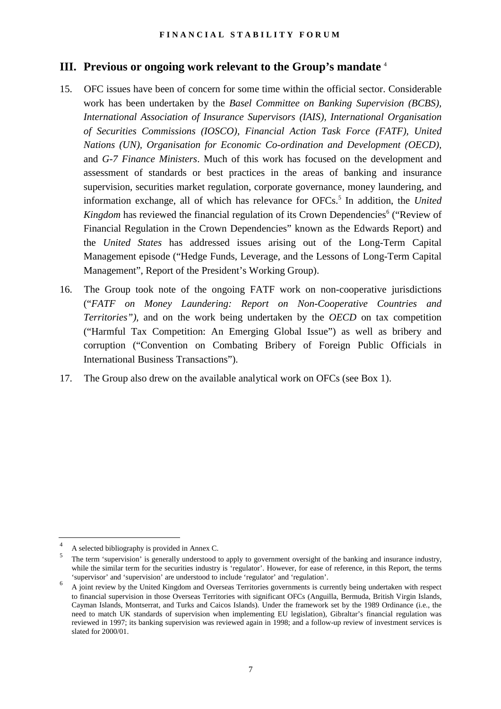# **III. Previous or ongoing work relevant to the Group's mandate** <sup>4</sup>

- 15. OFC issues have been of concern for some time within the official sector. Considerable work has been undertaken by the *Basel Committee on Banking Supervision (BCBS), International Association of Insurance Supervisors (IAIS), International Organisation of Securities Commissions (IOSCO), Financial Action Task Force (FATF), United Nations (UN), Organisation for Economic Co-ordination and Development (OECD),* and *G-7 Finance Ministers*. Much of this work has focused on the development and assessment of standards or best practices in the areas of banking and insurance supervision, securities market regulation, corporate governance, money laundering, and information exchange, all of which has relevance for OFCs.<sup>5</sup> In addition, the *United* Kingdom has reviewed the financial regulation of its Crown Dependencies<sup>6</sup> ("Review of Financial Regulation in the Crown Dependencies" known as the Edwards Report) and the *United States* has addressed issues arising out of the Long-Term Capital Management episode ("Hedge Funds, Leverage, and the Lessons of Long-Term Capital Management", Report of the President's Working Group).
- 16. The Group took note of the ongoing FATF work on non-cooperative jurisdictions ("*FATF on Money Laundering: Report on Non-Cooperative Countries and Territories"),* and on the work being undertaken by the *OECD* on tax competition ("Harmful Tax Competition: An Emerging Global Issue") as well as bribery and corruption ("Convention on Combating Bribery of Foreign Public Officials in International Business Transactions").
- 17. The Group also drew on the available analytical work on OFCs (see Box 1).

<sup>4</sup> A selected bibliography is provided in Annex C.

<sup>5</sup> The term 'supervision' is generally understood to apply to government oversight of the banking and insurance industry, while the similar term for the securities industry is 'regulator'. However, for ease of reference, in this Report, the terms 'supervisor' and 'supervision' are understood to include 'regulator' and 'regulation'. <sup>6</sup>

A joint review by the United Kingdom and Overseas Territories governments is currently being undertaken with respect to financial supervision in those Overseas Territories with significant OFCs (Anguilla, Bermuda, British Virgin Islands, Cayman Islands, Montserrat, and Turks and Caicos Islands). Under the framework set by the 1989 Ordinance (i.e., the need to match UK standards of supervision when implementing EU legislation), Gibraltar's financial regulation was reviewed in 1997; its banking supervision was reviewed again in 1998; and a follow-up review of investment services is slated for 2000/01.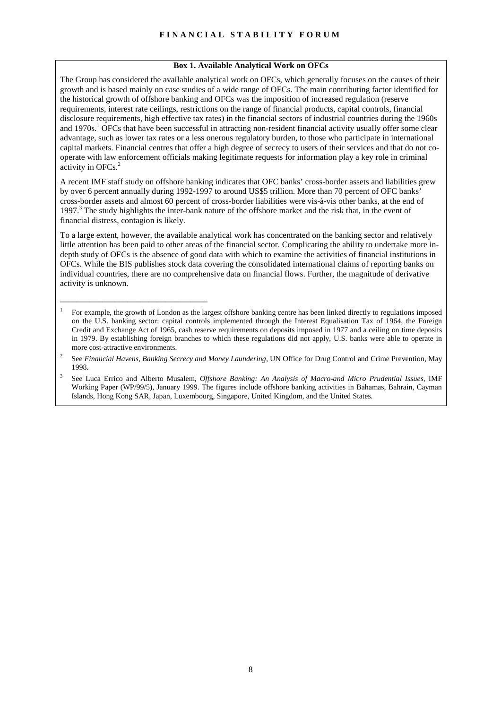### **Box 1. Available Analytical Work on OFCs**

The Group has considered the available analytical work on OFCs, which generally focuses on the causes of their growth and is based mainly on case studies of a wide range of OFCs. The main contributing factor identified for the historical growth of offshore banking and OFCs was the imposition of increased regulation (reserve requirements, interest rate ceilings, restrictions on the range of financial products, capital controls, financial disclosure requirements, high effective tax rates) in the financial sectors of industrial countries during the 1960s and 1970s.<sup>1</sup> OFCs that have been successful in attracting non-resident financial activity usually offer some clear advantage, such as lower tax rates or a less onerous regulatory burden, to those who participate in international capital markets. Financial centres that offer a high degree of secrecy to users of their services and that do not cooperate with law enforcement officials making legitimate requests for information play a key role in criminal activity in OFCs.<sup>2</sup>

A recent IMF staff study on offshore banking indicates that OFC banks' cross-border assets and liabilities grew by over 6 percent annually during 1992-1997 to around US\$5 trillion. More than 70 percent of OFC banks' cross-border assets and almost 60 percent of cross-border liabilities were vis-à-vis other banks, at the end of 1997.<sup>3</sup> The study highlights the inter-bank nature of the offshore market and the risk that, in the event of financial distress, contagion is likely.

To a large extent, however, the available analytical work has concentrated on the banking sector and relatively little attention has been paid to other areas of the financial sector. Complicating the ability to undertake more indepth study of OFCs is the absence of good data with which to examine the activities of financial institutions in OFCs. While the BIS publishes stock data covering the consolidated international claims of reporting banks on individual countries, there are no comprehensive data on financial flows. Further, the magnitude of derivative activity is unknown.

\_\_\_\_\_\_\_\_\_\_\_\_\_\_\_\_\_\_\_\_\_\_\_\_\_\_\_\_\_\_\_\_\_\_\_

<sup>1</sup> For example, the growth of London as the largest offshore banking centre has been linked directly to regulations imposed on the U.S. banking sector: capital controls implemented through the Interest Equalisation Tax of 1964, the Foreign Credit and Exchange Act of 1965, cash reserve requirements on deposits imposed in 1977 and a ceiling on time deposits in 1979. By establishing foreign branches to which these regulations did not apply, U.S. banks were able to operate in more cost-attractive environments.

<sup>2</sup> See *Financial Havens, Banking Secrecy and Money Laundering*, UN Office for Drug Control and Crime Prevention, May 1998.

<sup>3</sup> See Luca Errico and Alberto Musalem, *Offshore Banking: An Analysis of Macro-and Micro Prudential Issues*, IMF Working Paper (WP/99/5), January 1999. The figures include offshore banking activities in Bahamas, Bahrain, Cayman Islands, Hong Kong SAR, Japan, Luxembourg, Singapore, United Kingdom, and the United States.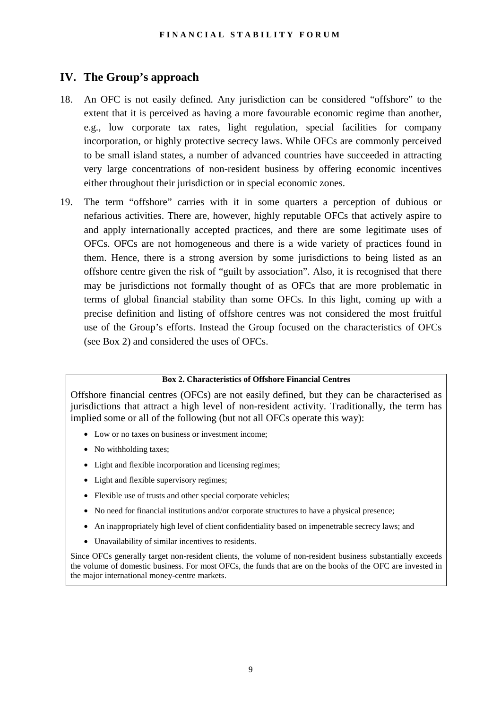# **IV. The Group's approach**

- 18. An OFC is not easily defined. Any jurisdiction can be considered "offshore" to the extent that it is perceived as having a more favourable economic regime than another, e.g., low corporate tax rates, light regulation, special facilities for company incorporation, or highly protective secrecy laws. While OFCs are commonly perceived to be small island states, a number of advanced countries have succeeded in attracting very large concentrations of non-resident business by offering economic incentives either throughout their jurisdiction or in special economic zones.
- 19. The term "offshore" carries with it in some quarters a perception of dubious or nefarious activities. There are, however, highly reputable OFCs that actively aspire to and apply internationally accepted practices, and there are some legitimate uses of OFCs. OFCs are not homogeneous and there is a wide variety of practices found in them. Hence, there is a strong aversion by some jurisdictions to being listed as an offshore centre given the risk of "guilt by association". Also, it is recognised that there may be jurisdictions not formally thought of as OFCs that are more problematic in terms of global financial stability than some OFCs. In this light, coming up with a precise definition and listing of offshore centres was not considered the most fruitful use of the Group's efforts. Instead the Group focused on the characteristics of OFCs (see Box 2) and considered the uses of OFCs.

# **Box 2. Characteristics of Offshore Financial Centres**

Offshore financial centres (OFCs) are not easily defined, but they can be characterised as jurisdictions that attract a high level of non-resident activity. Traditionally, the term has implied some or all of the following (but not all OFCs operate this way):

- Low or no taxes on business or investment income;
- No withholding taxes;
- Light and flexible incorporation and licensing regimes;
- Light and flexible supervisory regimes;
- Flexible use of trusts and other special corporate vehicles:
- No need for financial institutions and/or corporate structures to have a physical presence;
- An inappropriately high level of client confidentiality based on impenetrable secrecy laws; and
- Unavailability of similar incentives to residents.

Since OFCs generally target non-resident clients, the volume of non-resident business substantially exceeds the volume of domestic business. For most OFCs, the funds that are on the books of the OFC are invested in the major international money-centre markets.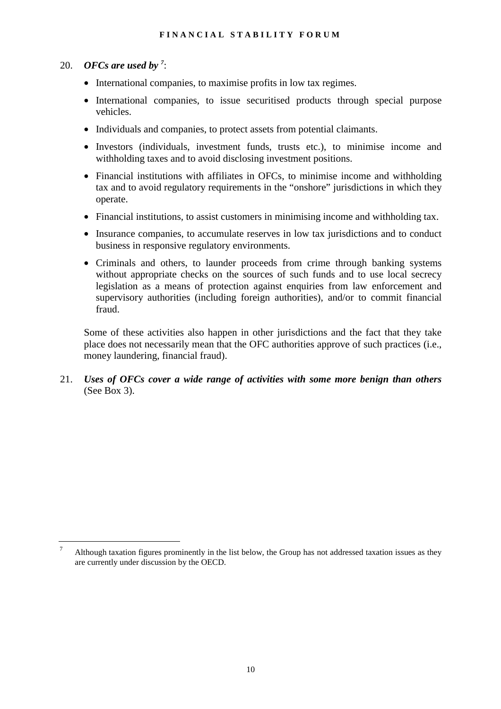# 20.  $OFCs$  are used by <sup>7</sup>:

- International companies, to maximise profits in low tax regimes.
- International companies, to issue securitised products through special purpose vehicles.
- Individuals and companies, to protect assets from potential claimants.
- Investors (individuals, investment funds, trusts etc.), to minimise income and withholding taxes and to avoid disclosing investment positions.
- Financial institutions with affiliates in OFCs, to minimise income and withholding tax and to avoid regulatory requirements in the "onshore" jurisdictions in which they operate.
- Financial institutions, to assist customers in minimising income and withholding tax.
- Insurance companies, to accumulate reserves in low tax jurisdictions and to conduct business in responsive regulatory environments.
- Criminals and others, to launder proceeds from crime through banking systems without appropriate checks on the sources of such funds and to use local secrecy legislation as a means of protection against enquiries from law enforcement and supervisory authorities (including foreign authorities), and/or to commit financial fraud.

Some of these activities also happen in other jurisdictions and the fact that they take place does not necessarily mean that the OFC authorities approve of such practices (i.e., money laundering, financial fraud).

21. *Uses of OFCs cover a wide range of activities with some more benign than others* (See Box 3).

<sup>7</sup> Although taxation figures prominently in the list below, the Group has not addressed taxation issues as they are currently under discussion by the OECD.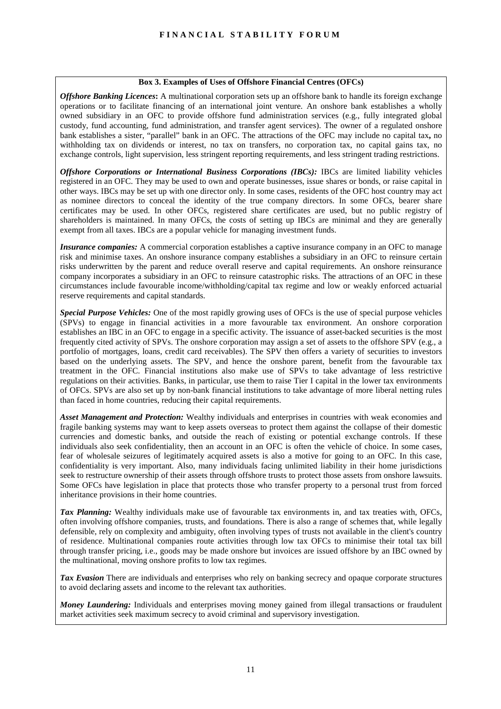### **Box 3. Examples of Uses of Offshore Financial Centres (OFCs)**

*Offshore Banking Licences***:** A multinational corporation sets up an offshore bank to handle its foreign exchange operations or to facilitate financing of an international joint venture. An onshore bank establishes a wholly owned subsidiary in an OFC to provide offshore fund administration services (e.g., fully integrated global custody, fund accounting, fund administration, and transfer agent services). The owner of a regulated onshore bank establishes a sister, "parallel" bank in an OFC. The attractions of the OFC may include no capital tax**,** no withholding tax on dividends or interest, no tax on transfers, no corporation tax, no capital gains tax, no exchange controls, light supervision, less stringent reporting requirements, and less stringent trading restrictions.

*Offshore Corporations or International Business Corporations (IBCs):* IBCs are limited liability vehicles registered in an OFC. They may be used to own and operate businesses, issue shares or bonds, or raise capital in other ways. IBCs may be set up with one director only. In some cases, residents of the OFC host country may act as nominee directors to conceal the identity of the true company directors. In some OFCs, bearer share certificates may be used. In other OFCs, registered share certificates are used, but no public registry of shareholders is maintained. In many OFCs, the costs of setting up IBCs are minimal and they are generally exempt from all taxes. IBCs are a popular vehicle for managing investment funds.

*Insurance companies:* A commercial corporation establishes a captive insurance company in an OFC to manage risk and minimise taxes. An onshore insurance company establishes a subsidiary in an OFC to reinsure certain risks underwritten by the parent and reduce overall reserve and capital requirements. An onshore reinsurance company incorporates a subsidiary in an OFC to reinsure catastrophic risks. The attractions of an OFC in these circumstances include favourable income/withholding/capital tax regime and low or weakly enforced actuarial reserve requirements and capital standards.

*Special Purpose Vehicles:* One of the most rapidly growing uses of OFCs is the use of special purpose vehicles (SPVs) to engage in financial activities in a more favourable tax environment. An onshore corporation establishes an IBC in an OFC to engage in a specific activity. The issuance of asset-backed securities is the most frequently cited activity of SPVs. The onshore corporation may assign a set of assets to the offshore SPV (e.g., a portfolio of mortgages, loans, credit card receivables). The SPV then offers a variety of securities to investors based on the underlying assets. The SPV, and hence the onshore parent, benefit from the favourable tax treatment in the OFC. Financial institutions also make use of SPVs to take advantage of less restrictive regulations on their activities. Banks, in particular, use them to raise Tier I capital in the lower tax environments of OFCs. SPVs are also set up by non-bank financial institutions to take advantage of more liberal netting rules than faced in home countries, reducing their capital requirements.

*Asset Management and Protection:* Wealthy individuals and enterprises in countries with weak economies and fragile banking systems may want to keep assets overseas to protect them against the collapse of their domestic currencies and domestic banks, and outside the reach of existing or potential exchange controls. If these individuals also seek confidentiality, then an account in an OFC is often the vehicle of choice. In some cases, fear of wholesale seizures of legitimately acquired assets is also a motive for going to an OFC. In this case, confidentiality is very important. Also, many individuals facing unlimited liability in their home jurisdictions seek to restructure ownership of their assets through offshore trusts to protect those assets from onshore lawsuits. Some OFCs have legislation in place that protects those who transfer property to a personal trust from forced inheritance provisions in their home countries.

*Tax Planning:* Wealthy individuals make use of favourable tax environments in, and tax treaties with, OFCs, often involving offshore companies, trusts, and foundations. There is also a range of schemes that, while legally defensible, rely on complexity and ambiguity, often involving types of trusts not available in the client's country of residence. Multinational companies route activities through low tax OFCs to minimise their total tax bill through transfer pricing, i.e., goods may be made onshore but invoices are issued offshore by an IBC owned by the multinational, moving onshore profits to low tax regimes.

*Tax Evasion* There are individuals and enterprises who rely on banking secrecy and opaque corporate structures to avoid declaring assets and income to the relevant tax authorities.

*Money Laundering:* Individuals and enterprises moving money gained from illegal transactions or fraudulent market activities seek maximum secrecy to avoid criminal and supervisory investigation.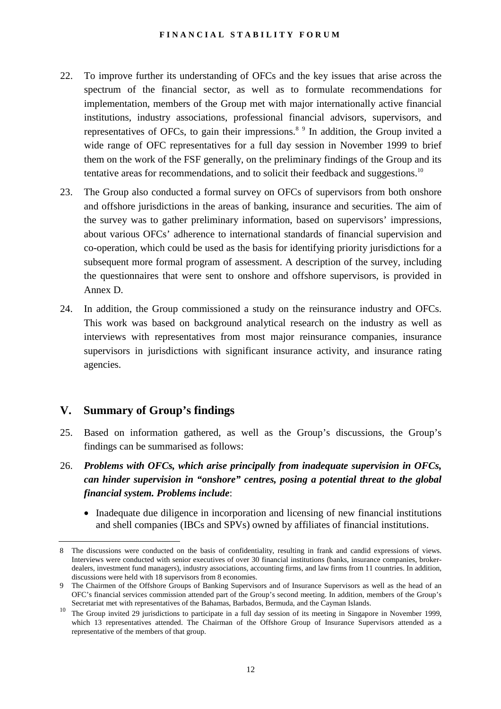- 22. To improve further its understanding of OFCs and the key issues that arise across the spectrum of the financial sector, as well as to formulate recommendations for implementation, members of the Group met with major internationally active financial institutions, industry associations, professional financial advisors, supervisors, and representatives of OFCs, to gain their impressions.<sup>8</sup> <sup>9</sup> In addition, the Group invited a wide range of OFC representatives for a full day session in November 1999 to brief them on the work of the FSF generally, on the preliminary findings of the Group and its tentative areas for recommendations, and to solicit their feedback and suggestions.<sup>10</sup>
- 23. The Group also conducted a formal survey on OFCs of supervisors from both onshore and offshore jurisdictions in the areas of banking, insurance and securities. The aim of the survey was to gather preliminary information, based on supervisors' impressions, about various OFCs' adherence to international standards of financial supervision and co-operation, which could be used as the basis for identifying priority jurisdictions for a subsequent more formal program of assessment. A description of the survey, including the questionnaires that were sent to onshore and offshore supervisors, is provided in Annex D.
- 24. In addition, the Group commissioned a study on the reinsurance industry and OFCs. This work was based on background analytical research on the industry as well as interviews with representatives from most major reinsurance companies, insurance supervisors in jurisdictions with significant insurance activity, and insurance rating agencies.

# **V. Summary of Group's findings**

- 25. Based on information gathered, as well as the Group's discussions, the Group's findings can be summarised as follows:
- 26. *Problems with OFCs, which arise principally from inadequate supervision in OFCs, can hinder supervision in "onshore" centres, posing a potential threat to the global financial system. Problems include*:
	- Inadequate due diligence in incorporation and licensing of new financial institutions and shell companies (IBCs and SPVs) owned by affiliates of financial institutions.

<sup>8</sup> The discussions were conducted on the basis of confidentiality, resulting in frank and candid expressions of views. Interviews were conducted with senior executives of over 30 financial institutions (banks, insurance companies, brokerdealers, investment fund managers), industry associations, accounting firms, and law firms from 11 countries. In addition, discussions were held with 18 supervisors from 8 economies.

<sup>9</sup> The Chairmen of the Offshore Groups of Banking Supervisors and of Insurance Supervisors as well as the head of an OFC's financial services commission attended part of the Group's second meeting. In addition, members of the Group's Secretariat met with representatives of the Bahamas, Barbados, Bermuda, and the Cayman Islands.

<sup>&</sup>lt;sup>10</sup> The Group invited 29 jurisdictions to participate in a full day session of its meeting in Singapore in November 1999, which 13 representatives attended. The Chairman of the Offshore Group of Insurance Supervisors attended as a representative of the members of that group.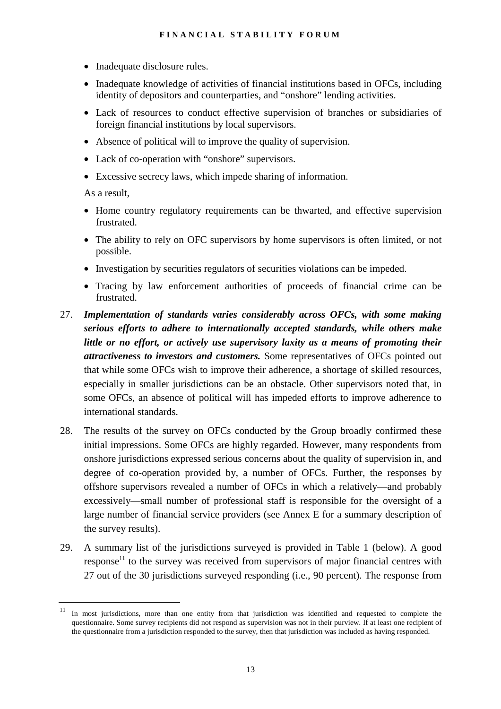- Inadequate disclosure rules.
- Inadequate knowledge of activities of financial institutions based in OFCs, including identity of depositors and counterparties, and "onshore" lending activities.
- Lack of resources to conduct effective supervision of branches or subsidiaries of foreign financial institutions by local supervisors.
- Absence of political will to improve the quality of supervision.
- Lack of co-operation with "onshore" supervisors.
- Excessive secrecy laws, which impede sharing of information.

As a result,

- Home country regulatory requirements can be thwarted, and effective supervision frustrated.
- The ability to rely on OFC supervisors by home supervisors is often limited, or not possible.
- Investigation by securities regulators of securities violations can be impeded.
- Tracing by law enforcement authorities of proceeds of financial crime can be frustrated.
- 27. *Implementation of standards varies considerably across OFCs, with some making serious efforts to adhere to internationally accepted standards, while others make little or no effort, or actively use supervisory laxity as a means of promoting their attractiveness to investors and customers.* Some representatives of OFCs pointed out that while some OFCs wish to improve their adherence, a shortage of skilled resources, especially in smaller jurisdictions can be an obstacle. Other supervisors noted that, in some OFCs, an absence of political will has impeded efforts to improve adherence to international standards.
- 28. The results of the survey on OFCs conducted by the Group broadly confirmed these initial impressions. Some OFCs are highly regarded. However, many respondents from onshore jurisdictions expressed serious concerns about the quality of supervision in, and degree of co-operation provided by, a number of OFCs. Further, the responses by offshore supervisors revealed a number of OFCs in which a relatively—and probably excessively—small number of professional staff is responsible for the oversight of a large number of financial service providers (see Annex E for a summary description of the survey results).
- 29. A summary list of the jurisdictions surveyed is provided in Table 1 (below). A good  $r_{\text{exposure}}$ <sup>11</sup> to the survey was received from supervisors of major financial centres with 27 out of the 30 jurisdictions surveyed responding (i.e., 90 percent). The response from

<sup>11</sup> In most jurisdictions, more than one entity from that jurisdiction was identified and requested to complete the questionnaire. Some survey recipients did not respond as supervision was not in their purview. If at least one recipient of the questionnaire from a jurisdiction responded to the survey, then that jurisdiction was included as having responded.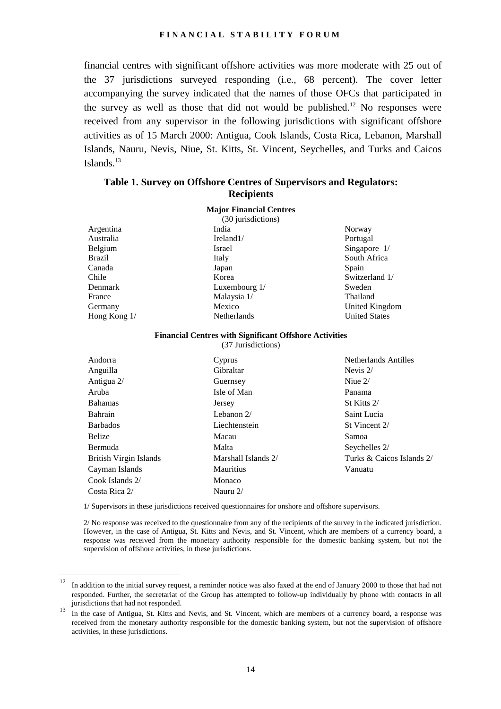financial centres with significant offshore activities was more moderate with 25 out of the 37 jurisdictions surveyed responding (i.e., 68 percent). The cover letter accompanying the survey indicated that the names of those OFCs that participated in the survey as well as those that did not would be published.<sup>12</sup> No responses were received from any supervisor in the following jurisdictions with significant offshore activities as of 15 March 2000: Antigua, Cook Islands, Costa Rica, Lebanon, Marshall Islands, Nauru, Nevis, Niue, St. Kitts, St. Vincent, Seychelles, and Turks and Caicos Islands.13

# **Table 1. Survey on Offshore Centres of Supervisors and Regulators: Recipients**

|                | <b>Major Financial Centres</b> |                      |
|----------------|--------------------------------|----------------------|
|                | (30 jurisdictions)             |                      |
| Argentina      | India                          | Norway               |
| Australia      | Ireland1/                      | Portugal             |
| <b>Belgium</b> | Israel                         | Singapore $1/$       |
| <b>Brazil</b>  | Italy                          | South Africa         |
| Canada         | Japan                          | Spain                |
| Chile          | Korea                          | Switzerland 1/       |
| Denmark        | Luxembourg $1/$                | Sweden               |
| France         | Malaysia 1/                    | Thailand             |
| Germany        | Mexico                         | United Kingdom       |
| Hong Kong $1/$ | Netherlands                    | <b>United States</b> |

### **Financial Centres with Significant Offshore Activities**

|                        | (37 Jurisdictions)  |                           |
|------------------------|---------------------|---------------------------|
| Andorra                | Cyprus              | Netherlands Antilles      |
| Anguilla               | Gibraltar           | Nevis $2/$                |
| Antigua 2/             | Guernsey            | Niue $2/$                 |
| Aruba                  | Isle of Man         | Panama                    |
| Bahamas                | Jersey              | St Kitts 2/               |
| Bahrain                | Lebanon $2/$        | Saint Lucia               |
| Barbados               | Liechtenstein       | St Vincent 2/             |
| Belize                 | Macau               | Samoa                     |
| Bermuda                | Malta               | Seychelles 2/             |
| British Virgin Islands | Marshall Islands 2/ | Turks & Caicos Islands 2/ |
| Cayman Islands         | <b>Mauritius</b>    | Vanuatu                   |
| Cook Islands 2/        | Monaco              |                           |
| Costa Rica 2/          | Nauru 2/            |                           |

1/ Supervisors in these jurisdictions received questionnaires for onshore and offshore supervisors.

2/ No response was received to the questionnaire from any of the recipients of the survey in the indicated jurisdiction. However, in the case of Antigua, St. Kitts and Nevis, and St. Vincent, which are members of a currency board, a response was received from the monetary authority responsible for the domestic banking system, but not the supervision of offshore activities, in these jurisdictions.

<sup>&</sup>lt;sup>12</sup> In addition to the initial survey request, a reminder notice was also faxed at the end of January 2000 to those that had not responded. Further, the secretariat of the Group has attempted to follow-up individually by phone with contacts in all jurisdictions that had not responded.

<sup>&</sup>lt;sup>13</sup> In the case of Antigua, St. Kitts and Nevis, and St. Vincent, which are members of a currency board, a response was received from the monetary authority responsible for the domestic banking system, but not the supervision of offshore activities, in these jurisdictions.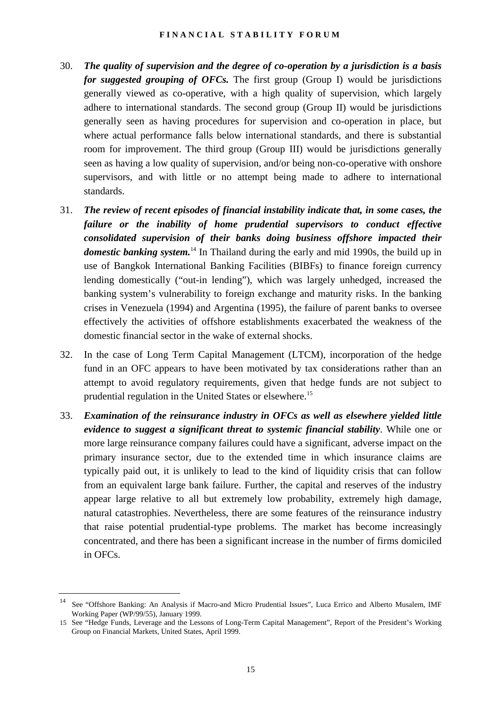- 30. *The quality of supervision and the degree of co-operation by a jurisdiction is a basis for suggested grouping of OFCs.* The first group (Group I) would be jurisdictions generally viewed as co-operative, with a high quality of supervision, which largely adhere to international standards. The second group (Group II) would be jurisdictions generally seen as having procedures for supervision and co-operation in place, but where actual performance falls below international standards, and there is substantial room for improvement. The third group (Group III) would be jurisdictions generally seen as having a low quality of supervision, and/or being non-co-operative with onshore supervisors, and with little or no attempt being made to adhere to international standards.
- 31. *The review of recent episodes of financial instability indicate that, in some cases, the failure or the inability of home prudential supervisors to conduct effective consolidated supervision of their banks doing business offshore impacted their domestic banking system.*<sup>14</sup> In Thailand during the early and mid 1990s, the build up in use of Bangkok International Banking Facilities (BIBFs) to finance foreign currency lending domestically ("out-in lending"), which was largely unhedged, increased the banking system's vulnerability to foreign exchange and maturity risks. In the banking crises in Venezuela (1994) and Argentina (1995), the failure of parent banks to oversee effectively the activities of offshore establishments exacerbated the weakness of the domestic financial sector in the wake of external shocks.
- 32. In the case of Long Term Capital Management (LTCM), incorporation of the hedge fund in an OFC appears to have been motivated by tax considerations rather than an attempt to avoid regulatory requirements, given that hedge funds are not subject to prudential regulation in the United States or elsewhere.15
- 33. *Examination of the reinsurance industry in OFCs as well as elsewhere yielded little evidence to suggest a significant threat to systemic financial stability*. While one or more large reinsurance company failures could have a significant, adverse impact on the primary insurance sector, due to the extended time in which insurance claims are typically paid out, it is unlikely to lead to the kind of liquidity crisis that can follow from an equivalent large bank failure. Further, the capital and reserves of the industry appear large relative to all but extremely low probability, extremely high damage, natural catastrophies. Nevertheless, there are some features of the reinsurance industry that raise potential prudential-type problems. The market has become increasingly concentrated, and there has been a significant increase in the number of firms domiciled in OFCs.

<sup>14</sup> See "Offshore Banking: An Analysis if Macro-and Micro Prudential Issues", Luca Errico and Alberto Musalem, IMF Working Paper (WP/99/55), January 1999.

<sup>15</sup> See "Hedge Funds, Leverage and the Lessons of Long-Term Capital Management", Report of the President's Working Group on Financial Markets, United States, April 1999.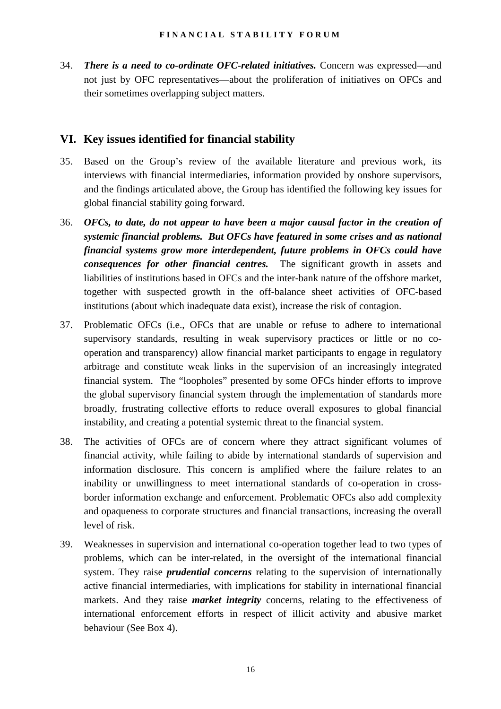34. *There is a need to co-ordinate OFC-related initiatives.* Concern was expressed—and not just by OFC representatives—about the proliferation of initiatives on OFCs and their sometimes overlapping subject matters.

# **VI. Key issues identified for financial stability**

- 35. Based on the Group's review of the available literature and previous work, its interviews with financial intermediaries, information provided by onshore supervisors, and the findings articulated above, the Group has identified the following key issues for global financial stability going forward.
- 36. *OFCs, to date, do not appear to have been a major causal factor in the creation of systemic financial problems. But OFCs have featured in some crises and as national financial systems grow more interdependent, future problems in OFCs could have consequences for other financial centres.* The significant growth in assets and liabilities of institutions based in OFCs and the inter-bank nature of the offshore market, together with suspected growth in the off-balance sheet activities of OFC-based institutions (about which inadequate data exist), increase the risk of contagion.
- 37. Problematic OFCs (i.e., OFCs that are unable or refuse to adhere to international supervisory standards, resulting in weak supervisory practices or little or no cooperation and transparency) allow financial market participants to engage in regulatory arbitrage and constitute weak links in the supervision of an increasingly integrated financial system. The "loopholes" presented by some OFCs hinder efforts to improve the global supervisory financial system through the implementation of standards more broadly, frustrating collective efforts to reduce overall exposures to global financial instability, and creating a potential systemic threat to the financial system.
- 38. The activities of OFCs are of concern where they attract significant volumes of financial activity, while failing to abide by international standards of supervision and information disclosure. This concern is amplified where the failure relates to an inability or unwillingness to meet international standards of co-operation in crossborder information exchange and enforcement. Problematic OFCs also add complexity and opaqueness to corporate structures and financial transactions, increasing the overall level of risk.
- 39. Weaknesses in supervision and international co-operation together lead to two types of problems, which can be inter-related, in the oversight of the international financial system. They raise *prudential concerns* relating to the supervision of internationally active financial intermediaries, with implications for stability in international financial markets. And they raise *market integrity* concerns, relating to the effectiveness of international enforcement efforts in respect of illicit activity and abusive market behaviour (See Box 4).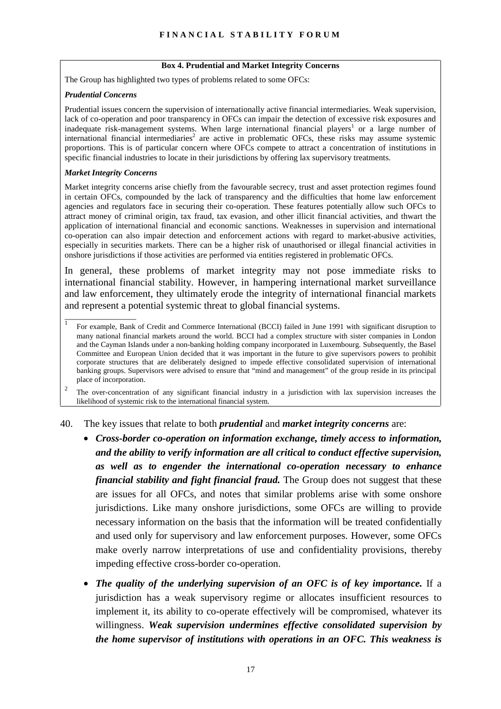### **Box 4. Prudential and Market Integrity Concerns**

The Group has highlighted two types of problems related to some OFCs:

### *Prudential Concerns*

Prudential issues concern the supervision of internationally active financial intermediaries. Weak supervision, lack of co-operation and poor transparency in OFCs can impair the detection of excessive risk exposures and inadequate risk-management systems. When large international financial players<sup>1</sup> or a large number of international financial intermediaries<sup>2</sup> are active in problematic OFCs, these risks may assume systemic proportions. This is of particular concern where OFCs compete to attract a concentration of institutions in specific financial industries to locate in their jurisdictions by offering lax supervisory treatments.

### *Market Integrity Concerns*

\_\_\_\_\_\_\_\_\_\_\_\_\_\_\_\_\_

Market integrity concerns arise chiefly from the favourable secrecy, trust and asset protection regimes found in certain OFCs, compounded by the lack of transparency and the difficulties that home law enforcement agencies and regulators face in securing their co-operation. These features potentially allow such OFCs to attract money of criminal origin, tax fraud, tax evasion, and other illicit financial activities, and thwart the application of international financial and economic sanctions. Weaknesses in supervision and international co-operation can also impair detection and enforcement actions with regard to market-abusive activities, especially in securities markets. There can be a higher risk of unauthorised or illegal financial activities in onshore jurisdictions if those activities are performed via entities registered in problematic OFCs.

In general, these problems of market integrity may not pose immediate risks to international financial stability. However, in hampering international market surveillance and law enforcement, they ultimately erode the integrity of international financial markets and represent a potential systemic threat to global financial systems.

<sup>2</sup> The over-concentration of any significant financial industry in a jurisdiction with lax supervision increases the likelihood of systemic risk to the international financial system.

# 40. The key issues that relate to both *prudential* and *market integrity concerns* are:

- *Cross-border co-operation on information exchange, timely access to information, and the ability to verify information are all critical to conduct effective supervision, as well as to engender the international co-operation necessary to enhance financial stability and fight financial fraud.* The Group does not suggest that these are issues for all OFCs, and notes that similar problems arise with some onshore jurisdictions. Like many onshore jurisdictions, some OFCs are willing to provide necessary information on the basis that the information will be treated confidentially and used only for supervisory and law enforcement purposes. However, some OFCs make overly narrow interpretations of use and confidentiality provisions, thereby impeding effective cross-border co-operation.
- *The quality of the underlying supervision of an OFC is of key importance.* If a jurisdiction has a weak supervisory regime or allocates insufficient resources to implement it, its ability to co-operate effectively will be compromised, whatever its willingness. *Weak supervision undermines effective consolidated supervision by the home supervisor of institutions with operations in an OFC. This weakness is*

<sup>&</sup>lt;sup>1</sup> For example, Bank of Credit and Commerce International (BCCI) failed in June 1991 with significant disruption to many national financial markets around the world. BCCI had a complex structure with sister companies in London and the Cayman Islands under a non-banking holding company incorporated in Luxembourg. Subsequently, the Basel Committee and European Union decided that it was important in the future to give supervisors powers to prohibit corporate structures that are deliberately designed to impede effective consolidated supervision of international banking groups. Supervisors were advised to ensure that "mind and management" of the group reside in its principal place of incorporation.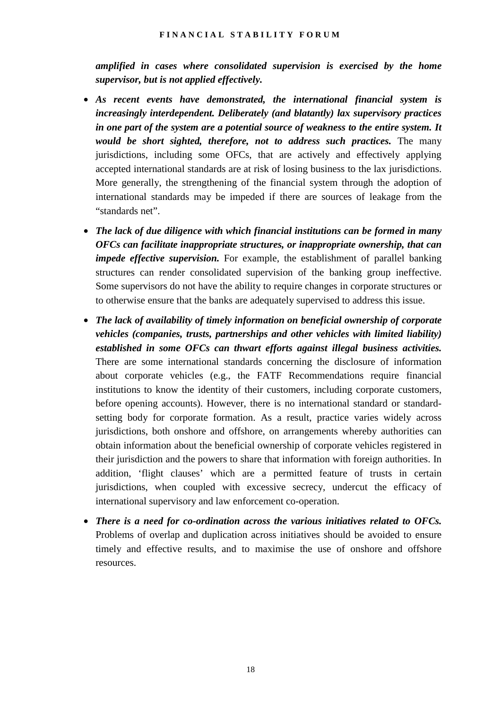*amplified in cases where consolidated supervision is exercised by the home supervisor, but is not applied effectively.*

- *As recent events have demonstrated, the international financial system is increasingly interdependent. Deliberately (and blatantly) lax supervisory practices in one part of the system are a potential source of weakness to the entire system. It would be short sighted, therefore, not to address such practices.* The many jurisdictions, including some OFCs, that are actively and effectively applying accepted international standards are at risk of losing business to the lax jurisdictions. More generally, the strengthening of the financial system through the adoption of international standards may be impeded if there are sources of leakage from the "standards net".
- *The lack of due diligence with which financial institutions can be formed in many OFCs can facilitate inappropriate structures, or inappropriate ownership, that can impede effective supervision.* For example, the establishment of parallel banking structures can render consolidated supervision of the banking group ineffective. Some supervisors do not have the ability to require changes in corporate structures or to otherwise ensure that the banks are adequately supervised to address this issue.
- *The lack of availability of timely information on beneficial ownership of corporate vehicles (companies, trusts, partnerships and other vehicles with limited liability) established in some OFCs can thwart efforts against illegal business activities.* There are some international standards concerning the disclosure of information about corporate vehicles (e.g., the FATF Recommendations require financial institutions to know the identity of their customers, including corporate customers, before opening accounts). However, there is no international standard or standardsetting body for corporate formation. As a result, practice varies widely across jurisdictions, both onshore and offshore, on arrangements whereby authorities can obtain information about the beneficial ownership of corporate vehicles registered in their jurisdiction and the powers to share that information with foreign authorities. In addition, 'flight clauses' which are a permitted feature of trusts in certain jurisdictions, when coupled with excessive secrecy, undercut the efficacy of international supervisory and law enforcement co-operation.
- *There is a need for co-ordination across the various initiatives related to OFCs.* Problems of overlap and duplication across initiatives should be avoided to ensure timely and effective results, and to maximise the use of onshore and offshore resources.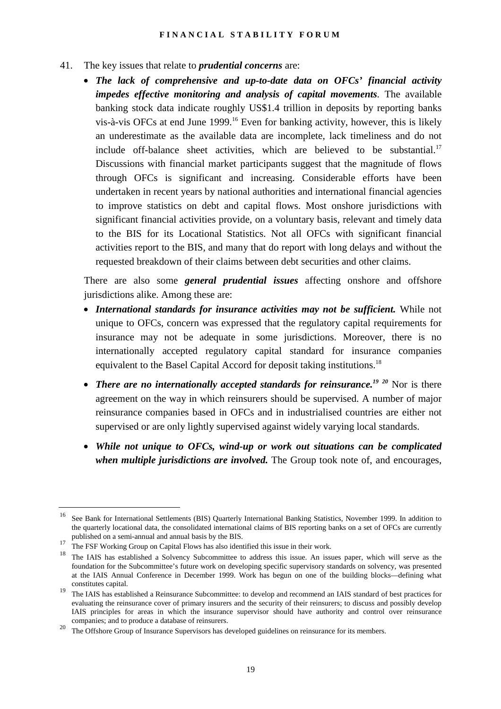- 41. The key issues that relate to *prudential concerns* are:
	- *The lack of comprehensive and up-to-date data on OFCs' financial activity impedes effective monitoring and analysis of capital movements.* The available banking stock data indicate roughly US\$1.4 trillion in deposits by reporting banks vis-à-vis OFCs at end June 1999.<sup>16</sup> Even for banking activity, however, this is likely an underestimate as the available data are incomplete, lack timeliness and do not include off-balance sheet activities, which are believed to be substantial.<sup>17</sup> Discussions with financial market participants suggest that the magnitude of flows through OFCs is significant and increasing. Considerable efforts have been undertaken in recent years by national authorities and international financial agencies to improve statistics on debt and capital flows. Most onshore jurisdictions with significant financial activities provide, on a voluntary basis, relevant and timely data to the BIS for its Locational Statistics. Not all OFCs with significant financial activities report to the BIS, and many that do report with long delays and without the requested breakdown of their claims between debt securities and other claims.

There are also some *general prudential issues* affecting onshore and offshore jurisdictions alike. Among these are:

- *International standards for insurance activities may not be sufficient.* While not unique to OFCs, concern was expressed that the regulatory capital requirements for insurance may not be adequate in some jurisdictions. Moreover, there is no internationally accepted regulatory capital standard for insurance companies equivalent to the Basel Capital Accord for deposit taking institutions.<sup>18</sup>
- *There are no internationally accepted standards for reinsurance.<sup>19 20</sup> Nor is there* agreement on the way in which reinsurers should be supervised. A number of major reinsurance companies based in OFCs and in industrialised countries are either not supervised or are only lightly supervised against widely varying local standards.
- *While not unique to OFCs, wind-up or work out situations can be complicated when multiple jurisdictions are involved.* The Group took note of, and encourages,

<sup>16</sup> See Bank for International Settlements (BIS) Quarterly International Banking Statistics, November 1999. In addition to the quarterly locational data, the consolidated international claims of BIS reporting banks on a set of OFCs are currently published on a semi-annual and annual basis by the BIS.

<sup>&</sup>lt;sup>17</sup> The FSF Working Group on Capital Flows has also identified this issue in their work.

<sup>&</sup>lt;sup>18</sup> The IAIS has established a Solvency Subcommittee to address this issue. An issues paper, which will serve as the foundation for the Subcommittee's future work on developing specific supervisory standards on solvency, was presented at the IAIS Annual Conference in December 1999. Work has begun on one of the building blocks—defining what constitutes capital.

<sup>&</sup>lt;sup>19</sup> The IAIS has established a Reinsurance Subcommittee: to develop and recommend an IAIS standard of best practices for evaluating the reinsurance cover of primary insurers and the security of their reinsurers; to discuss and possibly develop IAIS principles for areas in which the insurance supervisor should have authority and control over reinsurance companies; and to produce a database of reinsurers.

<sup>&</sup>lt;sup>20</sup> The Offshore Group of Insurance Supervisors has developed guidelines on reinsurance for its members.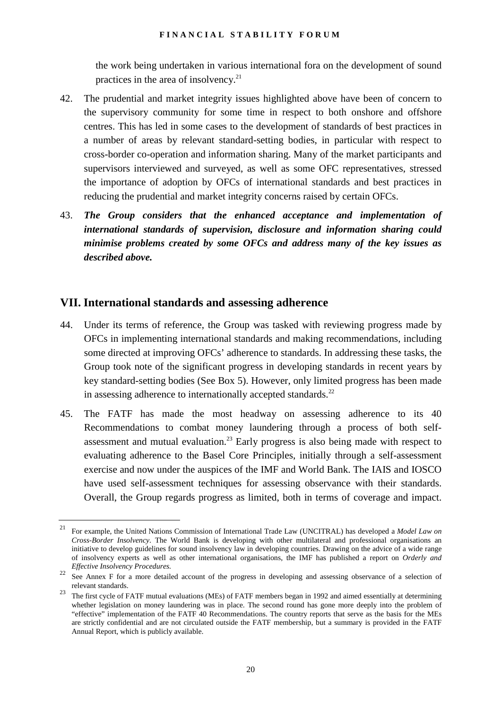the work being undertaken in various international fora on the development of sound practices in the area of insolvency. $21$ 

- 42. The prudential and market integrity issues highlighted above have been of concern to the supervisory community for some time in respect to both onshore and offshore centres. This has led in some cases to the development of standards of best practices in a number of areas by relevant standard-setting bodies, in particular with respect to cross-border co-operation and information sharing. Many of the market participants and supervisors interviewed and surveyed, as well as some OFC representatives, stressed the importance of adoption by OFCs of international standards and best practices in reducing the prudential and market integrity concerns raised by certain OFCs.
- 43. *The Group considers that the enhanced acceptance and implementation of international standards of supervision, disclosure and information sharing could minimise problems created by some OFCs and address many of the key issues as described above.*

# **VII. International standards and assessing adherence**

- 44. Under its terms of reference, the Group was tasked with reviewing progress made by OFCs in implementing international standards and making recommendations, including some directed at improving OFCs' adherence to standards. In addressing these tasks, the Group took note of the significant progress in developing standards in recent years by key standard-setting bodies (See Box 5). However, only limited progress has been made in assessing adherence to internationally accepted standards. $^{22}$
- 45. The FATF has made the most headway on assessing adherence to its 40 Recommendations to combat money laundering through a process of both selfassessment and mutual evaluation.<sup>23</sup> Early progress is also being made with respect to evaluating adherence to the Basel Core Principles, initially through a self-assessment exercise and now under the auspices of the IMF and World Bank. The IAIS and IOSCO have used self-assessment techniques for assessing observance with their standards. Overall, the Group regards progress as limited, both in terms of coverage and impact.

<sup>21</sup> For example, the United Nations Commission of International Trade Law (UNCITRAL) has developed a *Model Law on Cross-Border Insolvency*. The World Bank is developing with other multilateral and professional organisations an initiative to develop guidelines for sound insolvency law in developing countries. Drawing on the advice of a wide range of insolvency experts as well as other international organisations, the IMF has published a report on *Orderly and Effective Insolvency Procedures.*

<sup>&</sup>lt;sup>22</sup> See Annex F for a more detailed account of the progress in developing and assessing observance of a selection of relevant standards.

<sup>&</sup>lt;sup>23</sup> The first cycle of FATF mutual evaluations (MEs) of FATF members began in 1992 and aimed essentially at determining whether legislation on money laundering was in place. The second round has gone more deeply into the problem of "effective" implementation of the FATF 40 Recommendations. The country reports that serve as the basis for the MEs are strictly confidential and are not circulated outside the FATF membership, but a summary is provided in the FATF Annual Report, which is publicly available.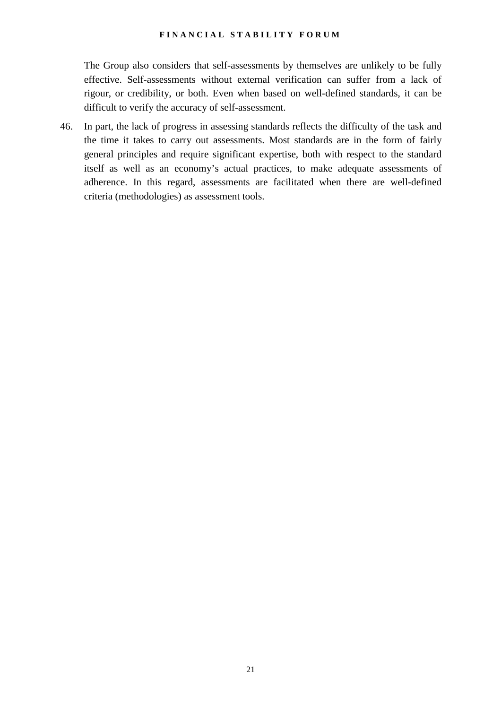The Group also considers that self-assessments by themselves are unlikely to be fully effective. Self-assessments without external verification can suffer from a lack of rigour, or credibility, or both. Even when based on well-defined standards, it can be difficult to verify the accuracy of self-assessment.

46. In part, the lack of progress in assessing standards reflects the difficulty of the task and the time it takes to carry out assessments. Most standards are in the form of fairly general principles and require significant expertise, both with respect to the standard itself as well as an economy's actual practices, to make adequate assessments of adherence. In this regard, assessments are facilitated when there are well-defined criteria (methodologies) as assessment tools.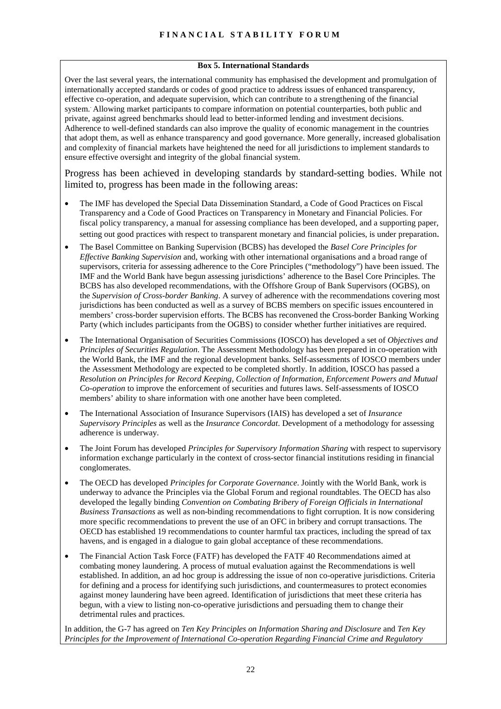### **Box 5. International Standards**

Over the last several years, the international community has emphasised the development and promulgation of internationally accepted standards or codes of good practice to address issues of enhanced transparency, effective co-operation, and adequate supervision, which can contribute to a strengthening of the financial system.. Allowing market participants to compare information on potential counterparties, both public and private, against agreed benchmarks should lead to better-informed lending and investment decisions. Adherence to well-defined standards can also improve the quality of economic management in the countries that adopt them, as well as enhance transparency and good governance. More generally, increased globalisation and complexity of financial markets have heightened the need for all jurisdictions to implement standards to ensure effective oversight and integrity of the global financial system.

Progress has been achieved in developing standards by standard-setting bodies. While not limited to, progress has been made in the following areas:

- The IMF has developed the Special Data Dissemination Standard, a Code of Good Practices on Fiscal Transparency and a Code of Good Practices on Transparency in Monetary and Financial Policies. For fiscal policy transparency, a manual for assessing compliance has been developed, and a supporting paper, setting out good practices with respect to transparent monetary and financial policies, is under preparation.
- The Basel Committee on Banking Supervision (BCBS) has developed the *Basel Core Principles for Effective Banking Supervision* and, working with other international organisations and a broad range of supervisors, criteria for assessing adherence to the Core Principles ("methodology") have been issued. The IMF and the World Bank have begun assessing jurisdictions' adherence to the Basel Core Principles. The BCBS has also developed recommendations, with the Offshore Group of Bank Supervisors (OGBS), on the *Supervision of Cross-border Banking*. A survey of adherence with the recommendations covering most jurisdictions has been conducted as well as a survey of BCBS members on specific issues encountered in members' cross-border supervision efforts. The BCBS has reconvened the Cross-border Banking Working Party (which includes participants from the OGBS) to consider whether further initiatives are required.
- The International Organisation of Securities Commissions (IOSCO) has developed a set of *Objectives and Principles of Securities Regulation*. The Assessment Methodology has been prepared in co-operation with the World Bank, the IMF and the regional development banks. Self-assessments of IOSCO members under the Assessment Methodology are expected to be completed shortly. In addition, IOSCO has passed a *Resolution on Principles for Record Keeping, Collection of Information, Enforcement Powers and Mutual Co-operation* to improve the enforcement of securities and futures laws. Self-assessments of IOSCO members' ability to share information with one another have been completed.
- The International Association of Insurance Supervisors (IAIS) has developed a set of *Insurance Supervisory Principles* as well as the *Insurance Concordat*. Development of a methodology for assessing adherence is underway.
- The Joint Forum has developed *Principles for Supervisory Information Sharing* with respect to supervisory information exchange particularly in the context of cross-sector financial institutions residing in financial conglomerates.
- The OECD has developed *Principles for Corporate Governance*. Jointly with the World Bank, work is underway to advance the Principles via the Global Forum and regional roundtables. The OECD has also developed the legally binding *Convention on Combating Bribery of Foreign Officials in International Business Transactions* as well as non-binding recommendations to fight corruption. It is now considering more specific recommendations to prevent the use of an OFC in bribery and corrupt transactions. The OECD has established 19 recommendations to counter harmful tax practices, including the spread of tax havens, and is engaged in a dialogue to gain global acceptance of these recommendations.
- The Financial Action Task Force (FATF) has developed the FATF 40 Recommendations aimed at combating money laundering. A process of mutual evaluation against the Recommendations is well established. In addition, an ad hoc group is addressing the issue of non co-operative jurisdictions. Criteria for defining and a process for identifying such jurisdictions, and countermeasures to protect economies against money laundering have been agreed. Identification of jurisdictions that meet these criteria has begun, with a view to listing non-co-operative jurisdictions and persuading them to change their detrimental rules and practices.

In addition, the G-7 has agreed on *Ten Key Principles on Information Sharing and Disclosure* and *Ten Key Principles for the Improvement of International Co-operation Regarding Financial Crime and Regulatory*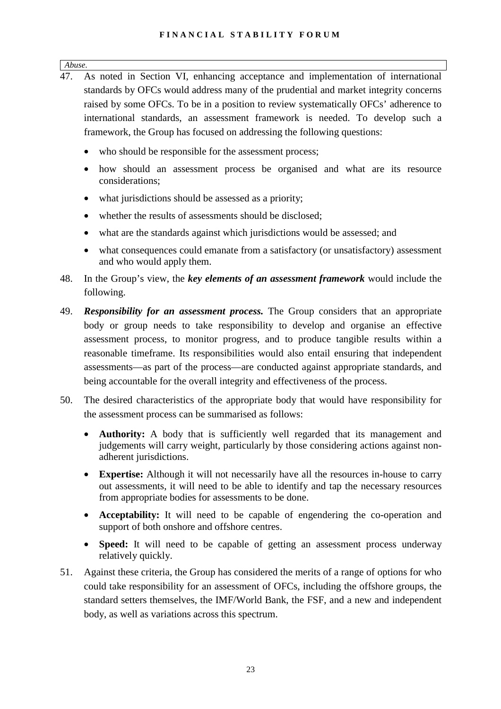# *Abuse*.

- 47. As noted in Section VI, enhancing acceptance and implementation of international standards by OFCs would address many of the prudential and market integrity concerns raised by some OFCs. To be in a position to review systematically OFCs' adherence to international standards, an assessment framework is needed. To develop such a framework, the Group has focused on addressing the following questions:
	- who should be responsible for the assessment process;
	- how should an assessment process be organised and what are its resource considerations;
	- what jurisdictions should be assessed as a priority;
	- whether the results of assessments should be disclosed;
	- what are the standards against which jurisdictions would be assessed; and
	- what consequences could emanate from a satisfactory (or unsatisfactory) assessment and who would apply them.
- 48. In the Group's view, the *key elements of an assessment framework* would include the following.
- 49. *Responsibility for an assessment process.* The Group considers that an appropriate body or group needs to take responsibility to develop and organise an effective assessment process, to monitor progress, and to produce tangible results within a reasonable timeframe. Its responsibilities would also entail ensuring that independent assessments—as part of the process—are conducted against appropriate standards, and being accountable for the overall integrity and effectiveness of the process.
- 50. The desired characteristics of the appropriate body that would have responsibility for the assessment process can be summarised as follows:
	- Authority: A body that is sufficiently well regarded that its management and judgements will carry weight, particularly by those considering actions against nonadherent jurisdictions.
	- **Expertise:** Although it will not necessarily have all the resources in-house to carry out assessments, it will need to be able to identify and tap the necessary resources from appropriate bodies for assessments to be done.
	- **Acceptability:** It will need to be capable of engendering the co-operation and support of both onshore and offshore centres.
	- **Speed:** It will need to be capable of getting an assessment process underway relatively quickly.
- 51. Against these criteria, the Group has considered the merits of a range of options for who could take responsibility for an assessment of OFCs, including the offshore groups, the standard setters themselves, the IMF/World Bank, the FSF, and a new and independent body, as well as variations across this spectrum.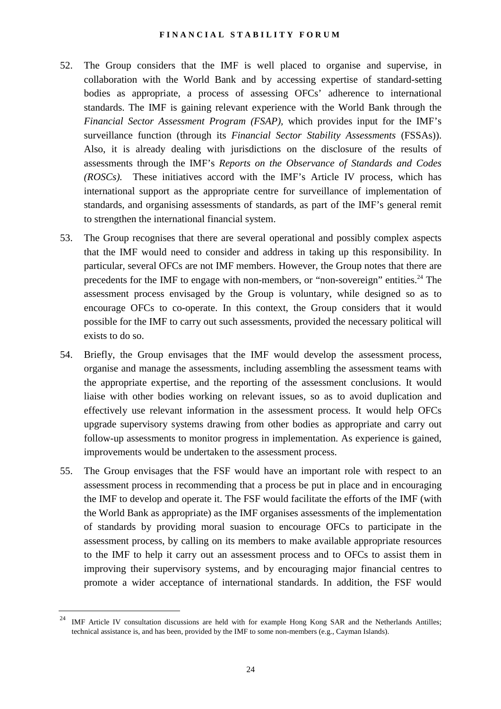- 52. The Group considers that the IMF is well placed to organise and supervise, in collaboration with the World Bank and by accessing expertise of standard-setting bodies as appropriate, a process of assessing OFCs' adherence to international standards. The IMF is gaining relevant experience with the World Bank through the *Financial Sector Assessment Program (FSAP),* which provides input for the IMF's surveillance function (through its *Financial Sector Stability Assessments* (FSSAs)). Also, it is already dealing with jurisdictions on the disclosure of the results of assessments through the IMF's *Reports on the Observance of Standards and Codes (ROSCs).* These initiatives accord with the IMF's Article IV process, which has international support as the appropriate centre for surveillance of implementation of standards, and organising assessments of standards, as part of the IMF's general remit to strengthen the international financial system.
- 53. The Group recognises that there are several operational and possibly complex aspects that the IMF would need to consider and address in taking up this responsibility. In particular, several OFCs are not IMF members. However, the Group notes that there are precedents for the IMF to engage with non-members, or "non-sovereign" entities.<sup>24</sup> The assessment process envisaged by the Group is voluntary, while designed so as to encourage OFCs to co-operate. In this context, the Group considers that it would possible for the IMF to carry out such assessments, provided the necessary political will exists to do so.
- 54. Briefly, the Group envisages that the IMF would develop the assessment process, organise and manage the assessments, including assembling the assessment teams with the appropriate expertise, and the reporting of the assessment conclusions. It would liaise with other bodies working on relevant issues, so as to avoid duplication and effectively use relevant information in the assessment process. It would help OFCs upgrade supervisory systems drawing from other bodies as appropriate and carry out follow-up assessments to monitor progress in implementation. As experience is gained, improvements would be undertaken to the assessment process.
- 55. The Group envisages that the FSF would have an important role with respect to an assessment process in recommending that a process be put in place and in encouraging the IMF to develop and operate it. The FSF would facilitate the efforts of the IMF (with the World Bank as appropriate) as the IMF organises assessments of the implementation of standards by providing moral suasion to encourage OFCs to participate in the assessment process, by calling on its members to make available appropriate resources to the IMF to help it carry out an assessment process and to OFCs to assist them in improving their supervisory systems, and by encouraging major financial centres to promote a wider acceptance of international standards. In addition, the FSF would

<sup>24</sup> IMF Article IV consultation discussions are held with for example Hong Kong SAR and the Netherlands Antilles; technical assistance is, and has been, provided by the IMF to some non-members (e.g., Cayman Islands).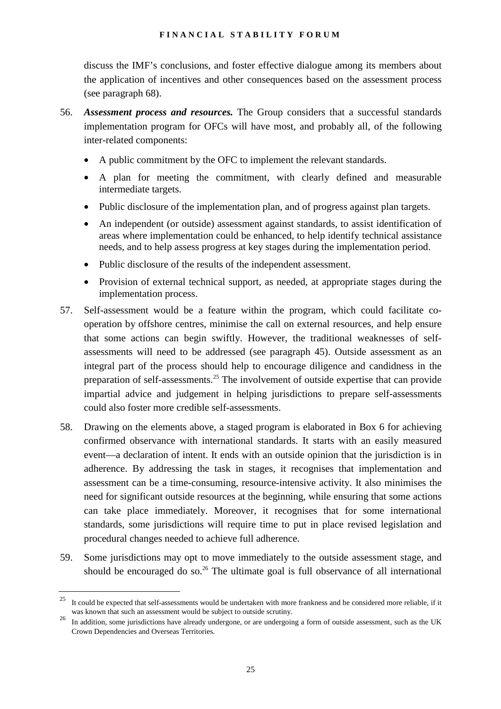discuss the IMF's conclusions, and foster effective dialogue among its members about the application of incentives and other consequences based on the assessment process (see paragraph 68).

- 56. *Assessment process and resources.* The Group considers that a successful standards implementation program for OFCs will have most, and probably all, of the following inter-related components:
	- A public commitment by the OFC to implement the relevant standards.
	- A plan for meeting the commitment, with clearly defined and measurable intermediate targets.
	- Public disclosure of the implementation plan, and of progress against plan targets.
	- An independent (or outside) assessment against standards, to assist identification of areas where implementation could be enhanced, to help identify technical assistance needs, and to help assess progress at key stages during the implementation period.
	- Public disclosure of the results of the independent assessment.
	- Provision of external technical support, as needed, at appropriate stages during the implementation process.
- 57. Self-assessment would be a feature within the program, which could facilitate cooperation by offshore centres, minimise the call on external resources, and help ensure that some actions can begin swiftly. However, the traditional weaknesses of selfassessments will need to be addressed (see paragraph 45). Outside assessment as an integral part of the process should help to encourage diligence and candidness in the preparation of self-assessments.25 The involvement of outside expertise that can provide impartial advice and judgement in helping jurisdictions to prepare self-assessments could also foster more credible self-assessments.
- 58. Drawing on the elements above, a staged program is elaborated in Box 6 for achieving confirmed observance with international standards. It starts with an easily measured event—a declaration of intent. It ends with an outside opinion that the jurisdiction is in adherence. By addressing the task in stages, it recognises that implementation and assessment can be a time-consuming, resource-intensive activity. It also minimises the need for significant outside resources at the beginning, while ensuring that some actions can take place immediately. Moreover, it recognises that for some international standards, some jurisdictions will require time to put in place revised legislation and procedural changes needed to achieve full adherence.
- 59. Some jurisdictions may opt to move immediately to the outside assessment stage, and should be encouraged do so.<sup>26</sup> The ultimate goal is full observance of all international

 $25$  It could be expected that self-assessments would be undertaken with more frankness and be considered more reliable, if it was known that such an assessment would be subject to outside scrutiny.

<sup>&</sup>lt;sup>26</sup> In addition, some iurisdictions have already undergone, or are undergoing a form of outside assessment, such as the UK Crown Dependencies and Overseas Territories.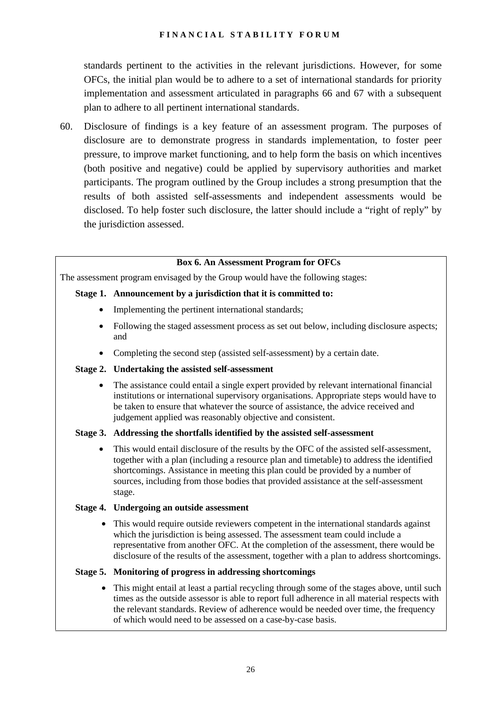standards pertinent to the activities in the relevant jurisdictions. However, for some OFCs, the initial plan would be to adhere to a set of international standards for priority implementation and assessment articulated in paragraphs 66 and 67 with a subsequent plan to adhere to all pertinent international standards.

60. Disclosure of findings is a key feature of an assessment program. The purposes of disclosure are to demonstrate progress in standards implementation, to foster peer pressure, to improve market functioning, and to help form the basis on which incentives (both positive and negative) could be applied by supervisory authorities and market participants. The program outlined by the Group includes a strong presumption that the results of both assisted self-assessments and independent assessments would be disclosed. To help foster such disclosure, the latter should include a "right of reply" by the jurisdiction assessed.

# **Box 6. An Assessment Program for OFCs**

The assessment program envisaged by the Group would have the following stages:

# **Stage 1. Announcement by a jurisdiction that it is committed to:**

- Implementing the pertinent international standards;
- Following the staged assessment process as set out below, including disclosure aspects; and
- Completing the second step (assisted self-assessment) by a certain date.

# **Stage 2. Undertaking the assisted self-assessment**

• The assistance could entail a single expert provided by relevant international financial institutions or international supervisory organisations. Appropriate steps would have to be taken to ensure that whatever the source of assistance, the advice received and judgement applied was reasonably objective and consistent.

# **Stage 3. Addressing the shortfalls identified by the assisted self-assessment**

This would entail disclosure of the results by the OFC of the assisted self-assessment. together with a plan (including a resource plan and timetable) to address the identified shortcomings. Assistance in meeting this plan could be provided by a number of sources, including from those bodies that provided assistance at the self-assessment stage.

# **Stage 4. Undergoing an outside assessment**

• This would require outside reviewers competent in the international standards against which the jurisdiction is being assessed. The assessment team could include a representative from another OFC. At the completion of the assessment, there would be disclosure of the results of the assessment, together with a plan to address shortcomings.

# **Stage 5. Monitoring of progress in addressing shortcomings**

• This might entail at least a partial recycling through some of the stages above, until such times as the outside assessor is able to report full adherence in all material respects with the relevant standards. Review of adherence would be needed over time, the frequency of which would need to be assessed on a case-by-case basis.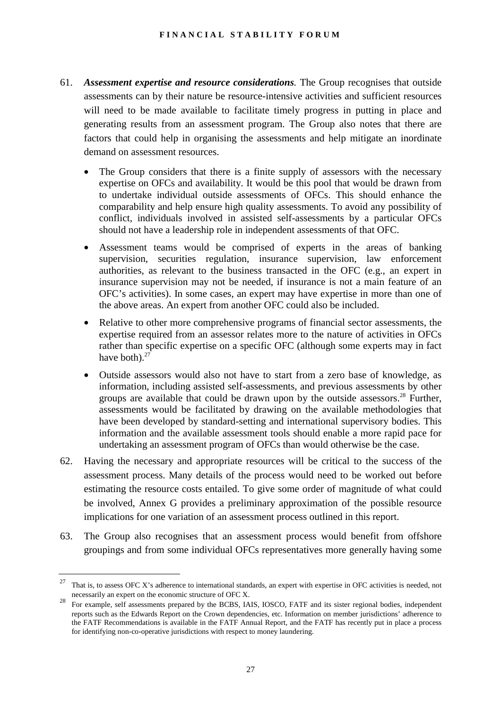- 61. *Assessment expertise and resource considerations.* The Group recognises that outside assessments can by their nature be resource-intensive activities and sufficient resources will need to be made available to facilitate timely progress in putting in place and generating results from an assessment program. The Group also notes that there are factors that could help in organising the assessments and help mitigate an inordinate demand on assessment resources.
	- The Group considers that there is a finite supply of assessors with the necessary expertise on OFCs and availability. It would be this pool that would be drawn from to undertake individual outside assessments of OFCs. This should enhance the comparability and help ensure high quality assessments. To avoid any possibility of conflict, individuals involved in assisted self-assessments by a particular OFCs should not have a leadership role in independent assessments of that OFC.
	- Assessment teams would be comprised of experts in the areas of banking supervision, securities regulation, insurance supervision, law enforcement authorities, as relevant to the business transacted in the OFC (e.g., an expert in insurance supervision may not be needed, if insurance is not a main feature of an OFC's activities). In some cases, an expert may have expertise in more than one of the above areas. An expert from another OFC could also be included.
	- Relative to other more comprehensive programs of financial sector assessments, the expertise required from an assessor relates more to the nature of activities in OFCs rather than specific expertise on a specific OFC (although some experts may in fact have both). $27$
	- Outside assessors would also not have to start from a zero base of knowledge, as information, including assisted self-assessments, and previous assessments by other groups are available that could be drawn upon by the outside assessors.<sup>28</sup> Further, assessments would be facilitated by drawing on the available methodologies that have been developed by standard-setting and international supervisory bodies. This information and the available assessment tools should enable a more rapid pace for undertaking an assessment program of OFCs than would otherwise be the case.
- 62. Having the necessary and appropriate resources will be critical to the success of the assessment process. Many details of the process would need to be worked out before estimating the resource costs entailed. To give some order of magnitude of what could be involved, Annex G provides a preliminary approximation of the possible resource implications for one variation of an assessment process outlined in this report.
- 63. The Group also recognises that an assessment process would benefit from offshore groupings and from some individual OFCs representatives more generally having some

That is, to assess OFC X's adherence to international standards, an expert with expertise in OFC activities is needed, not necessarily an expert on the economic structure of OFC X.

<sup>&</sup>lt;sup>28</sup> For example, self assessments prepared by the BCBS, IAIS, IOSCO, FATF and its sister regional bodies, independent reports such as the Edwards Report on the Crown dependencies, etc. Information on member jurisdictions' adherence to the FATF Recommendations is available in the FATF Annual Report, and the FATF has recently put in place a process for identifying non-co-operative jurisdictions with respect to money laundering.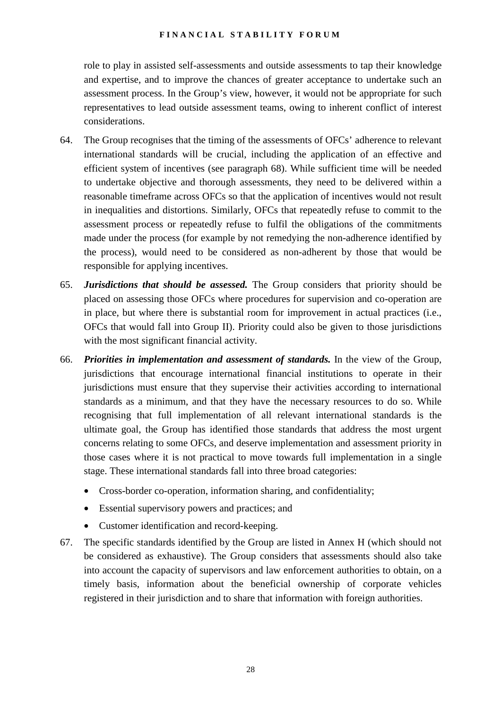role to play in assisted self-assessments and outside assessments to tap their knowledge and expertise, and to improve the chances of greater acceptance to undertake such an assessment process. In the Group's view, however, it would not be appropriate for such representatives to lead outside assessment teams, owing to inherent conflict of interest considerations.

- 64. The Group recognises that the timing of the assessments of OFCs' adherence to relevant international standards will be crucial, including the application of an effective and efficient system of incentives (see paragraph 68). While sufficient time will be needed to undertake objective and thorough assessments, they need to be delivered within a reasonable timeframe across OFCs so that the application of incentives would not result in inequalities and distortions. Similarly, OFCs that repeatedly refuse to commit to the assessment process or repeatedly refuse to fulfil the obligations of the commitments made under the process (for example by not remedying the non-adherence identified by the process), would need to be considered as non-adherent by those that would be responsible for applying incentives.
- 65. *Jurisdictions that should be assessed.* The Group considers that priority should be placed on assessing those OFCs where procedures for supervision and co-operation are in place, but where there is substantial room for improvement in actual practices (i.e., OFCs that would fall into Group II). Priority could also be given to those jurisdictions with the most significant financial activity.
- 66. *Priorities in implementation and assessment of standards.* In the view of the Group, jurisdictions that encourage international financial institutions to operate in their jurisdictions must ensure that they supervise their activities according to international standards as a minimum, and that they have the necessary resources to do so. While recognising that full implementation of all relevant international standards is the ultimate goal, the Group has identified those standards that address the most urgent concerns relating to some OFCs, and deserve implementation and assessment priority in those cases where it is not practical to move towards full implementation in a single stage. These international standards fall into three broad categories:
	- Cross-border co-operation, information sharing, and confidentiality;
	- Essential supervisory powers and practices; and
	- Customer identification and record-keeping.
- 67. The specific standards identified by the Group are listed in Annex H (which should not be considered as exhaustive). The Group considers that assessments should also take into account the capacity of supervisors and law enforcement authorities to obtain, on a timely basis, information about the beneficial ownership of corporate vehicles registered in their jurisdiction and to share that information with foreign authorities.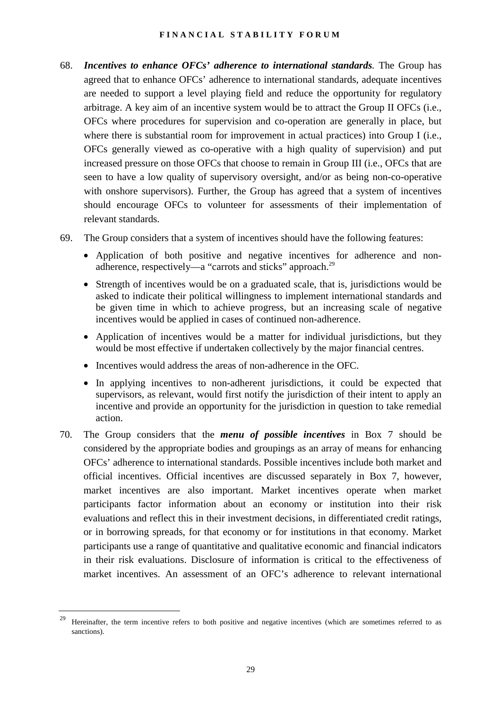- 68. *Incentives to enhance OFCs' adherence to international standards.* The Group has agreed that to enhance OFCs' adherence to international standards, adequate incentives are needed to support a level playing field and reduce the opportunity for regulatory arbitrage. A key aim of an incentive system would be to attract the Group II OFCs (i.e., OFCs where procedures for supervision and co-operation are generally in place, but where there is substantial room for improvement in actual practices) into Group I (i.e., OFCs generally viewed as co-operative with a high quality of supervision) and put increased pressure on those OFCs that choose to remain in Group III (i.e., OFCs that are seen to have a low quality of supervisory oversight, and/or as being non-co-operative with onshore supervisors). Further, the Group has agreed that a system of incentives should encourage OFCs to volunteer for assessments of their implementation of relevant standards.
- 69. The Group considers that a system of incentives should have the following features:
	- Application of both positive and negative incentives for adherence and nonadherence, respectively—a "carrots and sticks" approach.<sup>29</sup>
	- Strength of incentives would be on a graduated scale, that is, jurisdictions would be asked to indicate their political willingness to implement international standards and be given time in which to achieve progress, but an increasing scale of negative incentives would be applied in cases of continued non-adherence.
	- Application of incentives would be a matter for individual jurisdictions, but they would be most effective if undertaken collectively by the major financial centres.
	- Incentives would address the areas of non-adherence in the OFC.
	- In applying incentives to non-adherent jurisdictions, it could be expected that supervisors, as relevant, would first notify the jurisdiction of their intent to apply an incentive and provide an opportunity for the jurisdiction in question to take remedial action.
- 70. The Group considers that the *menu of possible incentives* in Box 7 should be considered by the appropriate bodies and groupings as an array of means for enhancing OFCs' adherence to international standards. Possible incentives include both market and official incentives. Official incentives are discussed separately in Box 7, however, market incentives are also important. Market incentives operate when market participants factor information about an economy or institution into their risk evaluations and reflect this in their investment decisions, in differentiated credit ratings, or in borrowing spreads, for that economy or for institutions in that economy. Market participants use a range of quantitative and qualitative economic and financial indicators in their risk evaluations. Disclosure of information is critical to the effectiveness of market incentives. An assessment of an OFC's adherence to relevant international

<sup>&</sup>lt;sup>29</sup> Hereinafter, the term incentive refers to both positive and negative incentives (which are sometimes referred to as sanctions).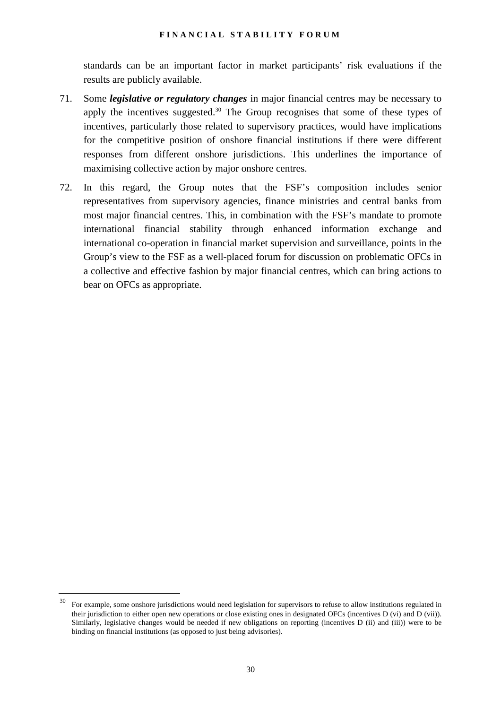standards can be an important factor in market participants' risk evaluations if the results are publicly available.

- 71. Some *legislative or regulatory changes* in major financial centres may be necessary to apply the incentives suggested.<sup>30</sup> The Group recognises that some of these types of incentives, particularly those related to supervisory practices, would have implications for the competitive position of onshore financial institutions if there were different responses from different onshore jurisdictions. This underlines the importance of maximising collective action by major onshore centres.
- 72. In this regard, the Group notes that the FSF's composition includes senior representatives from supervisory agencies, finance ministries and central banks from most major financial centres. This, in combination with the FSF's mandate to promote international financial stability through enhanced information exchange and international co-operation in financial market supervision and surveillance, points in the Group's view to the FSF as a well-placed forum for discussion on problematic OFCs in a collective and effective fashion by major financial centres, which can bring actions to bear on OFCs as appropriate.

<sup>30</sup> For example, some onshore jurisdictions would need legislation for supervisors to refuse to allow institutions regulated in their jurisdiction to either open new operations or close existing ones in designated OFCs (incentives D (vi) and D (vii)). Similarly, legislative changes would be needed if new obligations on reporting (incentives D (ii) and (iii)) were to be binding on financial institutions (as opposed to just being advisories).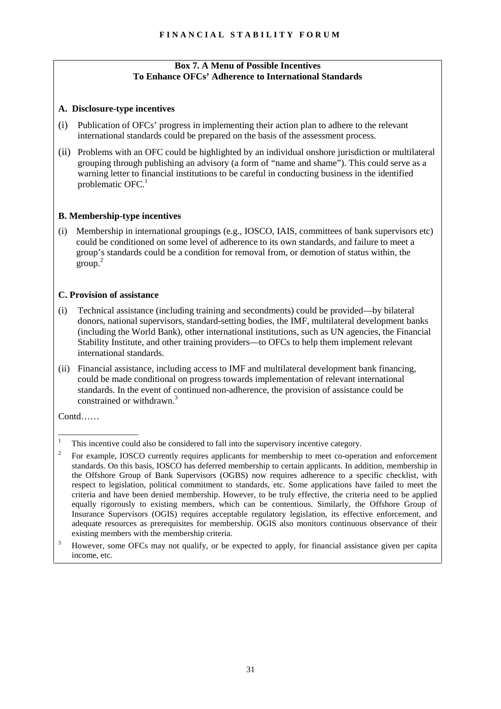# **Box 7. A Menu of Possible Incentives To Enhance OFCs' Adherence to International Standards**

# **A. Disclosure-type incentives**

- (i) Publication of OFCs' progress in implementing their action plan to adhere to the relevant international standards could be prepared on the basis of the assessment process.
- (ii) Problems with an OFC could be highlighted by an individual onshore jurisdiction or multilateral grouping through publishing an advisory (a form of "name and shame"). This could serve as a warning letter to financial institutions to be careful in conducting business in the identified problematic OFC.<sup>1</sup>

# **B. Membership-type incentives**

(i) Membership in international groupings (e.g., IOSCO, IAIS, committees of bank supervisors etc) could be conditioned on some level of adherence to its own standards, and failure to meet a group's standards could be a condition for removal from, or demotion of status within, the group. $^{2}$ 

# **C. Provision of assistance**

- (i) Technical assistance (including training and secondments) could be provided—by bilateral donors, national supervisors, standard-setting bodies, the IMF, multilateral development banks (including the World Bank), other international institutions, such as UN agencies, the Financial Stability Institute, and other training providers—to OFCs to help them implement relevant international standards.
- (ii) Financial assistance, including access to IMF and multilateral development bank financing, could be made conditional on progress towards implementation of relevant international standards. In the event of continued non-adherence, the provision of assistance could be constrained or withdrawn.<sup>3</sup>

Contd……

\_\_\_\_\_\_\_\_\_\_\_\_\_\_\_\_\_\_\_

<sup>&</sup>lt;sup>1</sup> This incentive could also be considered to fall into the supervisory incentive category.

<sup>&</sup>lt;sup>2</sup> For example, IOSCO currently requires applicants for membership to meet co-operation and enforcement standards. On this basis, IOSCO has deferred membership to certain applicants. In addition, membership in the Offshore Group of Bank Supervisors (OGBS) now requires adherence to a specific checklist, with respect to legislation, political commitment to standards, etc. Some applications have failed to meet the criteria and have been denied membership. However, to be truly effective, the criteria need to be applied equally rigorously to existing members, which can be contentious. Similarly, the Offshore Group of Insurance Supervisors (OGIS) requires acceptable regulatory legislation, its effective enforcement, and adequate resources as prerequisites for membership. OGIS also monitors continuous observance of their existing members with the membership criteria.

<sup>&</sup>lt;sup>3</sup> However, some OFCs may not qualify, or be expected to apply, for financial assistance given per capita income, etc.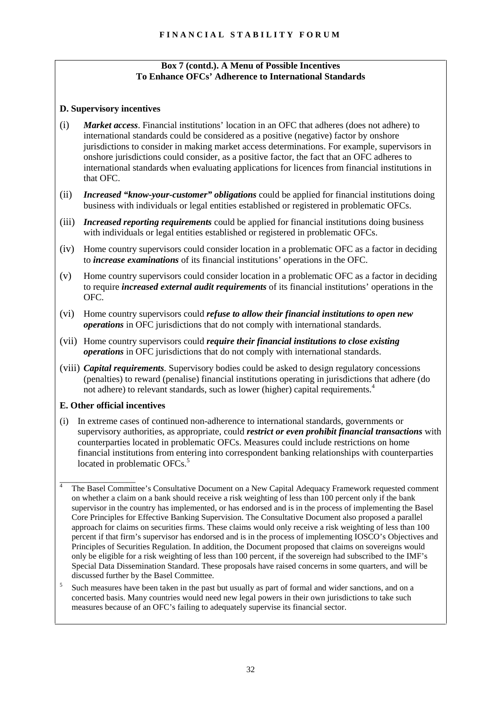# **Box 7 (contd.). A Menu of Possible Incentives To Enhance OFCs' Adherence to International Standards**

# **D. Supervisory incentives**

- (i) *Market access*. Financial institutions' location in an OFC that adheres (does not adhere) to international standards could be considered as a positive (negative) factor by onshore jurisdictions to consider in making market access determinations. For example, supervisors in onshore jurisdictions could consider, as a positive factor, the fact that an OFC adheres to international standards when evaluating applications for licences from financial institutions in that OFC.
- (ii) *Increased "know-your-customer" obligations* could be applied for financial institutions doing business with individuals or legal entities established or registered in problematic OFCs.
- (iii) *Increased reporting requirements* could be applied for financial institutions doing business with individuals or legal entities established or registered in problematic OFCs.
- (iv) Home country supervisors could consider location in a problematic OFC as a factor in deciding to *increase examinations* of its financial institutions' operations in the OFC.
- (v) Home country supervisors could consider location in a problematic OFC as a factor in deciding to require *increased external audit requirements* of its financial institutions' operations in the OFC.
- (vi) Home country supervisors could *refuse to allow their financial institutions to open new operations* in OFC jurisdictions that do not comply with international standards.
- (vii) Home country supervisors could *require their financial institutions to close existing operations* in OFC jurisdictions that do not comply with international standards.
- (viii) *Capital requirements.* Supervisory bodies could be asked to design regulatory concessions (penalties) to reward (penalise) financial institutions operating in jurisdictions that adhere (do not adhere) to relevant standards, such as lower (higher) capital requirements.<sup>4</sup>

# **E. Other official incentives**

(i) In extreme cases of continued non-adherence to international standards, governments or supervisory authorities, as appropriate, could *restrict or even prohibit financial transactions* with counterparties located in problematic OFCs. Measures could include restrictions on home financial institutions from entering into correspondent banking relationships with counterparties located in problematic OFCs.<sup>5</sup>

<sup>5</sup> Such measures have been taken in the past but usually as part of formal and wider sanctions, and on a concerted basis. Many countries would need new legal powers in their own jurisdictions to take such measures because of an OFC's failing to adequately supervise its financial sector.

\_\_\_\_\_\_\_\_\_\_\_\_\_\_\_\_\_\_ <sup>4</sup> The Basel Committee's Consultative Document on a New Capital Adequacy Framework requested comment on whether a claim on a bank should receive a risk weighting of less than 100 percent only if the bank supervisor in the country has implemented, or has endorsed and is in the process of implementing the Basel Core Principles for Effective Banking Supervision. The Consultative Document also proposed a parallel approach for claims on securities firms. These claims would only receive a risk weighting of less than 100 percent if that firm's supervisor has endorsed and is in the process of implementing IOSCO's Objectives and Principles of Securities Regulation. In addition, the Document proposed that claims on sovereigns would only be eligible for a risk weighting of less than 100 percent, if the sovereign had subscribed to the IMF's Special Data Dissemination Standard. These proposals have raised concerns in some quarters, and will be discussed further by the Basel Committee.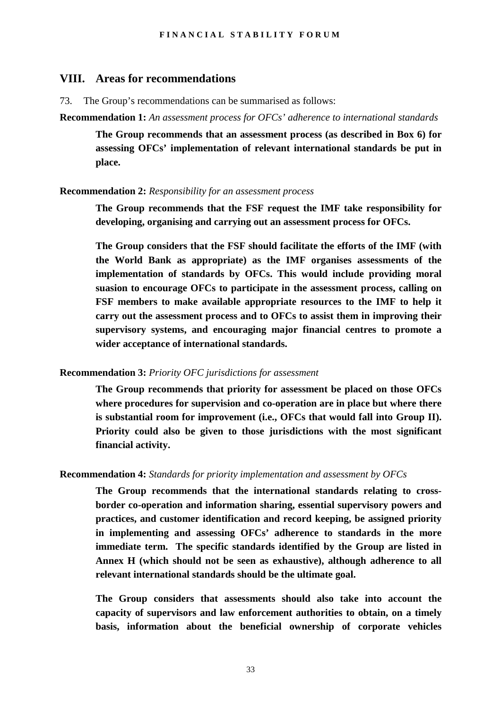# **VIII. Areas for recommendations**

73. The Group's recommendations can be summarised as follows:

**Recommendation 1:** *An assessment process for OFCs' adherence to international standards*

**The Group recommends that an assessment process (as described in Box 6) for assessing OFCs' implementation of relevant international standards be put in place.**

### **Recommendation 2:** *Responsibility for an assessment process*

**The Group recommends that the FSF request the IMF take responsibility for developing, organising and carrying out an assessment process for OFCs.**

**The Group considers that the FSF should facilitate the efforts of the IMF (with the World Bank as appropriate) as the IMF organises assessments of the implementation of standards by OFCs. This would include providing moral suasion to encourage OFCs to participate in the assessment process, calling on FSF members to make available appropriate resources to the IMF to help it carry out the assessment process and to OFCs to assist them in improving their supervisory systems, and encouraging major financial centres to promote a wider acceptance of international standards.**

### **Recommendation 3:** *Priority OFC jurisdictions for assessment*

**The Group recommends that priority for assessment be placed on those OFCs where procedures for supervision and co-operation are in place but where there is substantial room for improvement (i.e., OFCs that would fall into Group II). Priority could also be given to those jurisdictions with the most significant financial activity.**

# **Recommendation 4:** *Standards for priority implementation and assessment by OFCs*

**The Group recommends that the international standards relating to crossborder co-operation and information sharing, essential supervisory powers and practices, and customer identification and record keeping, be assigned priority in implementing and assessing OFCs' adherence to standards in the more immediate term. The specific standards identified by the Group are listed in Annex H (which should not be seen as exhaustive), although adherence to all relevant international standards should be the ultimate goal.**

**The Group considers that assessments should also take into account the capacity of supervisors and law enforcement authorities to obtain, on a timely basis, information about the beneficial ownership of corporate vehicles**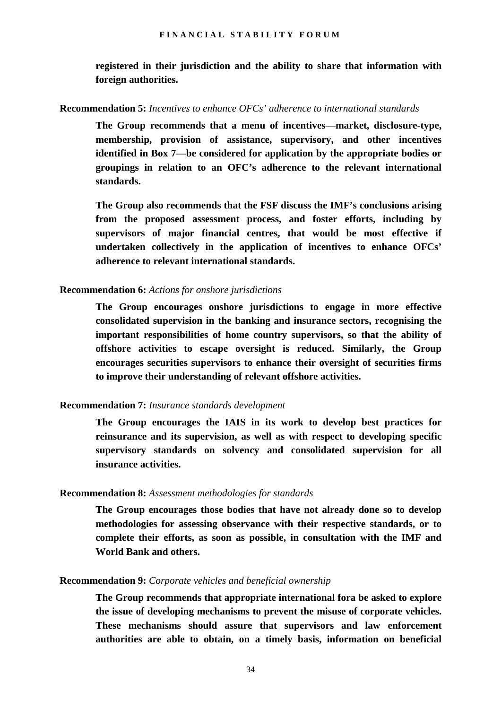**registered in their jurisdiction and the ability to share that information with foreign authorities.**

### **Recommendation 5:** *Incentives to enhance OFCs' adherence to international standards*

**The Group recommends that a menu of incentives**—**market, disclosure-type, membership, provision of assistance, supervisory, and other incentives identified in Box 7**—**be considered for application by the appropriate bodies or groupings in relation to an OFC's adherence to the relevant international standards.**

**The Group also recommends that the FSF discuss the IMF's conclusions arising from the proposed assessment process, and foster efforts, including by supervisors of major financial centres, that would be most effective if undertaken collectively in the application of incentives to enhance OFCs' adherence to relevant international standards.**

### **Recommendation 6:** *Actions for onshore jurisdictions*

**The Group encourages onshore jurisdictions to engage in more effective consolidated supervision in the banking and insurance sectors, recognising the important responsibilities of home country supervisors, so that the ability of offshore activities to escape oversight is reduced. Similarly, the Group encourages securities supervisors to enhance their oversight of securities firms to improve their understanding of relevant offshore activities.**

# **Recommendation 7:** *Insurance standards development*

**The Group encourages the IAIS in its work to develop best practices for reinsurance and its supervision, as well as with respect to developing specific supervisory standards on solvency and consolidated supervision for all insurance activities.**

# **Recommendation 8:** *Assessment methodologies for standards*

**The Group encourages those bodies that have not already done so to develop methodologies for assessing observance with their respective standards, or to complete their efforts, as soon as possible, in consultation with the IMF and World Bank and others.**

# **Recommendation 9:** *Corporate vehicles and beneficial ownership*

**The Group recommends that appropriate international fora be asked to explore the issue of developing mechanisms to prevent the misuse of corporate vehicles. These mechanisms should assure that supervisors and law enforcement authorities are able to obtain, on a timely basis, information on beneficial**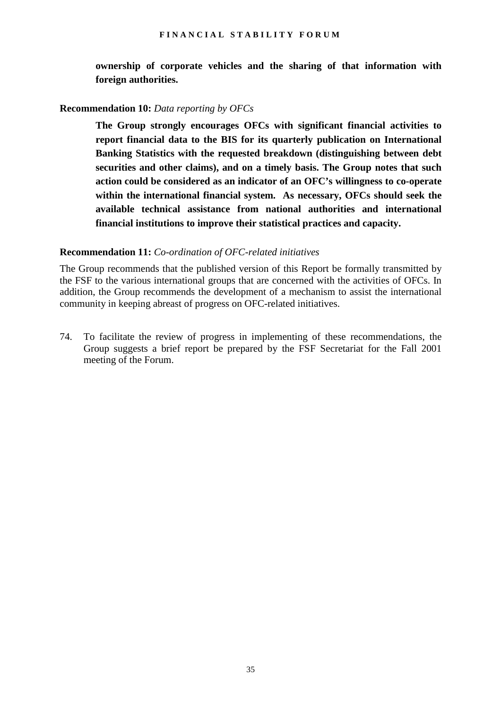**ownership of corporate vehicles and the sharing of that information with foreign authorities.**

# **Recommendation 10:** *Data reporting by OFCs*

**The Group strongly encourages OFCs with significant financial activities to report financial data to the BIS for its quarterly publication on International Banking Statistics with the requested breakdown (distinguishing between debt securities and other claims), and on a timely basis. The Group notes that such action could be considered as an indicator of an OFC's willingness to co-operate within the international financial system. As necessary, OFCs should seek the available technical assistance from national authorities and international financial institutions to improve their statistical practices and capacity.**

# **Recommendation 11:** *Co-ordination of OFC-related initiatives*

The Group recommends that the published version of this Report be formally transmitted by the FSF to the various international groups that are concerned with the activities of OFCs. In addition, the Group recommends the development of a mechanism to assist the international community in keeping abreast of progress on OFC-related initiatives.

74. To facilitate the review of progress in implementing of these recommendations, the Group suggests a brief report be prepared by the FSF Secretariat for the Fall 2001 meeting of the Forum.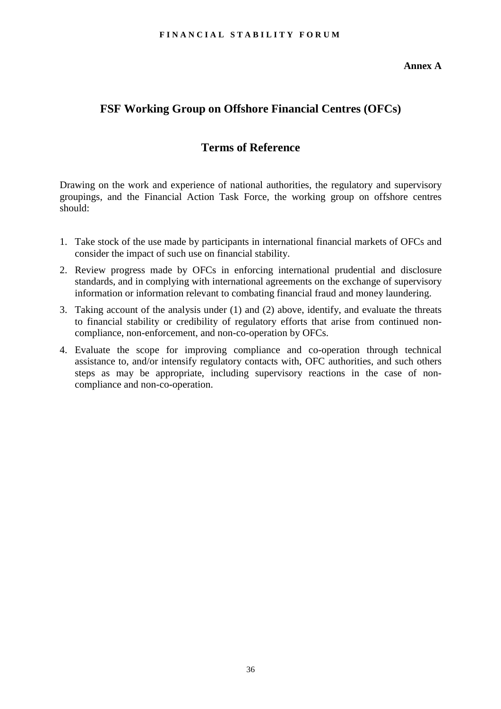# **Annex A**

# **FSF Working Group on Offshore Financial Centres (OFCs)**

# **Terms of Reference**

Drawing on the work and experience of national authorities, the regulatory and supervisory groupings, and the Financial Action Task Force, the working group on offshore centres should:

- 1. Take stock of the use made by participants in international financial markets of OFCs and consider the impact of such use on financial stability.
- 2. Review progress made by OFCs in enforcing international prudential and disclosure standards, and in complying with international agreements on the exchange of supervisory information or information relevant to combating financial fraud and money laundering.
- 3. Taking account of the analysis under (1) and (2) above, identify, and evaluate the threats to financial stability or credibility of regulatory efforts that arise from continued noncompliance, non-enforcement, and non-co-operation by OFCs.
- 4. Evaluate the scope for improving compliance and co-operation through technical assistance to, and/or intensify regulatory contacts with, OFC authorities, and such others steps as may be appropriate, including supervisory reactions in the case of noncompliance and non-co-operation.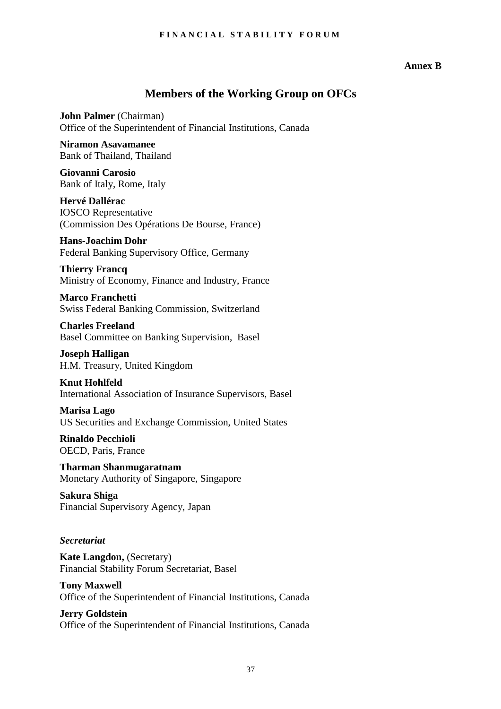# **Annex B**

# **Members of the Working Group on OFCs**

**John Palmer** (Chairman) Office of the Superintendent of Financial Institutions, Canada

**Niramon Asavamanee** Bank of Thailand, Thailand

**Giovanni Carosio** Bank of Italy, Rome, Italy

**Hervé Dallérac** IOSCO Representative (Commission Des Opérations De Bourse, France)

**Hans-Joachim Dohr** Federal Banking Supervisory Office, Germany

**Thierry Francq** Ministry of Economy, Finance and Industry, France

**Marco Franchetti** Swiss Federal Banking Commission, Switzerland

**Charles Freeland** Basel Committee on Banking Supervision, Basel

**Joseph Halligan** H.M. Treasury, United Kingdom

**Knut Hohlfeld** International Association of Insurance Supervisors, Basel

**Marisa Lago** US Securities and Exchange Commission, United States

**Rinaldo Pecchioli** OECD, Paris, France

**Tharman Shanmugaratnam** Monetary Authority of Singapore, Singapore

**Sakura Shiga** Financial Supervisory Agency, Japan

# *Secretariat*

**Kate Langdon,** (Secretary) Financial Stability Forum Secretariat, Basel

**Tony Maxwell** Office of the Superintendent of Financial Institutions, Canada

**Jerry Goldstein** Office of the Superintendent of Financial Institutions, Canada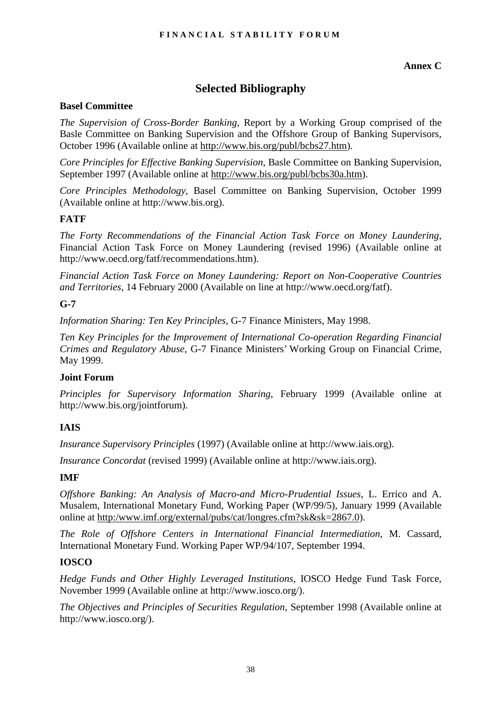**Annex C**

# **Selected Bibliography**

# **Basel Committee**

*The Supervision of Cross-Border Banking*, Report by a Working Group comprised of the Basle Committee on Banking Supervision and the Offshore Group of Banking Supervisors, October 1996 (Available online at http://www.bis.org/publ/bcbs27.htm).

*Core Principles for Effective Banking Supervision*, Basle Committee on Banking Supervision, September 1997 (Available online at http://www.bis.org/publ/bcbs30a.htm).

*Core Principles Methodology*, Basel Committee on Banking Supervision, October 1999 (Available online at http://www.bis.org).

# **FATF**

*The Forty Recommendations of the Financial Action Task Force on Money Laundering*, Financial Action Task Force on Money Laundering (revised 1996) (Available online at http://www.oecd.org/fatf/recommendations.htm).

*Financial Action Task Force on Money Laundering: Report on Non-Cooperative Countries and Territories*, 14 February 2000 (Available on line at http://www.oecd.org/fatf).

# **G-7**

*Information Sharing: Ten Key Principles*, G-7 Finance Ministers, May 1998.

*Ten Key Principles for the Improvement of International Co-operation Regarding Financial Crimes and Regulatory Abuse*, G-7 Finance Ministers' Working Group on Financial Crime, May 1999.

# **Joint Forum**

*Principles for Supervisory Information Sharing*, February 1999 (Available online at http://www.bis.org/jointforum).

# **IAIS**

*Insurance Supervisory Principles* (1997) (Available online at http://www.iais.org).

*Insurance Concordat* (revised 1999) (Available online at http://www.iais.org).

# **IMF**

*Offshore Banking: An Analysis of Macro-and Micro-Prudential Issues*, L. Errico and A. Musalem, International Monetary Fund, Working Paper (WP/99/5), January 1999 (Available online at http:/www.imf.org/external/pubs/cat/longres.cfm?sk&sk=2867.0).

*The Role of Offshore Centers in International Financial Intermediation*, M. Cassard, International Monetary Fund. Working Paper WP/94/107, September 1994.

# **IOSCO**

*Hedge Funds and Other Highly Leveraged Institutions*, IOSCO Hedge Fund Task Force, November 1999 (Available online at http://www.iosco.org/).

*The Objectives and Principles of Securities Regulation*, September 1998 (Available online at http://www.iosco.org/).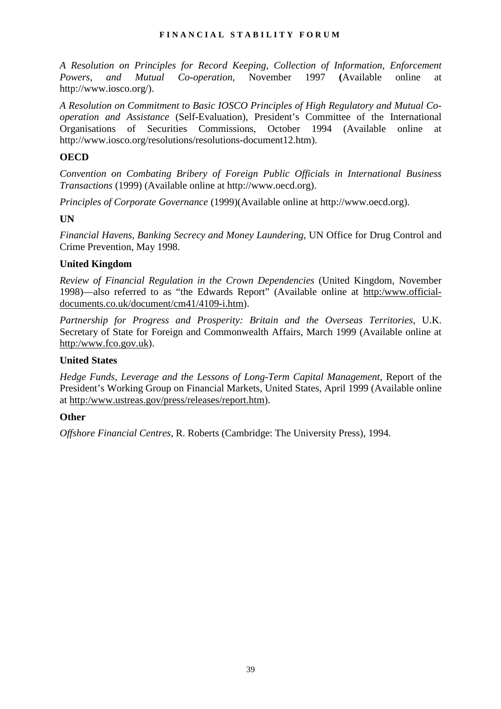*A Resolution on Principles for Record Keeping, Collection of Information, Enforcement Powers, and Mutual Co-operation*, November 1997 **(**Available online at http://www.iosco.org/).

*A Resolution on Commitment to Basic IOSCO Principles of High Regulatory and Mutual Cooperation and Assistance* (Self-Evaluation), President's Committee of the International Organisations of Securities Commissions, October 1994 (Available online at http://www.iosco.org/resolutions/resolutions-document12.htm).

# **OECD**

*Convention on Combating Bribery of Foreign Public Officials in International Business Transactions* (1999) (Available online at http://www.oecd.org).

*Principles of Corporate Governance* (1999)(Available online at http://www.oecd.org).

**UN**

*Financial Havens, Banking Secrecy and Money Laundering*, UN Office for Drug Control and Crime Prevention, May 1998.

# **United Kingdom**

*Review of Financial Regulation in the Crown Dependencies* (United Kingdom, November 1998)—also referred to as "the Edwards Report" (Available online at http:/www.officialdocuments.co.uk/document/cm41/4109-i.htm).

*Partnership for Progress and Prosperity: Britain and the Overseas Territories*, U.K. Secretary of State for Foreign and Commonwealth Affairs, March 1999 (Available online at http:/www.fco.gov.uk).

# **United States**

*Hedge Funds, Leverage and the Lessons of Long-Term Capital Management*, Report of the President's Working Group on Financial Markets, United States, April 1999 (Available online at http:/www.ustreas.gov/press/releases/report.htm).

# **Other**

*Offshore Financial Centres*, R. Roberts (Cambridge: The University Press), 1994.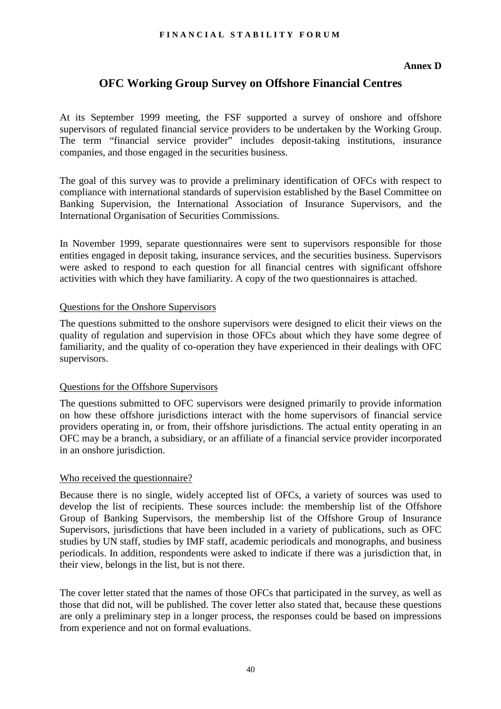# **OFC Working Group Survey on Offshore Financial Centres**

At its September 1999 meeting, the FSF supported a survey of onshore and offshore supervisors of regulated financial service providers to be undertaken by the Working Group. The term "financial service provider" includes deposit-taking institutions, insurance companies, and those engaged in the securities business.

The goal of this survey was to provide a preliminary identification of OFCs with respect to compliance with international standards of supervision established by the Basel Committee on Banking Supervision, the International Association of Insurance Supervisors, and the International Organisation of Securities Commissions.

In November 1999, separate questionnaires were sent to supervisors responsible for those entities engaged in deposit taking, insurance services, and the securities business. Supervisors were asked to respond to each question for all financial centres with significant offshore activities with which they have familiarity. A copy of the two questionnaires is attached.

# Questions for the Onshore Supervisors

The questions submitted to the onshore supervisors were designed to elicit their views on the quality of regulation and supervision in those OFCs about which they have some degree of familiarity, and the quality of co-operation they have experienced in their dealings with OFC supervisors.

# Questions for the Offshore Supervisors

The questions submitted to OFC supervisors were designed primarily to provide information on how these offshore jurisdictions interact with the home supervisors of financial service providers operating in, or from, their offshore jurisdictions. The actual entity operating in an OFC may be a branch, a subsidiary, or an affiliate of a financial service provider incorporated in an onshore jurisdiction.

# Who received the questionnaire?

Because there is no single, widely accepted list of OFCs, a variety of sources was used to develop the list of recipients. These sources include: the membership list of the Offshore Group of Banking Supervisors, the membership list of the Offshore Group of Insurance Supervisors, jurisdictions that have been included in a variety of publications, such as OFC studies by UN staff, studies by IMF staff, academic periodicals and monographs, and business periodicals. In addition, respondents were asked to indicate if there was a jurisdiction that, in their view, belongs in the list, but is not there.

The cover letter stated that the names of those OFCs that participated in the survey, as well as those that did not, will be published. The cover letter also stated that, because these questions are only a preliminary step in a longer process, the responses could be based on impressions from experience and not on formal evaluations.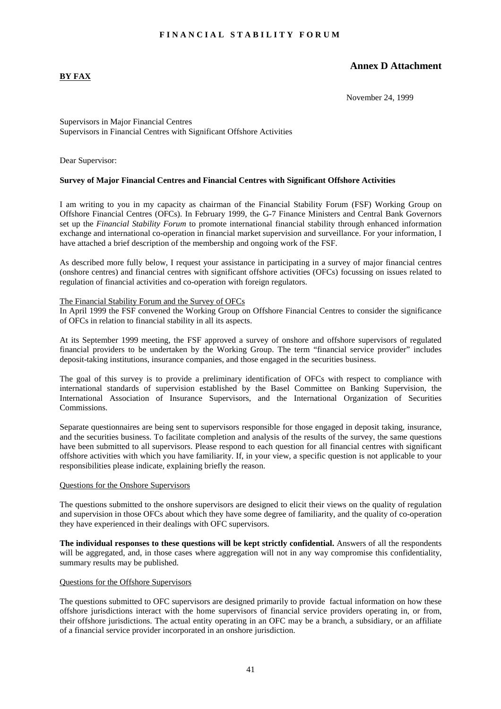# **BY FAX**

# **Annex D Attachment**

November 24, 1999

Supervisors in Major Financial Centres Supervisors in Financial Centres with Significant Offshore Activities

Dear Supervisor:

### **Survey of Major Financial Centres and Financial Centres with Significant Offshore Activities**

I am writing to you in my capacity as chairman of the Financial Stability Forum (FSF) Working Group on Offshore Financial Centres (OFCs). In February 1999, the G-7 Finance Ministers and Central Bank Governors set up the *Financial Stability Forum* to promote international financial stability through enhanced information exchange and international co-operation in financial market supervision and surveillance. For your information, I have attached a brief description of the membership and ongoing work of the FSF.

As described more fully below, I request your assistance in participating in a survey of major financial centres (onshore centres) and financial centres with significant offshore activities (OFCs) focussing on issues related to regulation of financial activities and co-operation with foreign regulators.

### The Financial Stability Forum and the Survey of OFCs

In April 1999 the FSF convened the Working Group on Offshore Financial Centres to consider the significance of OFCs in relation to financial stability in all its aspects.

At its September 1999 meeting, the FSF approved a survey of onshore and offshore supervisors of regulated financial providers to be undertaken by the Working Group. The term "financial service provider" includes deposit-taking institutions, insurance companies, and those engaged in the securities business.

The goal of this survey is to provide a preliminary identification of OFCs with respect to compliance with international standards of supervision established by the Basel Committee on Banking Supervision, the International Association of Insurance Supervisors, and the International Organization of Securities Commissions.

Separate questionnaires are being sent to supervisors responsible for those engaged in deposit taking, insurance, and the securities business. To facilitate completion and analysis of the results of the survey, the same questions have been submitted to all supervisors. Please respond to each question for all financial centres with significant offshore activities with which you have familiarity. If, in your view, a specific question is not applicable to your responsibilities please indicate, explaining briefly the reason.

### Questions for the Onshore Supervisors

The questions submitted to the onshore supervisors are designed to elicit their views on the quality of regulation and supervision in those OFCs about which they have some degree of familiarity, and the quality of co-operation they have experienced in their dealings with OFC supervisors.

**The individual responses to these questions will be kept strictly confidential.** Answers of all the respondents will be aggregated, and, in those cases where aggregation will not in any way compromise this confidentiality, summary results may be published.

### Questions for the Offshore Supervisors

The questions submitted to OFC supervisors are designed primarily to provide factual information on how these offshore jurisdictions interact with the home supervisors of financial service providers operating in, or from, their offshore jurisdictions. The actual entity operating in an OFC may be a branch, a subsidiary, or an affiliate of a financial service provider incorporated in an onshore jurisdiction.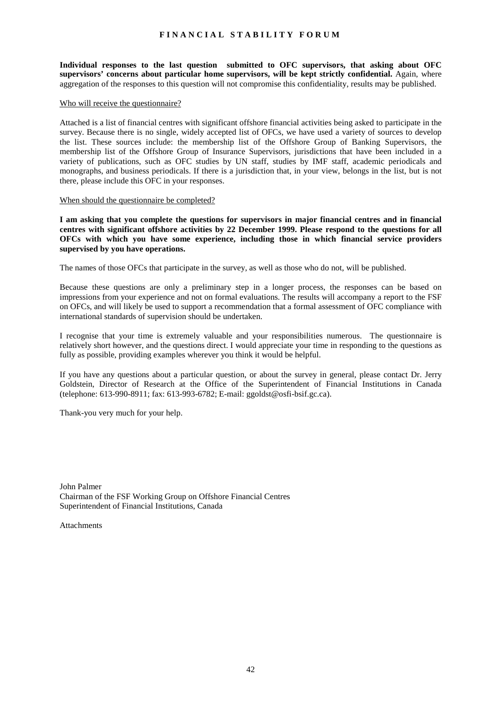**Individual responses to the last question submitted to OFC supervisors, that asking about OFC supervisors' concerns about particular home supervisors, will be kept strictly confidential.** Again, where aggregation of the responses to this question will not compromise this confidentiality, results may be published.

### Who will receive the questionnaire?

Attached is a list of financial centres with significant offshore financial activities being asked to participate in the survey. Because there is no single, widely accepted list of OFCs, we have used a variety of sources to develop the list. These sources include: the membership list of the Offshore Group of Banking Supervisors, the membership list of the Offshore Group of Insurance Supervisors, jurisdictions that have been included in a variety of publications, such as OFC studies by UN staff, studies by IMF staff, academic periodicals and monographs, and business periodicals. If there is a jurisdiction that, in your view, belongs in the list, but is not there, please include this OFC in your responses.

### When should the questionnaire be completed?

**I am asking that you complete the questions for supervisors in major financial centres and in financial centres with significant offshore activities by 22 December 1999. Please respond to the questions for all OFCs with which you have some experience, including those in which financial service providers supervised by you have operations.**

The names of those OFCs that participate in the survey, as well as those who do not, will be published.

Because these questions are only a preliminary step in a longer process, the responses can be based on impressions from your experience and not on formal evaluations. The results will accompany a report to the FSF on OFCs, and will likely be used to support a recommendation that a formal assessment of OFC compliance with international standards of supervision should be undertaken.

I recognise that your time is extremely valuable and your responsibilities numerous. The questionnaire is relatively short however, and the questions direct. I would appreciate your time in responding to the questions as fully as possible, providing examples wherever you think it would be helpful.

If you have any questions about a particular question, or about the survey in general, please contact Dr. Jerry Goldstein, Director of Research at the Office of the Superintendent of Financial Institutions in Canada (telephone: 613-990-8911; fax: 613-993-6782; E-mail: ggoldst@osfi-bsif.gc.ca).

Thank-you very much for your help.

John Palmer Chairman of the FSF Working Group on Offshore Financial Centres Superintendent of Financial Institutions, Canada

Attachments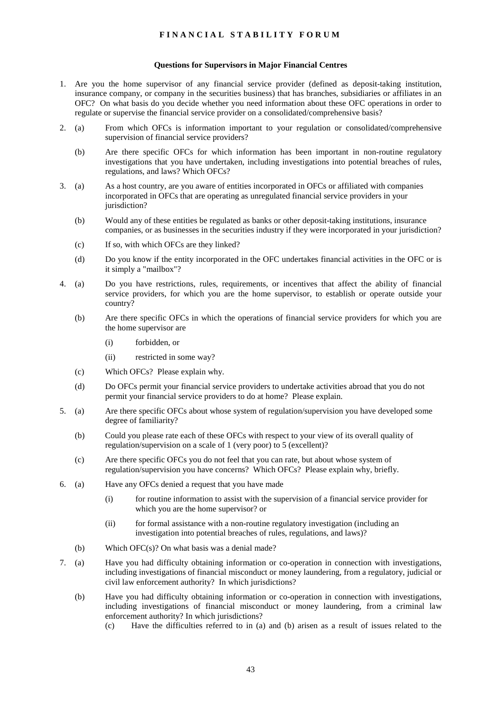### **Questions for Supervisors in Major Financial Centres**

- 1. Are you the home supervisor of any financial service provider (defined as deposit-taking institution, insurance company, or company in the securities business) that has branches, subsidiaries or affiliates in an OFC? On what basis do you decide whether you need information about these OFC operations in order to regulate or supervise the financial service provider on a consolidated/comprehensive basis?
- 2. (a) From which OFCs is information important to your regulation or consolidated/comprehensive supervision of financial service providers?
	- (b) Are there specific OFCs for which information has been important in non-routine regulatory investigations that you have undertaken, including investigations into potential breaches of rules, regulations, and laws? Which OFCs?
- 3. (a) As a host country, are you aware of entities incorporated in OFCs or affiliated with companies incorporated in OFCs that are operating as unregulated financial service providers in your jurisdiction?
	- (b) Would any of these entities be regulated as banks or other deposit-taking institutions, insurance companies, or as businesses in the securities industry if they were incorporated in your jurisdiction?
	- (c) If so, with which OFCs are they linked?
	- (d) Do you know if the entity incorporated in the OFC undertakes financial activities in the OFC or is it simply a "mailbox"?
- 4. (a) Do you have restrictions, rules, requirements, or incentives that affect the ability of financial service providers, for which you are the home supervisor, to establish or operate outside your country?
	- (b) Are there specific OFCs in which the operations of financial service providers for which you are the home supervisor are
		- (i) forbidden, or
		- (ii) restricted in some way?
	- (c) Which OFCs? Please explain why.
	- (d) Do OFCs permit your financial service providers to undertake activities abroad that you do not permit your financial service providers to do at home? Please explain.
- 5. (a) Are there specific OFCs about whose system of regulation/supervision you have developed some degree of familiarity?
	- (b) Could you please rate each of these OFCs with respect to your view of its overall quality of regulation/supervision on a scale of 1 (very poor) to 5 (excellent)?
	- (c) Are there specific OFCs you do not feel that you can rate, but about whose system of regulation/supervision you have concerns? Which OFCs? Please explain why, briefly.
- 6. (a) Have any OFCs denied a request that you have made
	- (i) for routine information to assist with the supervision of a financial service provider for which you are the home supervisor? or
	- (ii) for formal assistance with a non-routine regulatory investigation (including an investigation into potential breaches of rules, regulations, and laws)?
	- (b) Which OFC(s)? On what basis was a denial made?
- 7. (a) Have you had difficulty obtaining information or co-operation in connection with investigations, including investigations of financial misconduct or money laundering, from a regulatory, judicial or civil law enforcement authority? In which jurisdictions?
	- (b) Have you had difficulty obtaining information or co-operation in connection with investigations, including investigations of financial misconduct or money laundering, from a criminal law enforcement authority? In which jurisdictions?
		- (c) Have the difficulties referred to in (a) and (b) arisen as a result of issues related to the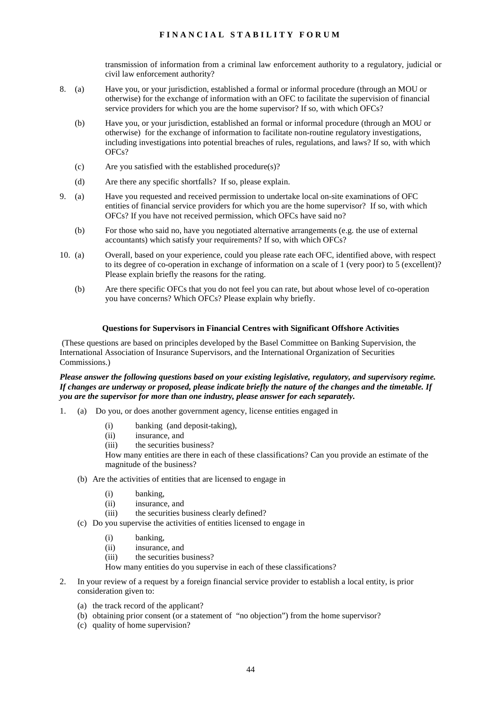transmission of information from a criminal law enforcement authority to a regulatory, judicial or civil law enforcement authority?

- 8. (a) Have you, or your jurisdiction, established a formal or informal procedure (through an MOU or otherwise) for the exchange of information with an OFC to facilitate the supervision of financial service providers for which you are the home supervisor? If so, with which OFCs?
	- (b) Have you, or your jurisdiction, established an formal or informal procedure (through an MOU or otherwise) for the exchange of information to facilitate non-routine regulatory investigations, including investigations into potential breaches of rules, regulations, and laws? If so, with which OFCs?
	- (c) Are you satisfied with the established procedure(s)?
	- (d) Are there any specific shortfalls? If so, please explain.
- 9. (a) Have you requested and received permission to undertake local on-site examinations of OFC entities of financial service providers for which you are the home supervisor? If so, with which OFCs? If you have not received permission, which OFCs have said no?
	- (b) For those who said no, have you negotiated alternative arrangements (e.g. the use of external accountants) which satisfy your requirements? If so, with which OFCs?
- 10. (a) Overall, based on your experience, could you please rate each OFC, identified above, with respect to its degree of co-operation in exchange of information on a scale of 1 (very poor) to 5 (excellent)? Please explain briefly the reasons for the rating.
	- (b) Are there specific OFCs that you do not feel you can rate, but about whose level of co-operation you have concerns? Which OFCs? Please explain why briefly.

### **Questions for Supervisors in Financial Centres with Significant Offshore Activities**

 (These questions are based on principles developed by the Basel Committee on Banking Supervision, the International Association of Insurance Supervisors, and the International Organization of Securities Commissions.)

### *Please answer the following questions based on your existing legislative, regulatory, and supervisory regime. If changes are underway or proposed, please indicate briefly the nature of the changes and the timetable. If you are the supervisor for more than one industry, please answer for each separately.*

- 1. (a) Do you, or does another government agency, license entities engaged in
	- (i) banking (and deposit-taking),
	- (ii) insurance, and<br>(iii) the securities b
	- the securities business?

How many entities are there in each of these classifications? Can you provide an estimate of the magnitude of the business?

- (b) Are the activities of entities that are licensed to engage in
	- (i) banking,
	- (ii) insurance, and<br>(iii) the securities h
	- the securities business clearly defined?
- (c) Do you supervise the activities of entities licensed to engage in
	- (i) banking,
	- (ii) insurance, and
	- (iii) the securities business?

How many entities do you supervise in each of these classifications?

- 2. In your review of a request by a foreign financial service provider to establish a local entity, is prior consideration given to:
	- (a) the track record of the applicant?
	- (b) obtaining prior consent (or a statement of "no objection") from the home supervisor?
	- (c) quality of home supervision?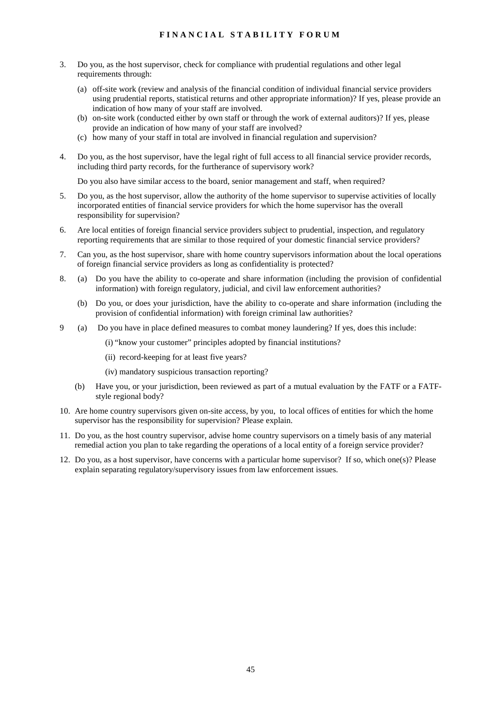- 3. Do you, as the host supervisor, check for compliance with prudential regulations and other legal requirements through:
	- (a) off-site work (review and analysis of the financial condition of individual financial service providers using prudential reports, statistical returns and other appropriate information)? If yes, please provide an indication of how many of your staff are involved.
	- (b) on-site work (conducted either by own staff or through the work of external auditors)? If yes, please provide an indication of how many of your staff are involved?
	- (c) how many of your staff in total are involved in financial regulation and supervision?
- 4. Do you, as the host supervisor, have the legal right of full access to all financial service provider records, including third party records, for the furtherance of supervisory work?

Do you also have similar access to the board, senior management and staff, when required?

- 5. Do you, as the host supervisor, allow the authority of the home supervisor to supervise activities of locally incorporated entities of financial service providers for which the home supervisor has the overall responsibility for supervision?
- 6. Are local entities of foreign financial service providers subject to prudential, inspection, and regulatory reporting requirements that are similar to those required of your domestic financial service providers?
- 7. Can you, as the host supervisor, share with home country supervisors information about the local operations of foreign financial service providers as long as confidentiality is protected?
- 8. (a) Do you have the ability to co-operate and share information (including the provision of confidential information) with foreign regulatory, judicial, and civil law enforcement authorities?
	- (b) Do you, or does your jurisdiction, have the ability to co-operate and share information (including the provision of confidential information) with foreign criminal law authorities?
- 9 (a) Do you have in place defined measures to combat money laundering? If yes, does this include:
	- (i) "know your customer" principles adopted by financial institutions?
	- (ii) record-keeping for at least five years?
	- (iv) mandatory suspicious transaction reporting?
	- (b) Have you, or your jurisdiction, been reviewed as part of a mutual evaluation by the FATF or a FATFstyle regional body?
- 10. Are home country supervisors given on-site access, by you, to local offices of entities for which the home supervisor has the responsibility for supervision? Please explain.
- 11. Do you, as the host country supervisor, advise home country supervisors on a timely basis of any material remedial action you plan to take regarding the operations of a local entity of a foreign service provider?
- 12. Do you, as a host supervisor, have concerns with a particular home supervisor? If so, which one(s)? Please explain separating regulatory/supervisory issues from law enforcement issues.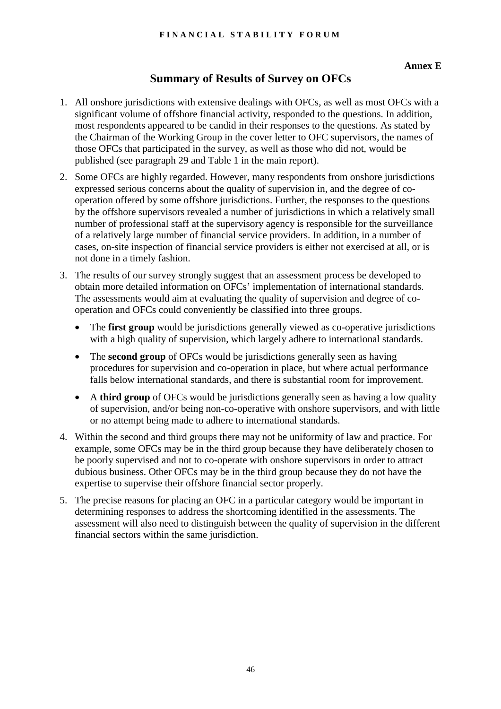# **Annex E**

# **Summary of Results of Survey on OFCs**

- 1. All onshore jurisdictions with extensive dealings with OFCs, as well as most OFCs with a significant volume of offshore financial activity, responded to the questions. In addition, most respondents appeared to be candid in their responses to the questions. As stated by the Chairman of the Working Group in the cover letter to OFC supervisors, the names of those OFCs that participated in the survey, as well as those who did not, would be published (see paragraph 29 and Table 1 in the main report).
- 2. Some OFCs are highly regarded. However, many respondents from onshore jurisdictions expressed serious concerns about the quality of supervision in, and the degree of cooperation offered by some offshore jurisdictions. Further, the responses to the questions by the offshore supervisors revealed a number of jurisdictions in which a relatively small number of professional staff at the supervisory agency is responsible for the surveillance of a relatively large number of financial service providers. In addition, in a number of cases, on-site inspection of financial service providers is either not exercised at all, or is not done in a timely fashion.
- 3. The results of our survey strongly suggest that an assessment process be developed to obtain more detailed information on OFCs' implementation of international standards. The assessments would aim at evaluating the quality of supervision and degree of cooperation and OFCs could conveniently be classified into three groups.
	- The **first group** would be jurisdictions generally viewed as co-operative jurisdictions with a high quality of supervision, which largely adhere to international standards.
	- The **second group** of OFCs would be jurisdictions generally seen as having procedures for supervision and co-operation in place, but where actual performance falls below international standards, and there is substantial room for improvement.
	- A **third group** of OFCs would be jurisdictions generally seen as having a low quality of supervision, and/or being non-co-operative with onshore supervisors, and with little or no attempt being made to adhere to international standards.
- 4. Within the second and third groups there may not be uniformity of law and practice. For example, some OFCs may be in the third group because they have deliberately chosen to be poorly supervised and not to co-operate with onshore supervisors in order to attract dubious business. Other OFCs may be in the third group because they do not have the expertise to supervise their offshore financial sector properly.
- 5. The precise reasons for placing an OFC in a particular category would be important in determining responses to address the shortcoming identified in the assessments. The assessment will also need to distinguish between the quality of supervision in the different financial sectors within the same jurisdiction.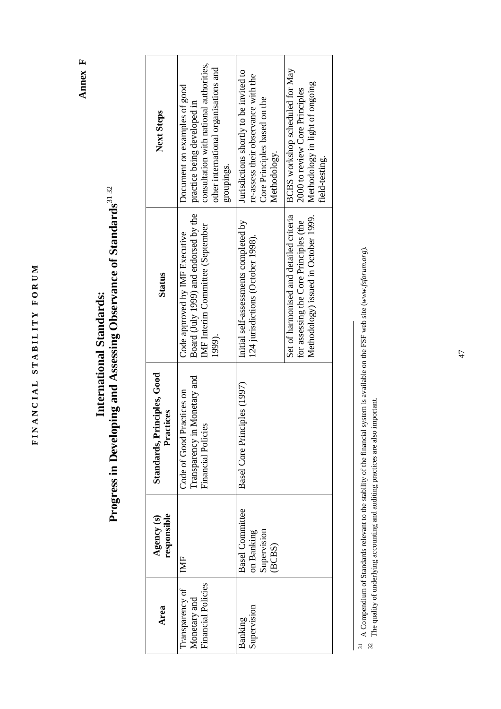Annex F **Annex F**

# Progress in Developing and Assessing Observance of Standards<sup>3132</sup> **Progress in Developing and Assessing Observance of Standards**31 32 International Standards: **International Standards:**

| Area                                                  | responsible<br>Agency (s)                                    | <b>Standards, Principles, Good</b><br>Practices                                 | <b>Status</b>                                                                                                                | <b>Next Steps</b>                                                                                                                                             |
|-------------------------------------------------------|--------------------------------------------------------------|---------------------------------------------------------------------------------|------------------------------------------------------------------------------------------------------------------------------|---------------------------------------------------------------------------------------------------------------------------------------------------------------|
| Financial Policies<br>Transparency of<br>Monetary and | МF                                                           | Transparency in Monetary and<br>Code of Good Practices on<br>Financial Policies | Board (July 1999) and endorsed by the<br><b>IMF</b> Interim Committee (September<br>Code approved by IMF Executive<br>1999). | consultation with national authorities,<br>other international organisations and<br>Document on examples of good<br>practice being developed in<br>groupings. |
| Supervision<br>Banking                                | <b>Basel Committee</b><br>on Banking<br>Supervision<br>BCBS) | Basel Core Principles (1997)                                                    | Initial self-assessments completed by<br>124 jurisdictions (October 1998).                                                   | Jurisdictions shortly to be invited to<br>re-assess their observance with the<br>Core Principles based on the<br>Methodology.                                 |
|                                                       |                                                              |                                                                                 | Set of harmonised and detailed criteria<br>Methodology) issued in October 1999.<br>for assessing the Core Principles (the    | BCBS workshop scheduled for May<br>Methodology in light of ongoing<br>2000 to review Core Principles<br>field-testing.                                        |

<sup>31</sup> A Compendium of Standards relevant to the stability of the financial system is available on the FSF web site (www.fsforum.org).<br><sup>32</sup> The quality of underlying accounting and auditing practices are also important. 31 A Compendium of Standards relevant to the stability of the financial system is available on the FSF web site (*www.fsforum.org*).

 $32$  The quality of underlying accounting and auditing practices are also important.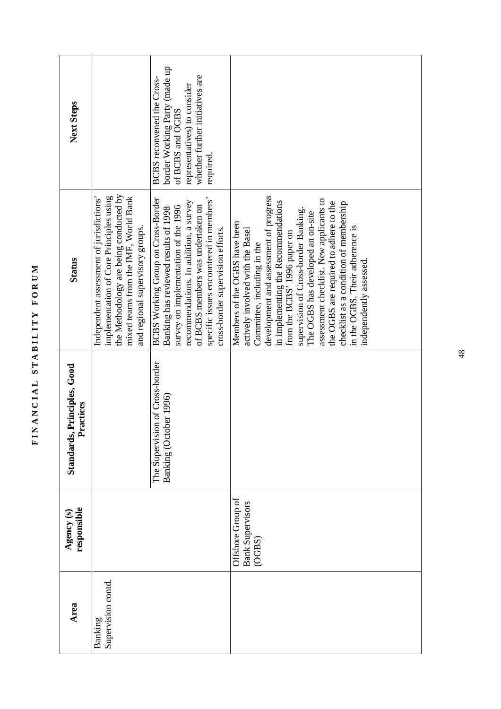| Area                          | responsible<br>Agency (s)                              | Principles, Good<br>Practices<br>Standards,               | <b>Status</b>                                                                                                                                                                                                                                                                                                                                                                                                                                                                               | <b>Next Steps</b>                                                                                                                                              |
|-------------------------------|--------------------------------------------------------|-----------------------------------------------------------|---------------------------------------------------------------------------------------------------------------------------------------------------------------------------------------------------------------------------------------------------------------------------------------------------------------------------------------------------------------------------------------------------------------------------------------------------------------------------------------------|----------------------------------------------------------------------------------------------------------------------------------------------------------------|
| Supervision contd.<br>Banking |                                                        |                                                           | the Methodology are being conducted by<br>mixed teams from the IMF, World Bank<br>implementation of Core Principles using<br>Independent assessment of jurisdictions'<br>and regional supervisory groups.                                                                                                                                                                                                                                                                                   |                                                                                                                                                                |
|                               |                                                        | The Supervision of Cross-border<br>Banking (October 1996) | BCBS Working Group on Cross-Border<br>specific issues encountered in members'<br>recommendations. In addition, a survey<br>of BCBS members was undertaken on<br>survey on implementation of the 1996<br>Banking has reviewed results of 1998<br>cross-border supervision efforts.                                                                                                                                                                                                           | border Working Party (made up<br>whether further initiatives are<br>BCBS reconvened the Cross-<br>representatives) to consider<br>of BCBS and OGBS<br>required |
|                               | Offshore Group of<br><b>Bank Supervisors</b><br>(OGBS) |                                                           | development and assessment of progress<br>assessment checklist. New applicants to<br>in implementing the Recommendations<br>from the BCBS' 1996 paper on<br>the OGBS are required to adhere to the<br>checklist as a condition of membership<br>supervision of Cross-border Banking.<br>The OGBS has developed an on-site<br>Members of the OGBS have been<br>in the OGBS. Their adherence is<br>actively involved with the Basel<br>Committee, including in the<br>independently assessed. |                                                                                                                                                                |

FINANCIAL STABILITY FORUM **FINANCIAL STABILITY FORUM**

48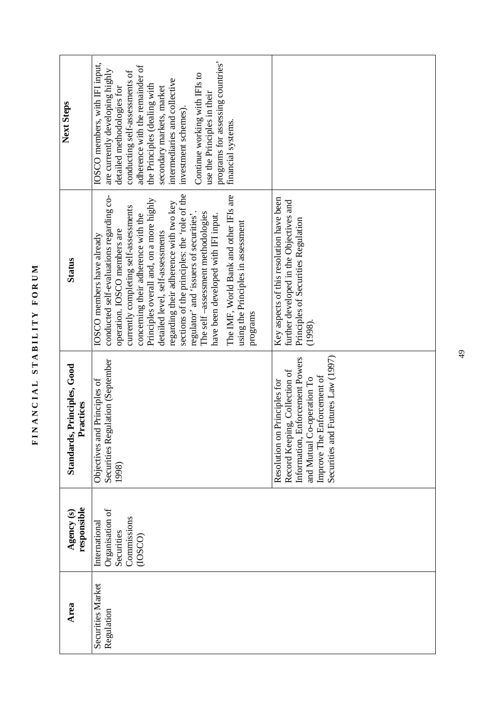| <b>Next Steps</b>                        | programs for assessing countries'<br>IOSCO members, with IFI input,<br>adherence with the remainder of<br>are currently developing highly<br>conducting self-assessments of<br>Continue working with IFIs to<br>intermediaries and collective<br>the Principles (dealing with<br>secondary markets, market<br>detailed methodologies for<br>use the Principles in their<br>investment schemes).<br>financial systems.                                                                                                                                                               |                                                                                                                                                                                                              |
|------------------------------------------|-------------------------------------------------------------------------------------------------------------------------------------------------------------------------------------------------------------------------------------------------------------------------------------------------------------------------------------------------------------------------------------------------------------------------------------------------------------------------------------------------------------------------------------------------------------------------------------|--------------------------------------------------------------------------------------------------------------------------------------------------------------------------------------------------------------|
| <b>Status</b>                            | sections of the principles: the 'role of the<br>The IMF, World Bank and other IFIs are<br>conducted self-evaluations regarding co-<br>Principles overall and, on a more highly<br>regarding their adherence with two key<br>currently completing self-assessments<br>The self-assessment methodologies<br>regulator' and 'issuers of securities'.<br>concerning their adherence with the<br>have been developed with IFI input.<br>using the Principles in assessment<br>operation. IOSCO members are<br>detailed level, self-assessments<br>IOSCO members have already<br>programs | Key aspects of this resolution have been<br>further developed in the Objectives and<br>Principles of Securities Regulation<br>(1998).                                                                        |
| Standards, Principles, Good<br>Practices | Securities Regulation (September<br>Objectives and Principles of<br>1998)                                                                                                                                                                                                                                                                                                                                                                                                                                                                                                           | Futures Law (1997)<br>Enforcement Powers<br>Record Keeping, Collection of<br>Improve The Enforcement of<br>and Mutual Co-operation To<br>Principles for<br>Resolution on<br>Securities and<br>Information, I |
| responsible<br>Agency (s)                | Organisation of<br>Commissions<br>International<br>Securities<br>(IOSCO)                                                                                                                                                                                                                                                                                                                                                                                                                                                                                                            |                                                                                                                                                                                                              |
| Area                                     | <b>Securities Market</b><br>Regulation                                                                                                                                                                                                                                                                                                                                                                                                                                                                                                                                              |                                                                                                                                                                                                              |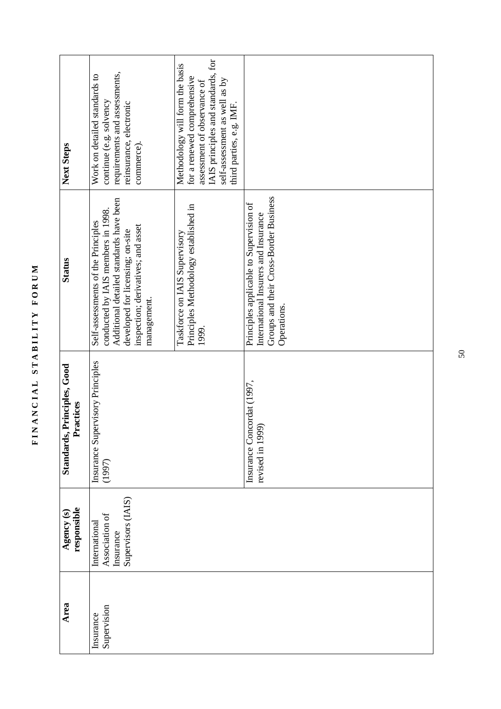| í                             |  |
|-------------------------------|--|
|                               |  |
| i<br>冫                        |  |
| ≃                             |  |
| ¢<br>)                        |  |
| Þ<br>H                        |  |
|                               |  |
| ř<br>4                        |  |
|                               |  |
| E<br>٠                        |  |
| ŀ<br>í                        |  |
| 1<br>ł                        |  |
| k<br>í                        |  |
| $\overline{\mathbf{a}}$       |  |
| ⋖                             |  |
|                               |  |
| E<br>$\overline{\phantom{0}}$ |  |
| ζ<br>ב                        |  |
|                               |  |
| ٦                             |  |
|                               |  |
|                               |  |
| ζ<br>)                        |  |
|                               |  |
| i                             |  |
| হ                             |  |
|                               |  |
|                               |  |
| I                             |  |
| Ŀ<br>ł                        |  |

| <b>Next Steps</b>                           | requirements and assessments,<br>Work on detailed standards to<br>continue (e.g. solvency<br>reinsurance, electronic<br>commerce).                                                                           | IAIS principles and standards, for<br>Methodology will form the basis<br>for a renewed comprehensive<br>self-assessment as well as by<br>assessment of observance of<br>third parties, e.g. IMF. |                                                                                                                                          |
|---------------------------------------------|--------------------------------------------------------------------------------------------------------------------------------------------------------------------------------------------------------------|--------------------------------------------------------------------------------------------------------------------------------------------------------------------------------------------------|------------------------------------------------------------------------------------------------------------------------------------------|
| <b>Status</b>                               | Additional detailed standards have been<br>conducted by IAIS members in 1998.<br>Self-assessments of the Principles<br>inspection; derivatives; and asset<br>developed for licensing; on-site<br>management. | Principles Methodology established in<br>Taskforce on IAIS Supervisory<br>1999.                                                                                                                  | Groups and their Cross-Border Business<br>Principles applicable to Supervision of<br>International Insurers and Insurance<br>Operations. |
| Principles, Good<br>Practices<br>Standards, | Insurance Supervisory Principles<br>(1997)                                                                                                                                                                   |                                                                                                                                                                                                  | Insurance Concordat (1997,<br>revised in 1999)                                                                                           |
| responsible<br>Agency (s)                   | Supervisors (IAIS)<br>Association of<br>International<br>Insurance                                                                                                                                           |                                                                                                                                                                                                  |                                                                                                                                          |
| Area                                        | Supervision<br>Insurance                                                                                                                                                                                     |                                                                                                                                                                                                  |                                                                                                                                          |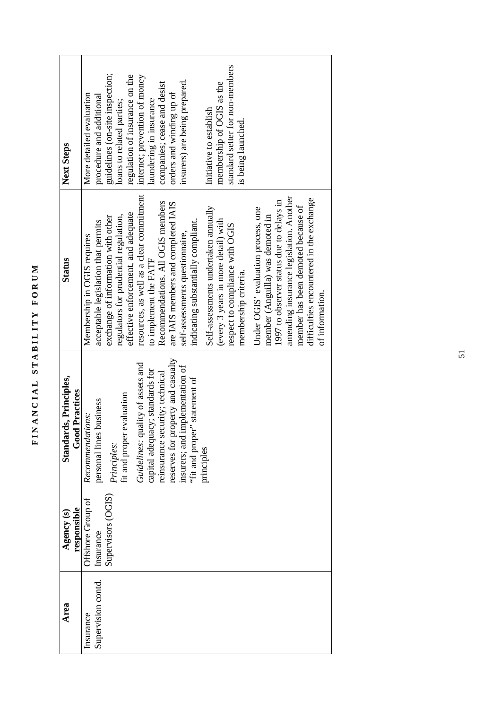| i<br>C              |
|---------------------|
|                     |
| ≃                   |
| ¢<br>)              |
| Þ<br>٦              |
|                     |
| ≻                   |
| E<br>t              |
| 1                   |
| F                   |
| l<br>י<br>ו         |
| Í                   |
| $\mathbf{r}$        |
| ⋖                   |
| E<br>۰              |
| $\overline{C}$<br>ב |
|                     |
| ٦<br>f,             |
| I                   |
| F                   |
| ζ<br>ℷ              |
|                     |
| Ž<br>ł              |
| ◀                   |
|                     |
| ים<br>י<br>ł        |
| 匞                   |
|                     |

| Area                            | responsible<br>Agency (s)                            | Standards, Principles,<br><b>Good Practices</b>                                                                                                                                                                   | <b>Status</b>                                                                                                                                                                                                                                                       | <b>Next Steps</b>                                                                                                                                      |
|---------------------------------|------------------------------------------------------|-------------------------------------------------------------------------------------------------------------------------------------------------------------------------------------------------------------------|---------------------------------------------------------------------------------------------------------------------------------------------------------------------------------------------------------------------------------------------------------------------|--------------------------------------------------------------------------------------------------------------------------------------------------------|
| Supervision contd.<br>Insurance | Supervisors (OGIS)<br>Offshore Group of<br>Insurance | evaluation<br>personal lines business<br>Recommendations:<br><i>Principles:</i><br>fit and proper $\epsilon$                                                                                                      | effective enforcement, and adequate<br>regulators for prudential regulation,<br>exchange of information with other<br>acceptable legislation that permits<br>Membership in OGIS requires                                                                            | guidelines (on-site inspection;<br>regulation of insurance on the<br>More detailed evaluation<br>procedure and additional<br>loans to related parties; |
|                                 |                                                      | reserves for property and casualty<br>Guidelines: quality of assets and<br>insurers; and implementation of<br>capital adequacy; standards for<br>reinsurance security; technical<br>"fit and proper" statement of | resources, as well as a clear commitment<br>Recommendations. All OGIS members<br>are IAIS members and completed IAIS<br>indicating substantially compliant.<br>self-assessments questionnaire,<br>to implement the FATF                                             | internet; prevention of money<br>insurers) are being prepared.<br>companies; cease and desist<br>orders and winding up of<br>laundering in insurance   |
|                                 |                                                      | principles                                                                                                                                                                                                        | Self-assessments undertaken annually<br>(every 3 years in more detail) with<br>respect to compliance with OGIS<br>membership criteria.                                                                                                                              | standard setter for non-members<br>membership of OGIS as the<br>Initiative to establish<br>is being launched.                                          |
|                                 |                                                      |                                                                                                                                                                                                                   | amending insurance legislation. Another<br>difficulties encountered in the exchange<br>1997 to observer status due to delays in<br>member has been demoted because of<br>Under OGIS' evaluation process, one<br>member (Anguilla) was demoted in<br>of information. |                                                                                                                                                        |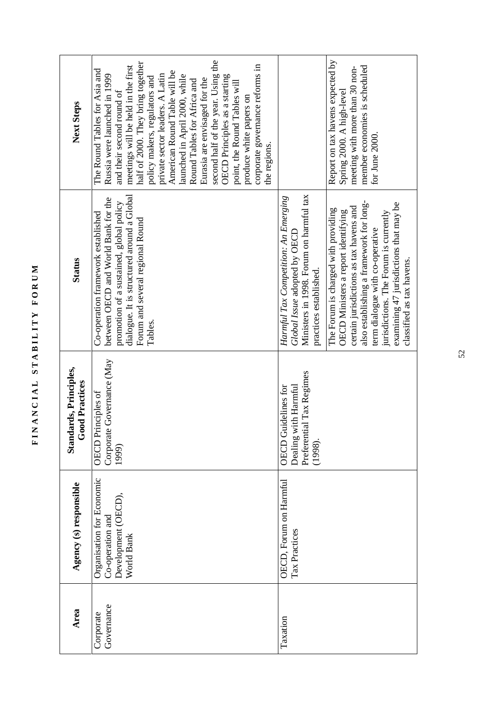| Next Steps                                      | second half of the year. Using the<br>half of 2000. They bring together<br>corporate governance reforms in<br>meetings will be held in the first<br>The Round Tables for Asia and<br>American Round Table will be<br>private sector leaders. A Latin<br>launched in April 2000, while<br>OECD Principles as a starting<br>Russia were launched in 1999<br>policy makers, regulators and<br>Eurasia are envisaged for the<br>Round Tables for Africa and<br>point, the Round Tables will<br>and their second round of<br>produce white papers on<br>the regions. | Report on tax havens expected by<br>member economies is scheduled<br>meeting with more than 30 non-<br>Spring 2000. A high-level<br>for June 2000.                                                                                                                                                                                                                                                                                    |                           |
|-------------------------------------------------|-----------------------------------------------------------------------------------------------------------------------------------------------------------------------------------------------------------------------------------------------------------------------------------------------------------------------------------------------------------------------------------------------------------------------------------------------------------------------------------------------------------------------------------------------------------------|---------------------------------------------------------------------------------------------------------------------------------------------------------------------------------------------------------------------------------------------------------------------------------------------------------------------------------------------------------------------------------------------------------------------------------------|---------------------------|
| <b>Status</b>                                   | dialogue. It is structured around a Global<br>between OECD and World Bank for the<br>promotion of a sustained, global policy<br>Co-operation framework established<br>Forum and several regional Round<br>Tables.                                                                                                                                                                                                                                                                                                                                               | Ministers in 1998. Forum on harmful tax<br>Harmful Tax Competition: An Emerging<br>also establishing a framework for long-<br>examining $47$ jurisdictions that may be<br>certain jurisdictions as tax havens and<br>The Forum is charged with providing<br>OECD Ministers a report identifying<br>jurisdictions. The Forum is currently<br>term dialogue with co-operative<br>Global Issue adopted by OECD<br>practices established. | classified as tax havens. |
| Standards, Principles,<br><b>Good Practices</b> | Corporate Governance (May<br><b>OECD</b> Principles of<br>1999)                                                                                                                                                                                                                                                                                                                                                                                                                                                                                                 | Preferential Tax Regimes<br>vith Harmful<br><b>OECD</b> Guidelines for<br>Dealing w<br>(1998).                                                                                                                                                                                                                                                                                                                                        |                           |
| Agency (s) responsible                          | Organisation for Economic<br>Oevelopment (OECD),<br>Co-operation and<br>World Bank                                                                                                                                                                                                                                                                                                                                                                                                                                                                              | OECD, Forum on Harmful<br>Tax Practices                                                                                                                                                                                                                                                                                                                                                                                               |                           |
| Area                                            | Governance<br>Corporate                                                                                                                                                                                                                                                                                                                                                                                                                                                                                                                                         | Taxation                                                                                                                                                                                                                                                                                                                                                                                                                              |                           |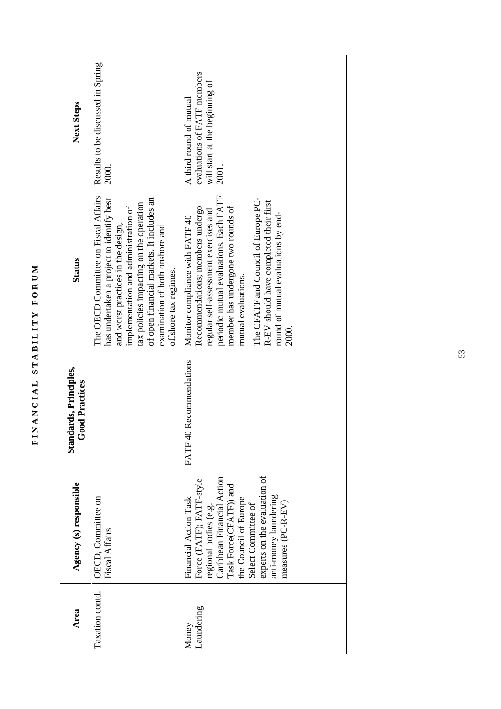| Area                | Agency (s) responsible                                                                                                                                                                                                                                            | Standards, Principles,<br><b>Good Practices</b> | <b>Status</b>                                                                                                                                                                                                                                                                                                                                        | <b>Next Steps</b>                                                                                 |
|---------------------|-------------------------------------------------------------------------------------------------------------------------------------------------------------------------------------------------------------------------------------------------------------------|-------------------------------------------------|------------------------------------------------------------------------------------------------------------------------------------------------------------------------------------------------------------------------------------------------------------------------------------------------------------------------------------------------------|---------------------------------------------------------------------------------------------------|
| Taxation contd.     | OECD, Committee on<br><b>Fiscal Affairs</b>                                                                                                                                                                                                                       |                                                 | The OECD Committee on Fiscal Affairs<br>has undertaken a project to identify best<br>of open financial markets. It includes an<br>tax policies impacting on the operation<br>implementation and administration of<br>and worst practices in the design,<br>examination of both onshore and<br>offshore tax regimes.                                  | Results to be discussed in Spring<br>2000.                                                        |
| Laundering<br>Money | experts on the evaluation of<br>Caribbean Financial Action<br>Financial Action Task<br>Force (FATF); FATF-style<br>Task Force(CFATF)) and<br>the Council of Europe<br>anti-money laundering<br>measures (PC-R-EV)<br>Select Committee of<br>regional bodies (e.g. | Recommendations<br>FATF 40                      | periodic mutual evaluations. Each FATF<br>The CFATF and Council of Europe PC-<br>R-EV should have completed their first<br>member has undergone two rounds of<br>Recommendations; members undergo<br>regular self-assessment exercises and<br>round of mutual evaluations by end-<br>Monitor compliance with FATF 40<br>mutual evaluations.<br>2000. | evaluations of FATF members<br>will start at the beginning of<br>A third round of mutual<br>2001. |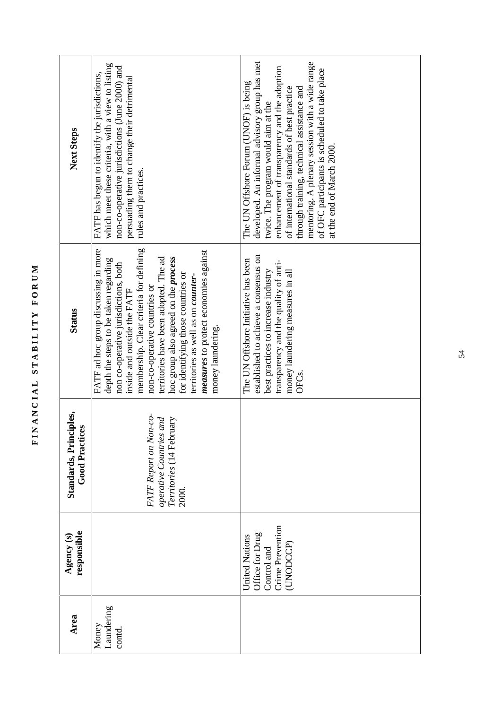| <b>Next Steps</b>                               | which meet these criteria, with a view to listing<br>non-co-operative jurisdictions (June 2000) and<br>FATF has begun to identify the jurisdictions,<br>persuading them to change their detrimental<br>rules and practices.                                                                                                                                                                                                                                        | developed. An informal advisory group has met<br>mentoring. A plenary session with a wide range<br>enhancement of transparency and the adoption<br>of OFC participants is scheduled to take place<br>The UN Offshore Forum (UNOF) is being<br>of international standards of best practice<br>through training, technical assistance and<br>twice. The program would aim at the<br>at the end of March 2000. |
|-------------------------------------------------|--------------------------------------------------------------------------------------------------------------------------------------------------------------------------------------------------------------------------------------------------------------------------------------------------------------------------------------------------------------------------------------------------------------------------------------------------------------------|-------------------------------------------------------------------------------------------------------------------------------------------------------------------------------------------------------------------------------------------------------------------------------------------------------------------------------------------------------------------------------------------------------------|
| <b>Status</b>                                   | membership. Clear criteria for defining<br>FATF ad hoc group discussing in more<br>measures to protect economies against<br>territories have been adopted. The ad<br>hoc group also agreed on the <i>process</i><br>depth the steps to be taken regarding<br>non co-operative jurisdictions, both<br>for identifying those countries or<br>territories as well as on counter-<br>non-co-operative countries or<br>inside and outside the FATF<br>money laundering. | established to achieve a consensus on<br>The UN Offshore Initiative has been<br>transparency and the quality of anti-<br>money laundering measures in all<br>best practices to increase industry<br>OFC <sub>s</sub> .                                                                                                                                                                                      |
| Standards, Principles,<br><b>Good Practices</b> | FATF Report on Non-co-<br>operative Countries and<br>Territories (14 February<br>2000.                                                                                                                                                                                                                                                                                                                                                                             |                                                                                                                                                                                                                                                                                                                                                                                                             |
| responsible<br>Agency (s)                       |                                                                                                                                                                                                                                                                                                                                                                                                                                                                    | Crime Prevention<br>Office for Drug<br>United Nations<br>(UNODCCP)<br>Control and                                                                                                                                                                                                                                                                                                                           |
| Area                                            | Laundering<br>Money<br>contd.                                                                                                                                                                                                                                                                                                                                                                                                                                      |                                                                                                                                                                                                                                                                                                                                                                                                             |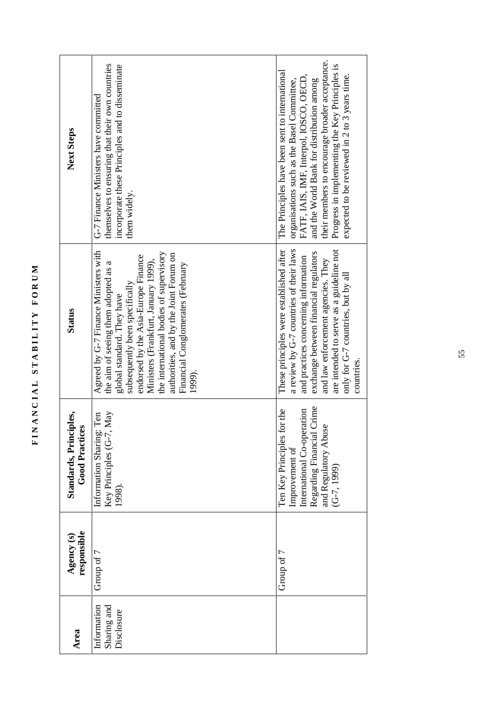| <b>Next Steps</b>                               | themselves to ensuring that their own countries<br>incorporate these Principles and to disseminate<br>G-7 Finance Ministers have committed<br>them widely.                                                                                                                                                                                                     | their members to encourage broader acceptance.<br>Progress in implementing the Key Principles is<br>The Principles have been sent to international<br>expected to be reviewed in 2 to 3 years time.<br>FATF, IAIS, IMF, Interpol, IOSCO, OECD,<br>organisations such as the Basel Committee,<br>and the World Bank for distribution among |
|-------------------------------------------------|----------------------------------------------------------------------------------------------------------------------------------------------------------------------------------------------------------------------------------------------------------------------------------------------------------------------------------------------------------------|-------------------------------------------------------------------------------------------------------------------------------------------------------------------------------------------------------------------------------------------------------------------------------------------------------------------------------------------|
| <b>Status</b>                                   | Agreed by G-7 Finance Ministers with<br>the international bodies of supervisory<br>authorities, and by the Joint Forum on<br>endorsed by the Asia-Europe Finance<br>Ministers (Frankfurt, January 1999),<br>the aim of seeing them adopted as a<br>Financial Conglomerates (February<br>subsequently been specifically<br>global standard. They have<br>1999). | are intended to serve as a guideline not<br>a review by G-7 countries of their laws<br>These principles were established after<br>exchange between financial regulators<br>and practices concerning information<br>and law enforcement agencies. They<br>only for G-7 countries, but by all<br>countries.                                 |
| Standards, Principles,<br><b>Good Practices</b> | Key Principles (G-7, May<br>Ten<br>Information Sharing:<br>1998).                                                                                                                                                                                                                                                                                              | Crime<br>or the<br>International Co-operation<br>and Regulatory Abuse<br>Regarding Financial<br>Ten Key Principles 1<br>Improvement of<br>$(G-7, 1999)$                                                                                                                                                                                   |
| responsible<br>Agency (s)                       | Group of 7                                                                                                                                                                                                                                                                                                                                                     | Group of 7                                                                                                                                                                                                                                                                                                                                |
| Area                                            | Information<br>Sharing and<br>Disclosure                                                                                                                                                                                                                                                                                                                       |                                                                                                                                                                                                                                                                                                                                           |

| ı<br>4              |
|---------------------|
| ı<br>$\mathfrak{c}$ |
|                     |
| ≃                   |
| ¢<br>١              |
| Þ<br>$\blacksquare$ |
|                     |
| Þ<br>Ħ              |
| l<br>1              |
| ŀ<br>í              |
| I<br>ŀ              |
| ŀ<br>Í              |
| ≏                   |
| 1<br>∢              |
| ⊨                   |
| $\bar{c}$<br>b      |
|                     |
| 1<br>J              |
|                     |
| J.<br>1             |
| ₹<br>)              |
|                     |
|                     |
| ◀                   |
| i<br>ł.             |
| ŀ<br>۰              |
| ⋤                   |
|                     |

55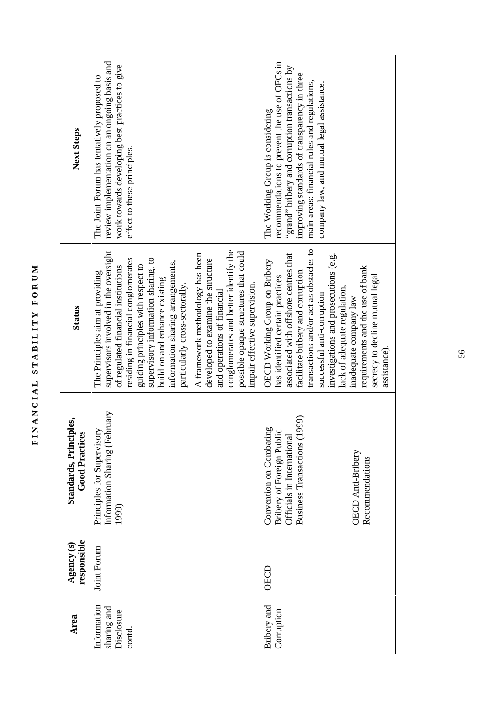| Area                                               | responsible<br>Agency (s) | ples,<br><b>Good Practices</b><br>Standards, Princi                                     | <b>Status</b>                                                                                                                                                                                                                                                                                                                                                                   | <b>Next Steps</b>                                                                                                                                                             |
|----------------------------------------------------|---------------------------|-----------------------------------------------------------------------------------------|---------------------------------------------------------------------------------------------------------------------------------------------------------------------------------------------------------------------------------------------------------------------------------------------------------------------------------------------------------------------------------|-------------------------------------------------------------------------------------------------------------------------------------------------------------------------------|
| Information<br>sharing and<br>Disclosure<br>contd. | Joint Forum               | Information Sharing (February<br>Principles for Supervisory<br>1999)                    | supervisors involved in the oversight<br>A framework methodology has been<br>supervisory information sharing, to<br>residing in financial conglomerates<br>information sharing arrangements,<br>guiding principles with respect to<br>of regulated financial institutions<br>The Principles aim at providing<br>build on and enhance existing<br>particularly cross-sectorally. | review implementation on an ongoing basis and<br>work towards developing best practices to give<br>The Joint Forum has tentatively proposed to<br>effect to these principles. |
|                                                    |                           |                                                                                         | conglomerates and better identify the<br>possible opaque structures that could<br>developed to examine the structure<br>impair effective supervision.<br>and operations of financial                                                                                                                                                                                            |                                                                                                                                                                               |
| Bribery and<br>Corruption                          | <b>OECD</b>               | ğρ<br>Bribery of Foreign Public<br>Convention on Combatin<br>Officials in International | associated with offshore centres that<br>OECD Working Group on Bribery<br>has identified certain practices                                                                                                                                                                                                                                                                      | recommendations to prevent the use of OFCs in<br>"grand" bribery and corruption transactions by<br>The Working Group is considering                                           |
|                                                    |                           | 999)<br>Business Transactions (1                                                        | transactions and/or act as obstacles to<br>investigations and prosecutions (e.g.<br>facilitate bribery and corruption<br>lack of adequate regulation,<br>successful anti-corruption                                                                                                                                                                                             | improving standards of transparency in three<br>main areas: financial rules and regulations,<br>company law, and mutual legal assistance.                                     |
|                                                    |                           | <b>OECD</b> Anti-Bribery<br>Recommendations                                             | requirements and the use of bank<br>secrecy to decline mutual legal<br>inadequate company law<br>assistance).                                                                                                                                                                                                                                                                   |                                                                                                                                                                               |

56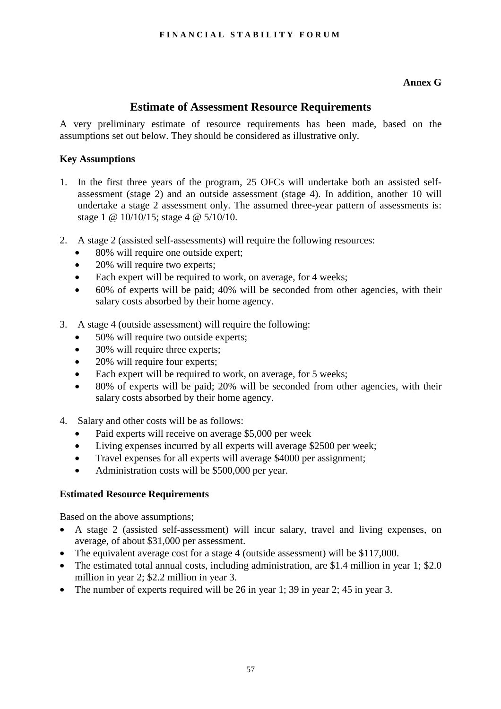# **Annex G**

# **Estimate of Assessment Resource Requirements**

A very preliminary estimate of resource requirements has been made, based on the assumptions set out below. They should be considered as illustrative only.

# **Key Assumptions**

- 1. In the first three years of the program, 25 OFCs will undertake both an assisted selfassessment (stage 2) and an outside assessment (stage 4). In addition, another 10 will undertake a stage 2 assessment only. The assumed three-year pattern of assessments is: stage 1 @ 10/10/15; stage 4 @ 5/10/10.
- 2. A stage 2 (assisted self-assessments) will require the following resources:
	- 80% will require one outside expert;
	- 20% will require two experts;
	- Each expert will be required to work, on average, for 4 weeks;
	- 60% of experts will be paid; 40% will be seconded from other agencies, with their salary costs absorbed by their home agency.
- 3. A stage 4 (outside assessment) will require the following:
	- 50% will require two outside experts;
	- 30% will require three experts;
	- 20% will require four experts;
	- Each expert will be required to work, on average, for 5 weeks;
	- 80% of experts will be paid; 20% will be seconded from other agencies, with their salary costs absorbed by their home agency.
- 4. Salary and other costs will be as follows:
	- Paid experts will receive on average \$5,000 per week
	- Living expenses incurred by all experts will average \$2500 per week;
	- Travel expenses for all experts will average \$4000 per assignment;
	- Administration costs will be \$500,000 per year.

# **Estimated Resource Requirements**

Based on the above assumptions;

- A stage 2 (assisted self-assessment) will incur salary, travel and living expenses, on average, of about \$31,000 per assessment.
- The equivalent average cost for a stage 4 (outside assessment) will be \$117,000.
- The estimated total annual costs, including administration, are \$1.4 million in year 1; \$2.0 million in year 2; \$2.2 million in year 3.
- The number of experts required will be 26 in year 1; 39 in year 2; 45 in year 3.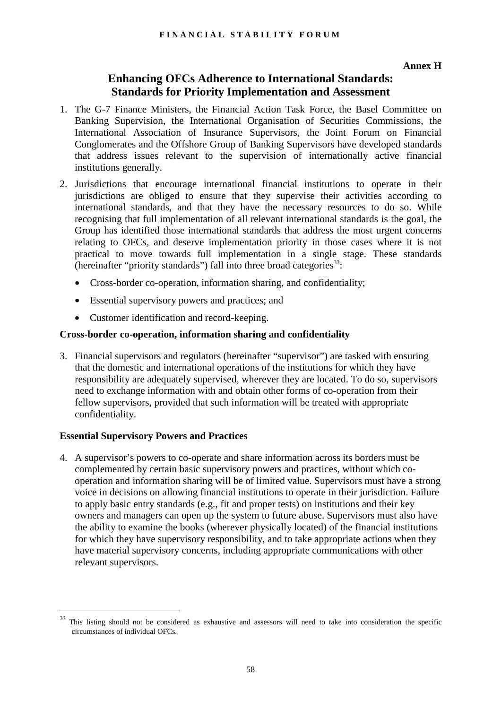# **Annex H**

# **Enhancing OFCs Adherence to International Standards: Standards for Priority Implementation and Assessment**

- 1. The G-7 Finance Ministers, the Financial Action Task Force, the Basel Committee on Banking Supervision, the International Organisation of Securities Commissions, the International Association of Insurance Supervisors, the Joint Forum on Financial Conglomerates and the Offshore Group of Banking Supervisors have developed standards that address issues relevant to the supervision of internationally active financial institutions generally.
- 2. Jurisdictions that encourage international financial institutions to operate in their jurisdictions are obliged to ensure that they supervise their activities according to international standards, and that they have the necessary resources to do so. While recognising that full implementation of all relevant international standards is the goal, the Group has identified those international standards that address the most urgent concerns relating to OFCs, and deserve implementation priority in those cases where it is not practical to move towards full implementation in a single stage. These standards (hereinafter "priority standards") fall into three broad categories $33$ :
	- Cross-border co-operation, information sharing, and confidentiality;
	- Essential supervisory powers and practices; and
	- Customer identification and record-keeping.

# **Cross-border co-operation, information sharing and confidentiality**

3. Financial supervisors and regulators (hereinafter "supervisor") are tasked with ensuring that the domestic and international operations of the institutions for which they have responsibility are adequately supervised, wherever they are located. To do so, supervisors need to exchange information with and obtain other forms of co-operation from their fellow supervisors, provided that such information will be treated with appropriate confidentiality.

# **Essential Supervisory Powers and Practices**

4. A supervisor's powers to co-operate and share information across its borders must be complemented by certain basic supervisory powers and practices, without which cooperation and information sharing will be of limited value. Supervisors must have a strong voice in decisions on allowing financial institutions to operate in their jurisdiction. Failure to apply basic entry standards (e.g., fit and proper tests) on institutions and their key owners and managers can open up the system to future abuse. Supervisors must also have the ability to examine the books (wherever physically located) of the financial institutions for which they have supervisory responsibility, and to take appropriate actions when they have material supervisory concerns, including appropriate communications with other relevant supervisors.

<sup>33</sup> This listing should not be considered as exhaustive and assessors will need to take into consideration the specific circumstances of individual OFCs.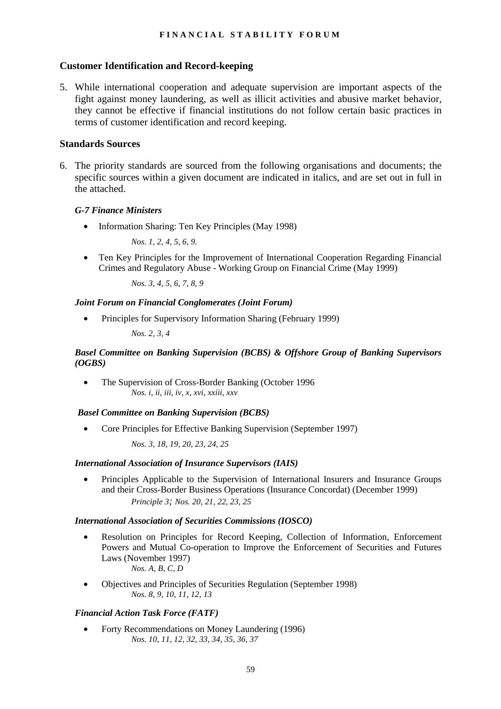# **Customer Identification and Record-keeping**

5. While international cooperation and adequate supervision are important aspects of the fight against money laundering, as well as illicit activities and abusive market behavior, they cannot be effective if financial institutions do not follow certain basic practices in terms of customer identification and record keeping.

# **Standards Sources**

6. The priority standards are sourced from the following organisations and documents; the specific sources within a given document are indicated in italics, and are set out in full in the attached.

# *G-7 Finance Ministers*

• Information Sharing: Ten Key Principles (May 1998)

*Nos. 1, 2, 4, 5, 6, 9.*

• Ten Key Principles for the Improvement of International Cooperation Regarding Financial Crimes and Regulatory Abuse - Working Group on Financial Crime (May 1999)

*Nos. 3, 4, 5, 6, 7, 8, 9*

# *Joint Forum on Financial Conglomerates (Joint Forum)*

• Principles for Supervisory Information Sharing (February 1999)

*Nos. 2, 3, 4*

# *Basel Committee on Banking Supervision (BCBS) & Offshore Group of Banking Supervisors (OGBS)*

• The Supervision of Cross-Border Banking (October 1996 *Nos. i, ii, iii, iv, x, xvi, xxiii, xxv*

# *Basel Committee on Banking Supervision (BCBS)*

• Core Principles for Effective Banking Supervision (September 1997)

*Nos. 3, 18, 19, 20, 23, 24, 25*

# *International Association of Insurance Supervisors (IAIS)*

• Principles Applicable to the Supervision of International Insurers and Insurance Groups and their Cross-Border Business Operations (Insurance Concordat) (December 1999) *Principle 3; Nos. 20, 21, 22, 23, 25*

# *International Association of Securities Commissions (IOSCO)*

- Resolution on Principles for Record Keeping, Collection of Information, Enforcement Powers and Mutual Co-operation to Improve the Enforcement of Securities and Futures Laws (November 1997) *Nos. A, B, C, D*
- Objectives and Principles of Securities Regulation (September 1998) *Nos. 8, 9, 10, 11, 12, 13*

# *Financial Action Task Force (FATF)*

• Forty Recommendations on Money Laundering (1996) *Nos. 10, 11, 12, 32, 33, 34, 35, 36, 37*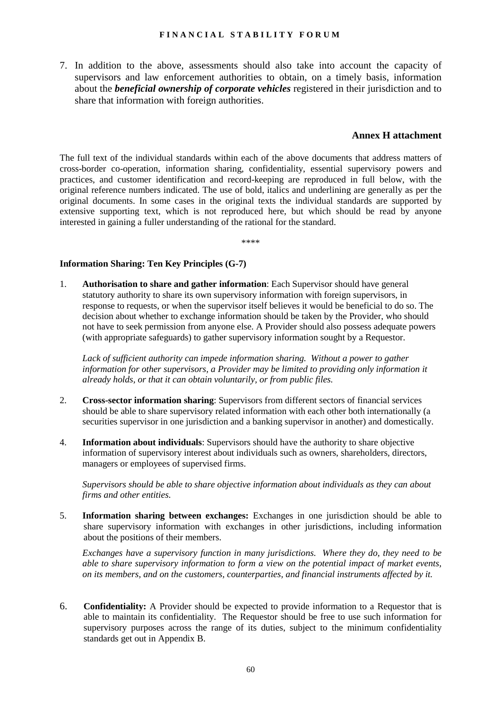7. In addition to the above, assessments should also take into account the capacity of supervisors and law enforcement authorities to obtain, on a timely basis, information about the *beneficial ownership of corporate vehicles* registered in their jurisdiction and to share that information with foreign authorities.

# **Annex H attachment**

The full text of the individual standards within each of the above documents that address matters of cross-border co-operation, information sharing, confidentiality, essential supervisory powers and practices, and customer identification and record-keeping are reproduced in full below, with the original reference numbers indicated. The use of bold, italics and underlining are generally as per the original documents. In some cases in the original texts the individual standards are supported by extensive supporting text, which is not reproduced here, but which should be read by anyone interested in gaining a fuller understanding of the rational for the standard.

\*\*\*\*

# **Information Sharing: Ten Key Principles (G-7)**

1. **Authorisation to share and gather information**: Each Supervisor should have general statutory authority to share its own supervisory information with foreign supervisors, in response to requests, or when the supervisor itself believes it would be beneficial to do so. The decision about whether to exchange information should be taken by the Provider, who should not have to seek permission from anyone else*.* A Provider should also possess adequate powers (with appropriate safeguards) to gather supervisory information sought by a Requestor.

*Lack of sufficient authority can impede information sharing. Without a power to gather information for other supervisors, a Provider may be limited to providing only information it already holds, or that it can obtain voluntarily, or from public files.*

- 2. **Cross-sector information sharing**: Supervisors from different sectors of financial services should be able to share supervisory related information with each other both internationally (a securities supervisor in one jurisdiction and a banking supervisor in another) and domestically.
- 4. **Information about individuals**: Supervisors should have the authority to share objective information of supervisory interest about individuals such as owners, shareholders, directors, managers or employees of supervised firms.

*Supervisors should be able to share objective information about individuals as they can about firms and other entities.*

5. **Information sharing between exchanges:** Exchanges in one jurisdiction should be able to share supervisory information with exchanges in other jurisdictions, including information about the positions of their members.

*Exchanges have a supervisory function in many jurisdictions. Where they do, they need to be able to share supervisory information to form a view on the potential impact of market events, on its members, and on the customers, counterparties, and financial instruments affected by it.*

6. **Confidentiality:** A Provider should be expected to provide information to a Requestor that is able to maintain its confidentiality. The Requestor should be free to use such information for supervisory purposes across the range of its duties, subject to the minimum confidentiality standards get out in Appendix B.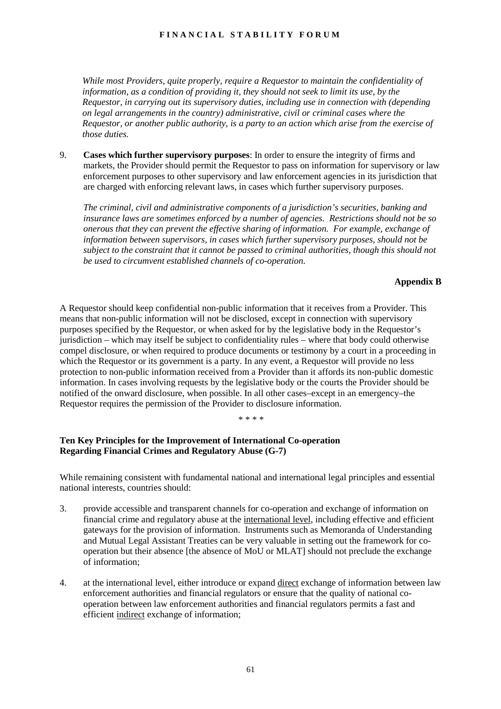*While most Providers, quite properly, require a Requestor to maintain the confidentiality of information, as a condition of providing it, they should not seek to limit its use, by the Requestor, in carrying out its supervisory duties, including use in connection with (depending on legal arrangements in the country) administrative, civil or criminal cases where the Requestor, or another public authority, is a party to an action which arise from the exercise of those duties.*

9. **Cases which further supervisory purposes**: In order to ensure the integrity of firms and markets, the Provider should permit the Requestor to pass on information for supervisory or law enforcement purposes to other supervisory and law enforcement agencies in its jurisdiction that are charged with enforcing relevant laws, in cases which further supervisory purposes.

*The criminal, civil and administrative components of a jurisdiction's securities, banking and insurance laws are sometimes enforced by a number of agencies. Restrictions should not be so onerous that they can prevent the effective sharing of information. For example, exchange of information between supervisors, in cases which further supervisory purposes, should not be subject to the constraint that it cannot be passed to criminal authorities, though this should not be used to circumvent established channels of co-operation.*

# **Appendix B**

A Requestor should keep confidential non-public information that it receives from a Provider. This means that non-public information will not be disclosed, except in connection with supervisory purposes specified by the Requestor, or when asked for by the legislative body in the Requestor's jurisdiction – which may itself be subject to confidentiality rules – where that body could otherwise compel disclosure, or when required to produce documents or testimony by a court in a proceeding in which the Requestor or its government is a party. In any event, a Requestor will provide no less protection to non-public information received from a Provider than it affords its non-public domestic information. In cases involving requests by the legislative body or the courts the Provider should be notified of the onward disclosure, when possible. In all other cases–except in an emergency–the Requestor requires the permission of the Provider to disclosure information.

### *\* \* \* \**

# **Ten Key Principles for the Improvement of International Co-operation Regarding Financial Crimes and Regulatory Abuse (G-7)**

While remaining consistent with fundamental national and international legal principles and essential national interests, countries should:

- 3. provide accessible and transparent channels for co-operation and exchange of information on financial crime and regulatory abuse at the international level, including effective and efficient gateways for the provision of information. Instruments such as Memoranda of Understanding and Mutual Legal Assistant Treaties can be very valuable in setting out the framework for cooperation but their absence [the absence of MoU or MLAT] should not preclude the exchange of information;
- 4. at the international level, either introduce or expand direct exchange of information between law enforcement authorities and financial regulators or ensure that the quality of national cooperation between law enforcement authorities and financial regulators permits a fast and efficient indirect exchange of information;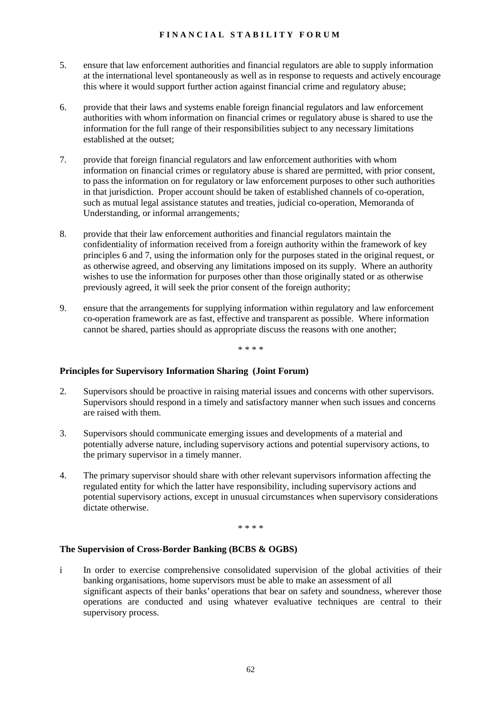- 5. ensure that law enforcement authorities and financial regulators are able to supply information at the international level spontaneously as well as in response to requests and actively encourage this where it would support further action against financial crime and regulatory abuse;
- 6. provide that their laws and systems enable foreign financial regulators and law enforcement authorities with whom information on financial crimes or regulatory abuse is shared to use the information for the full range of their responsibilities subject to any necessary limitations established at the outset;
- 7. provide that foreign financial regulators and law enforcement authorities with whom information on financial crimes or regulatory abuse is shared are permitted, with prior consent, to pass the information on for regulatory or law enforcement purposes to other such authorities in that jurisdiction. Proper account should be taken of established channels of co-operation, such as mutual legal assistance statutes and treaties, judicial co-operation, Memoranda of Understanding, or informal arrangements*;*
- 8. provide that their law enforcement authorities and financial regulators maintain the confidentiality of information received from a foreign authority within the framework of key principles 6 and 7, using the information only for the purposes stated in the original request, or as otherwise agreed, and observing any limitations imposed on its supply. Where an authority wishes to use the information for purposes other than those originally stated or as otherwise previously agreed, it will seek the prior consent of the foreign authority;
- 9. ensure that the arrangements for supplying information within regulatory and law enforcement co-operation framework are as fast, effective and transparent as possible. Where information cannot be shared, parties should as appropriate discuss the reasons with one another;

\* \* \* \*

# **Principles for Supervisory Information Sharing (Joint Forum)**

- 2. Supervisors should be proactive in raising material issues and concerns with other supervisors. Supervisors should respond in a timely and satisfactory manner when such issues and concerns are raised with them.
- 3. Supervisors should communicate emerging issues and developments of a material and potentially adverse nature, including supervisory actions and potential supervisory actions, to the primary supervisor in a timely manner.
- 4. The primary supervisor should share with other relevant supervisors information affecting the regulated entity for which the latter have responsibility, including supervisory actions and potential supervisory actions, except in unusual circumstances when supervisory considerations dictate otherwise.

\* \* \* \*

# **The Supervision of Cross-Border Banking (BCBS & OGBS)**

i In order to exercise comprehensive consolidated supervision of the global activities of their banking organisations, home supervisors must be able to make an assessment of all significant aspects of their banks' operations that bear on safety and soundness, wherever those operations are conducted and using whatever evaluative techniques are central to their supervisory process.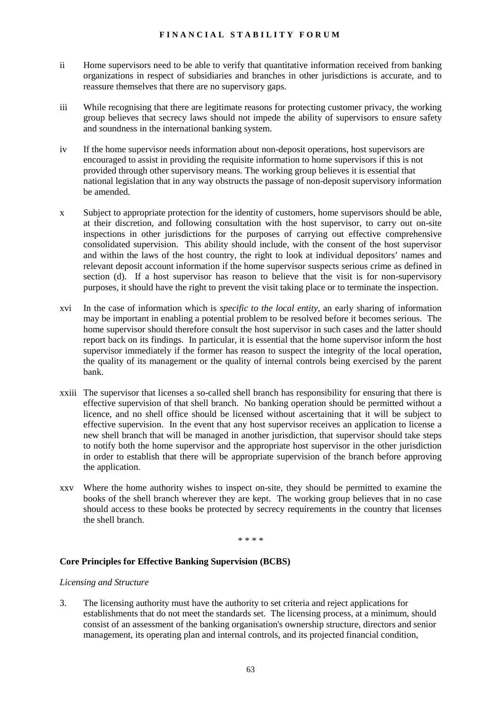- ii Home supervisors need to be able to verify that quantitative information received from banking organizations in respect of subsidiaries and branches in other jurisdictions is accurate, and to reassure themselves that there are no supervisory gaps.
- iii While recognising that there are legitimate reasons for protecting customer privacy, the working group believes that secrecy laws should not impede the ability of supervisors to ensure safety and soundness in the international banking system.
- iv If the home supervisor needs information about non-deposit operations, host supervisors are encouraged to assist in providing the requisite information to home supervisors if this is not provided through other supervisory means. The working group believes it is essential that national legislation that in any way obstructs the passage of non-deposit supervisory information be amended.
- x Subject to appropriate protection for the identity of customers, home supervisors should be able, at their discretion, and following consultation with the host supervisor, to carry out on-site inspections in other jurisdictions for the purposes of carrying out effective comprehensive consolidated supervision. This ability should include, with the consent of the host supervisor and within the laws of the host country, the right to look at individual depositors' names and relevant deposit account information if the home supervisor suspects serious crime as defined in section (d). If a host supervisor has reason to believe that the visit is for non-supervisory purposes, it should have the right to prevent the visit taking place or to terminate the inspection.
- xvi In the case of information which is *specific to the local entity*, an early sharing of information may be important in enabling a potential problem to be resolved before it becomes serious. The home supervisor should therefore consult the host supervisor in such cases and the latter should report back on its findings. In particular, it is essential that the home supervisor inform the host supervisor immediately if the former has reason to suspect the integrity of the local operation, the quality of its management or the quality of internal controls being exercised by the parent bank.
- xxiii The supervisor that licenses a so-called shell branch has responsibility for ensuring that there is effective supervision of that shell branch. No banking operation should be permitted without a licence, and no shell office should be licensed without ascertaining that it will be subject to effective supervision. In the event that any host supervisor receives an application to license a new shell branch that will be managed in another jurisdiction, that supervisor should take steps to notify both the home supervisor and the appropriate host supervisor in the other jurisdiction in order to establish that there will be appropriate supervision of the branch before approving the application.
- xxv Where the home authority wishes to inspect on-site, they should be permitted to examine the books of the shell branch wherever they are kept. The working group believes that in no case should access to these books be protected by secrecy requirements in the country that licenses the shell branch.

\* \* \* \*

# **Core Principles for Effective Banking Supervision (BCBS)**

# *Licensing and Structure*

3. The licensing authority must have the authority to set criteria and reject applications for establishments that do not meet the standards set. The licensing process, at a minimum, should consist of an assessment of the banking organisation's ownership structure, directors and senior management, its operating plan and internal controls, and its projected financial condition,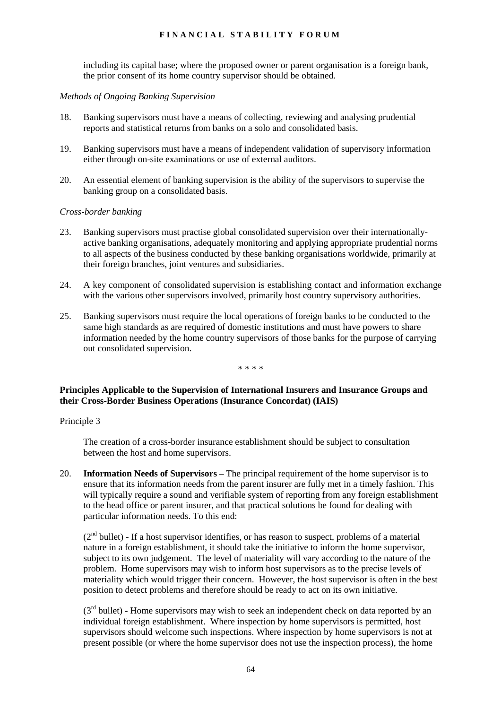including its capital base; where the proposed owner or parent organisation is a foreign bank, the prior consent of its home country supervisor should be obtained.

## *Methods of Ongoing Banking Supervision*

- 18. Banking supervisors must have a means of collecting, reviewing and analysing prudential reports and statistical returns from banks on a solo and consolidated basis.
- 19. Banking supervisors must have a means of independent validation of supervisory information either through on-site examinations or use of external auditors.
- 20. An essential element of banking supervision is the ability of the supervisors to supervise the banking group on a consolidated basis.

### *Cross-border banking*

- 23. Banking supervisors must practise global consolidated supervision over their internationallyactive banking organisations, adequately monitoring and applying appropriate prudential norms to all aspects of the business conducted by these banking organisations worldwide, primarily at their foreign branches, joint ventures and subsidiaries.
- 24. A key component of consolidated supervision is establishing contact and information exchange with the various other supervisors involved, primarily host country supervisory authorities.
- 25. Banking supervisors must require the local operations of foreign banks to be conducted to the same high standards as are required of domestic institutions and must have powers to share information needed by the home country supervisors of those banks for the purpose of carrying out consolidated supervision.

\* \* \* \*

# **Principles Applicable to the Supervision of International Insurers and Insurance Groups and their Cross-Border Business Operations (Insurance Concordat) (IAIS)**

Principle 3

The creation of a cross-border insurance establishment should be subject to consultation between the host and home supervisors.

20. **Information Needs of Supervisors** – The principal requirement of the home supervisor is to ensure that its information needs from the parent insurer are fully met in a timely fashion. This will typically require a sound and verifiable system of reporting from any foreign establishment to the head office or parent insurer, and that practical solutions be found for dealing with particular information needs. To this end:

 $(2<sup>nd</sup> bullet)$  - If a host supervisor identifies, or has reason to suspect, problems of a material nature in a foreign establishment, it should take the initiative to inform the home supervisor, subject to its own judgement. The level of materiality will vary according to the nature of the problem. Home supervisors may wish to inform host supervisors as to the precise levels of materiality which would trigger their concern. However, the host supervisor is often in the best position to detect problems and therefore should be ready to act on its own initiative.

 $(3<sup>rd</sup> bullet)$  - Home supervisors may wish to seek an independent check on data reported by an individual foreign establishment. Where inspection by home supervisors is permitted, host supervisors should welcome such inspections. Where inspection by home supervisors is not at present possible (or where the home supervisor does not use the inspection process), the home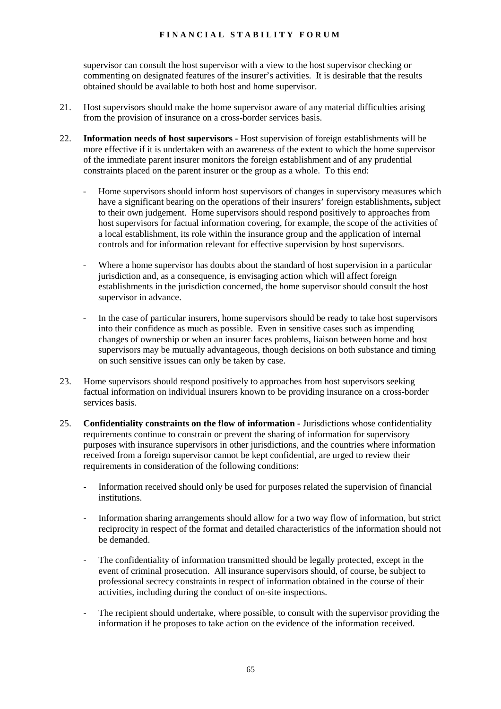supervisor can consult the host supervisor with a view to the host supervisor checking or commenting on designated features of the insurer's activities.It is desirable that the results obtained should be available to both host and home supervisor.

- 21. Host supervisors should make the home supervisor aware of any material difficulties arising from the provision of insurance on a cross-border services basis.
- 22. **Information needs of host supervisors** Host supervision of foreign establishments will be more effective if it is undertaken with an awareness of the extent to which the home supervisor of the immediate parent insurer monitors the foreign establishment and of any prudential constraints placed on the parent insurer or the group as a whole. To this end:
	- Home supervisors should inform host supervisors of changes in supervisory measures which have a significant bearing on the operations of their insurers' foreign establishments**,** subject to their own judgement. Home supervisors should respond positively to approaches from host supervisors for factual information covering, for example, the scope of the activities of a local establishment, its role within the insurance group and the application of internal controls and for information relevant for effective supervision by host supervisors.
	- Where a home supervisor has doubts about the standard of host supervision in a particular jurisdiction and, as a consequence, is envisaging action which will affect foreign establishments in the jurisdiction concerned, the home supervisor should consult the host supervisor in advance.
	- In the case of particular insurers, home supervisors should be ready to take host supervisors into their confidence as much as possible. Even in sensitive cases such as impending changes of ownership or when an insurer faces problems, liaison between home and host supervisors may be mutually advantageous, though decisions on both substance and timing on such sensitive issues can only be taken by case.
- 23. Home supervisors should respond positively to approaches from host supervisors seeking factual information on individual insurers known to be providing insurance on a cross-border services basis.
- 25. **Confidentiality constraints on the flow of information** Jurisdictions whose confidentiality requirements continue to constrain or prevent the sharing of information for supervisory purposes with insurance supervisors in other jurisdictions, and the countries where information received from a foreign supervisor cannot be kept confidential, are urged to review their requirements in consideration of the following conditions:
	- Information received should only be used for purposes related the supervision of financial institutions.
	- Information sharing arrangements should allow for a two way flow of information, but strict reciprocity in respect of the format and detailed characteristics of the information should not be demanded.
	- The confidentiality of information transmitted should be legally protected, except in the event of criminal prosecution. All insurance supervisors should, of course, be subject to professional secrecy constraints in respect of information obtained in the course of their activities, including during the conduct of on-site inspections.
	- The recipient should undertake, where possible, to consult with the supervisor providing the information if he proposes to take action on the evidence of the information received.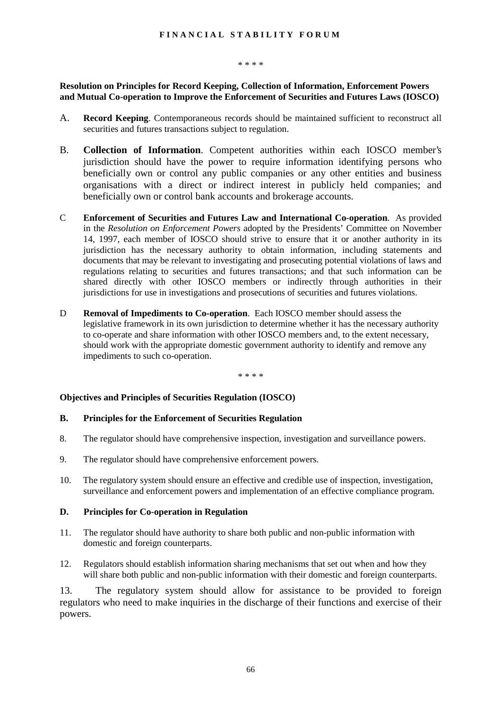### \* \* \* \*

# **Resolution on Principles for Record Keeping, Collection of Information, Enforcement Powers and Mutual Co-operation to Improve the Enforcement of Securities and Futures Laws (IOSCO)**

- A. **Record Keeping**. Contemporaneous records should be maintained sufficient to reconstruct all securities and futures transactions subject to regulation.
- B. **Collection of Information**. Competent authorities within each IOSCO member's jurisdiction should have the power to require information identifying persons who beneficially own or control any public companies or any other entities and business organisations with a direct or indirect interest in publicly held companies; and beneficially own or control bank accounts and brokerage accounts.
- C **Enforcement of Securities and Futures Law and International Co-operation**. As provided in the *Resolution on Enforcement Powers* adopted by the Presidents' Committee on November 14, 1997, each member of IOSCO should strive to ensure that it or another authority in its jurisdiction has the necessary authority to obtain information, including statements and documents that may be relevant to investigating and prosecuting potential violations of laws and regulations relating to securities and futures transactions; and that such information can be shared directly with other IOSCO members or indirectly through authorities in their jurisdictions for use in investigations and prosecutions of securities and futures violations.
- D **Removal of Impediments to Co-operation**. Each IOSCO member should assess the legislative framework in its own jurisdiction to determine whether it has the necessary authority to co-operate and share information with other IOSCO members and, to the extent necessary, should work with the appropriate domestic government authority to identify and remove any impediments to such co-operation.

\* \* \* \*

### **Objectives and Principles of Securities Regulation (IOSCO)**

### **B. Principles for the Enforcement of Securities Regulation**

- 8. The regulator should have comprehensive inspection, investigation and surveillance powers.
- 9. The regulator should have comprehensive enforcement powers.
- 10. The regulatory system should ensure an effective and credible use of inspection, investigation, surveillance and enforcement powers and implementation of an effective compliance program.

### **D. Principles for Co-operation in Regulation**

- 11. The regulator should have authority to share both public and non-public information with domestic and foreign counterparts.
- 12. Regulators should establish information sharing mechanisms that set out when and how they will share both public and non-public information with their domestic and foreign counterparts.

13. The regulatory system should allow for assistance to be provided to foreign regulators who need to make inquiries in the discharge of their functions and exercise of their powers.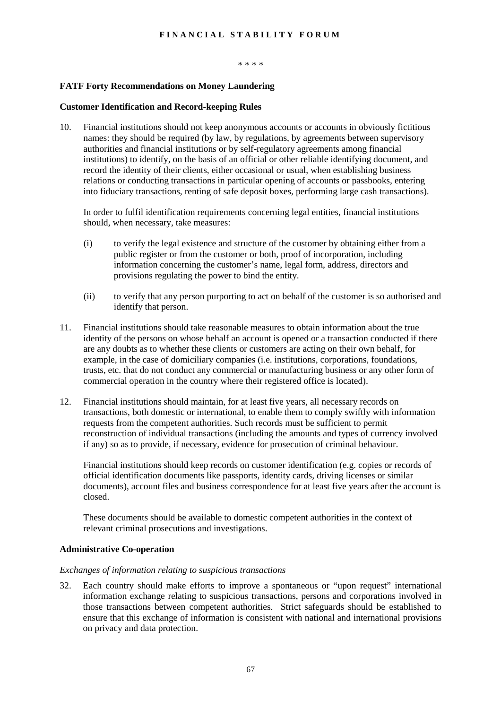\* \* \* \*

# **FATF Forty Recommendations on Money Laundering**

### **Customer Identification and Record-keeping Rules**

10. Financial institutions should not keep anonymous accounts or accounts in obviously fictitious names: they should be required (by law, by regulations, by agreements between supervisory authorities and financial institutions or by self-regulatory agreements among financial institutions) to identify, on the basis of an official or other reliable identifying document, and record the identity of their clients, either occasional or usual, when establishing business relations or conducting transactions in particular opening of accounts or passbooks, entering into fiduciary transactions, renting of safe deposit boxes, performing large cash transactions).

In order to fulfil identification requirements concerning legal entities, financial institutions should, when necessary, take measures:

- (i) to verify the legal existence and structure of the customer by obtaining either from a public register or from the customer or both, proof of incorporation, including information concerning the customer's name, legal form, address, directors and provisions regulating the power to bind the entity.
- (ii) to verify that any person purporting to act on behalf of the customer is so authorised and identify that person.
- 11. Financial institutions should take reasonable measures to obtain information about the true identity of the persons on whose behalf an account is opened or a transaction conducted if there are any doubts as to whether these clients or customers are acting on their own behalf, for example, in the case of domiciliary companies (i.e. institutions, corporations, foundations, trusts, etc. that do not conduct any commercial or manufacturing business or any other form of commercial operation in the country where their registered office is located).
- 12. Financial institutions should maintain, for at least five years, all necessary records on transactions, both domestic or international, to enable them to comply swiftly with information requests from the competent authorities. Such records must be sufficient to permit reconstruction of individual transactions (including the amounts and types of currency involved if any) so as to provide, if necessary, evidence for prosecution of criminal behaviour.

Financial institutions should keep records on customer identification (e.g. copies or records of official identification documents like passports, identity cards, driving licenses or similar documents), account files and business correspondence for at least five years after the account is closed.

These documents should be available to domestic competent authorities in the context of relevant criminal prosecutions and investigations.

# **Administrative Co-operation**

*Exchanges of information relating to suspicious transactions*

32. Each country should make efforts to improve a spontaneous or "upon request" international information exchange relating to suspicious transactions, persons and corporations involved in those transactions between competent authorities. Strict safeguards should be established to ensure that this exchange of information is consistent with national and international provisions on privacy and data protection.